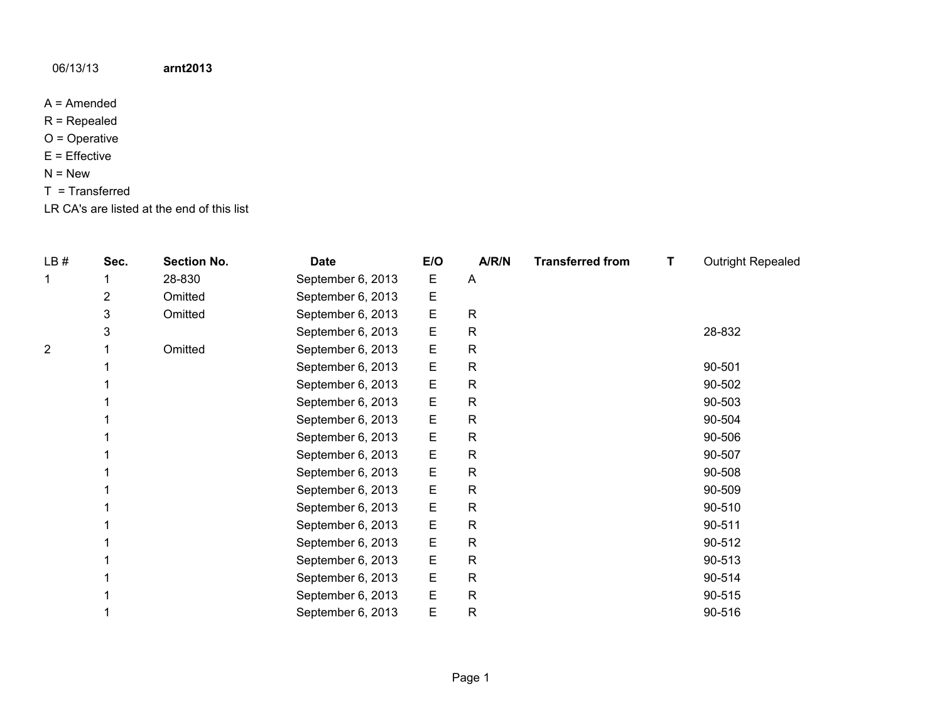## 06/13/13 **arnt2013**

- A = Amended
- R = Repealed
- O = Operative
- E = Effective
- $N = New$
- T = Transferred
- LR CA's are listed at the end of this list

| LB#            | Sec. | <b>Section No.</b> | <b>Date</b>       | E/O         | A/R/N          | <b>Transferred from</b> | Т | <b>Outright Repealed</b> |
|----------------|------|--------------------|-------------------|-------------|----------------|-------------------------|---|--------------------------|
|                |      | 28-830             | September 6, 2013 | Е           | $\overline{A}$ |                         |   |                          |
|                | 2    | Omitted            | September 6, 2013 | E           |                |                         |   |                          |
|                | 3    | Omitted            | September 6, 2013 | Е           | $\mathsf{R}$   |                         |   |                          |
|                | 3    |                    | September 6, 2013 | E           | $\mathsf{R}$   |                         |   | 28-832                   |
| $\overline{2}$ |      | Omitted            | September 6, 2013 | E           | $\mathsf{R}$   |                         |   |                          |
|                |      |                    | September 6, 2013 | E           | $\mathsf{R}$   |                         |   | 90-501                   |
|                |      |                    | September 6, 2013 | Е           | $\mathsf{R}$   |                         |   | 90-502                   |
|                |      |                    | September 6, 2013 | Е           | $\mathsf{R}$   |                         |   | 90-503                   |
|                |      |                    | September 6, 2013 | E           | $\mathsf{R}$   |                         |   | 90-504                   |
|                |      |                    | September 6, 2013 | E           | $\mathsf{R}$   |                         |   | 90-506                   |
|                |      |                    | September 6, 2013 | E           | $\mathsf{R}$   |                         |   | 90-507                   |
|                |      |                    | September 6, 2013 | E           | $\mathsf{R}$   |                         |   | 90-508                   |
|                |      |                    | September 6, 2013 | E           | $\mathsf{R}$   |                         |   | 90-509                   |
|                |      |                    | September 6, 2013 | E           | $\mathsf{R}$   |                         |   | 90-510                   |
|                |      |                    | September 6, 2013 | $\mathsf E$ | $\mathsf{R}$   |                         |   | 90-511                   |
|                |      |                    | September 6, 2013 | Е           | $\mathsf{R}$   |                         |   | 90-512                   |
|                |      |                    | September 6, 2013 | E           | $\mathsf{R}$   |                         |   | 90-513                   |
|                |      |                    | September 6, 2013 | Е           | $\mathsf{R}$   |                         |   | 90-514                   |
|                |      |                    | September 6, 2013 | E           | $\mathsf{R}$   |                         |   | 90-515                   |
|                |      |                    | September 6, 2013 | E           | $\mathsf{R}$   |                         |   | 90-516                   |
|                |      |                    |                   |             |                |                         |   |                          |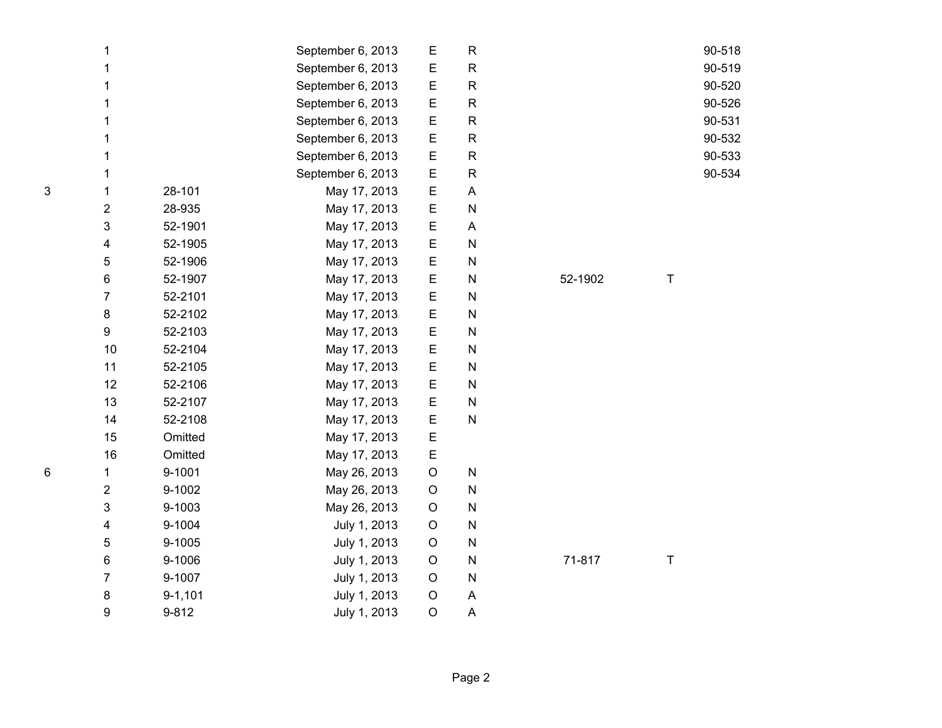| 1              |             | September 6, 2013 | E           | R |
|----------------|-------------|-------------------|-------------|---|
| 1              |             | September 6, 2013 | E           | R |
| 1              |             | September 6, 2013 | E           | R |
| 1              |             | September 6, 2013 | E           | R |
| 1              |             | September 6, 2013 | Е           | R |
| 1              |             | September 6, 2013 | E           | R |
| 1              |             | September 6, 2013 | E           | R |
| 1              |             | September 6, 2013 | E           | R |
| 1              | 28-101      | May 17, 2013      | E           | A |
| 2              | 28-935      | May 17, 2013      | E           | N |
| 3              | 52-1901     | May 17, 2013      | E           | A |
| 4              | 52-1905     | May 17, 2013      | Ε           | N |
| 5              | 52-1906     | May 17, 2013      | E           | N |
| 6              | 52-1907     | May 17, 2013      | E           | N |
| $\overline{7}$ | 52-2101     | May 17, 2013      | E           | N |
| 8              | 52-2102     | May 17, 2013      | E           | N |
| 9              | 52-2103     | May 17, 2013      | E           | N |
| 10             | 52-2104     | May 17, 2013      | Е           | Ν |
| 11             | 52-2105     | May 17, 2013      | E           | N |
| 12             | 52-2106     | May 17, 2013      | E           | N |
| 13             | 52-2107     | May 17, 2013      | E           | N |
| 14             | 52-2108     | May 17, 2013      | Е           | N |
| 15             | Omitted     | May 17, 2013      | E           |   |
| 16             | Omitted     | May 17, 2013      | E           |   |
| 1              | 9-1001      | May 26, 2013      | O           | N |
| $\overline{2}$ | 9-1002      | May 26, 2013      | O           | N |
| 3              | 9-1003      | May 26, 2013      | $\mathsf O$ | N |
| 4              | 9-1004      | July 1, 2013      | O           | N |
| 5              | 9-1005      | July 1, 2013      | O           | N |
| 6              | 9-1006      | July 1, 2013      | $\mathsf O$ | N |
| $\overline{7}$ | 9-1007      | July 1, 2013      | O           | N |
| 8              | $9 - 1,101$ | July 1, 2013      | O           | A |
| 9              | $9 - 812$   | July 1, 2013      | $\circ$     | A |
|                |             |                   |             |   |

| R | 90-518 |
|---|--------|
| R | 90-519 |
| R | 90-520 |
| R | 90-526 |
| R | 90-531 |
| R | 90-532 |
| R | 90-533 |
| R | 90-534 |
|   |        |

N 52-1902 T

N 71-817

T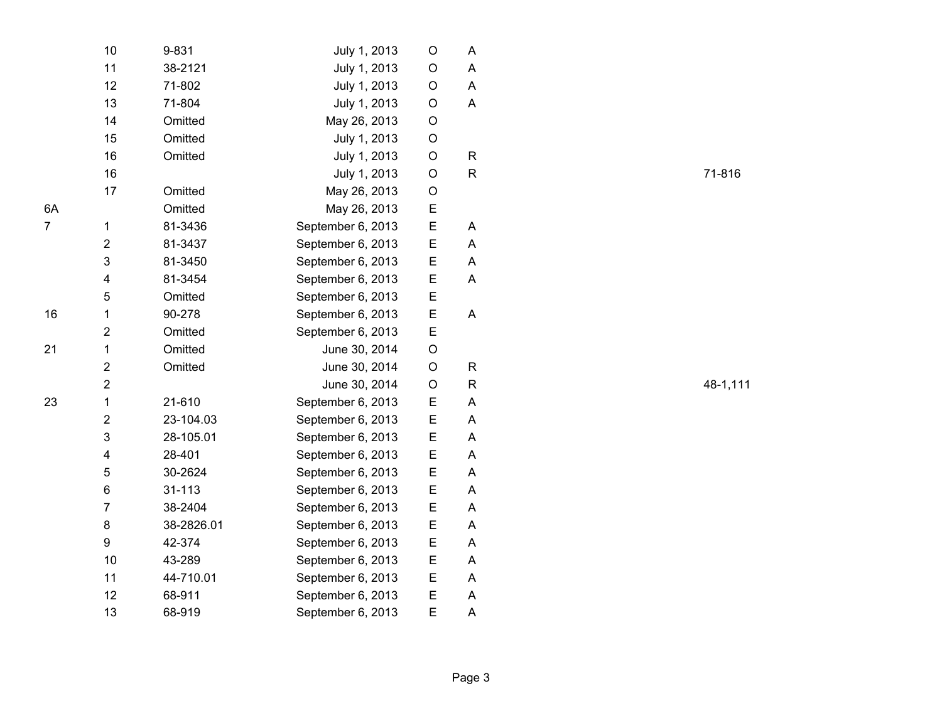|    | 10                      | 9-831      | July 1, 2013      | O | Α |
|----|-------------------------|------------|-------------------|---|---|
|    | 11                      | 38-2121    | July 1, 2013      | O | A |
|    | 12                      | 71-802     | July 1, 2013      | O | Α |
|    | 13                      | 71-804     | July 1, 2013      | O | A |
|    | 14                      | Omitted    | May 26, 2013      | O |   |
|    | 15                      | Omitted    | July 1, 2013      | O |   |
|    | 16                      | Omitted    | July 1, 2013      | O | R |
|    | 16                      |            | July 1, 2013      | O | R |
|    | 17                      | Omitted    | May 26, 2013      | O |   |
| 6A |                         | Omitted    | May 26, 2013      | E |   |
| 7  | $\mathbf 1$             | 81-3436    | September 6, 2013 | E | A |
|    | $\overline{2}$          | 81-3437    | September 6, 2013 | E | A |
|    | 3                       | 81-3450    | September 6, 2013 | E | A |
|    | 4                       | 81-3454    | September 6, 2013 | E | A |
|    | 5                       | Omitted    | September 6, 2013 | E |   |
| 16 | 1                       | 90-278     | September 6, 2013 | E | A |
|    | $\overline{2}$          | Omitted    | September 6, 2013 | E |   |
| 21 | $\mathbf 1$             | Omitted    | June 30, 2014     | O |   |
|    | $\overline{\mathbf{c}}$ | Omitted    | June 30, 2014     | O | R |
|    | $\overline{\mathbf{c}}$ |            | June 30, 2014     | O | R |
| 23 | 1                       | 21-610     | September 6, 2013 | E | A |
|    | $\overline{\mathbf{c}}$ | 23-104.03  | September 6, 2013 | E | A |
|    | 3                       | 28-105.01  | September 6, 2013 | E | A |
|    | $\overline{\mathbf{4}}$ | 28-401     | September 6, 2013 | E | A |
|    | 5                       | 30-2624    | September 6, 2013 | E | A |
|    | 6                       | 31-113     | September 6, 2013 | E | A |
|    | $\overline{7}$          | 38-2404    | September 6, 2013 | E | A |
|    | 8                       | 38-2826.01 | September 6, 2013 | E | A |
|    | 9                       | 42-374     | September 6, 2013 | E | A |
|    | 10                      | 43-289     | September 6, 2013 | E | A |
|    | 11                      | 44-710.01  | September 6, 2013 | E | A |
|    | 12                      | 68-911     | September 6, 2013 | E | A |
|    | 13                      | 68-919     | September 6, 2013 | E | A |
|    |                         |            |                   |   |   |

R 71-816

R 48-1,111

7

21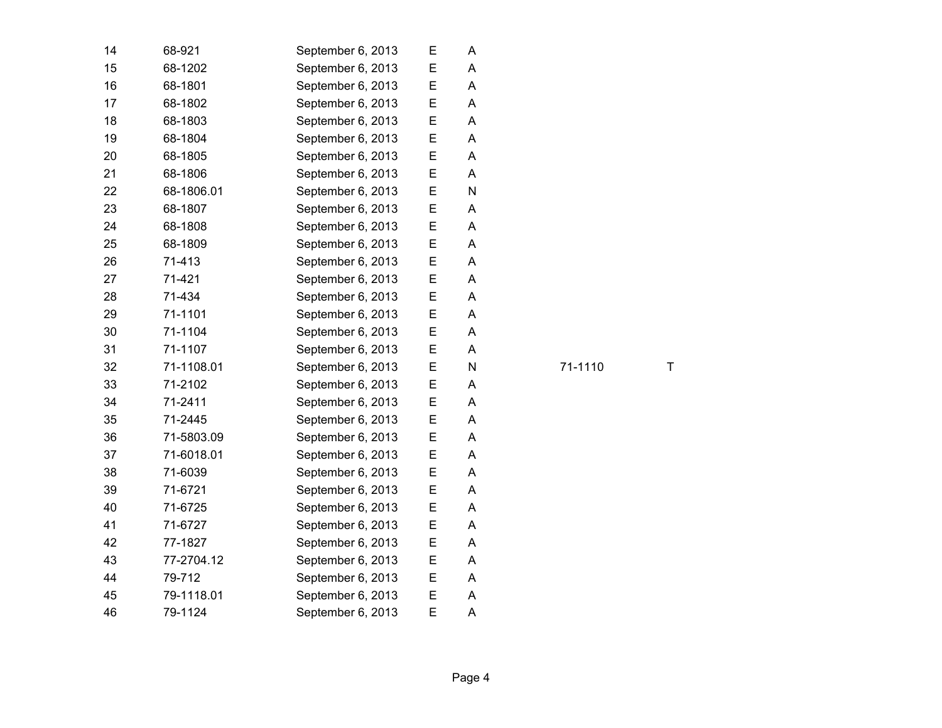| 14 | 68-921     | September 6, 2013 | Ε | A |
|----|------------|-------------------|---|---|
| 15 | 68-1202    | September 6, 2013 | E | A |
| 16 | 68-1801    | September 6, 2013 | Е | A |
| 17 | 68-1802    | September 6, 2013 | E | A |
| 18 | 68-1803    | September 6, 2013 | Е | A |
| 19 | 68-1804    | September 6, 2013 | E | A |
| 20 | 68-1805    | September 6, 2013 | E | A |
| 21 | 68-1806    | September 6, 2013 | E | A |
| 22 | 68-1806.01 | September 6, 2013 | E | N |
| 23 | 68-1807    | September 6, 2013 | E | A |
| 24 | 68-1808    | September 6, 2013 | Е | A |
| 25 | 68-1809    | September 6, 2013 | E | A |
| 26 | 71-413     | September 6, 2013 | E | A |
| 27 | 71-421     | September 6, 2013 | E | A |
| 28 | 71-434     | September 6, 2013 | E | A |
| 29 | 71-1101    | September 6, 2013 | E | A |
| 30 | 71-1104    | September 6, 2013 | E | A |
| 31 | 71-1107    | September 6, 2013 | Е | A |
| 32 | 71-1108.01 | September 6, 2013 | E | N |
| 33 | 71-2102    | September 6, 2013 | Е | A |
| 34 | 71-2411    | September 6, 2013 | E | A |
| 35 | 71-2445    | September 6, 2013 | Ε | A |
| 36 | 71-5803.09 | September 6, 2013 | E | A |
| 37 | 71-6018.01 | September 6, 2013 | E | A |
| 38 | 71-6039    | September 6, 2013 | E | A |
| 39 | 71-6721    | September 6, 2013 | E | A |
| 40 | 71-6725    | September 6, 2013 | E | A |
| 41 | 71-6727    | September 6, 2013 | E | A |
| 42 | 77-1827    | September 6, 2013 | Е | A |
| 43 | 77-2704.12 | September 6, 2013 | E | A |
| 44 | 79-712     | September 6, 2013 | Е | A |
| 45 | 79-1118.01 | September 6, 2013 | E | A |
| 46 | 79-1124    | September 6, 2013 | E | A |
|    |            |                   |   |   |

N 71-1110

T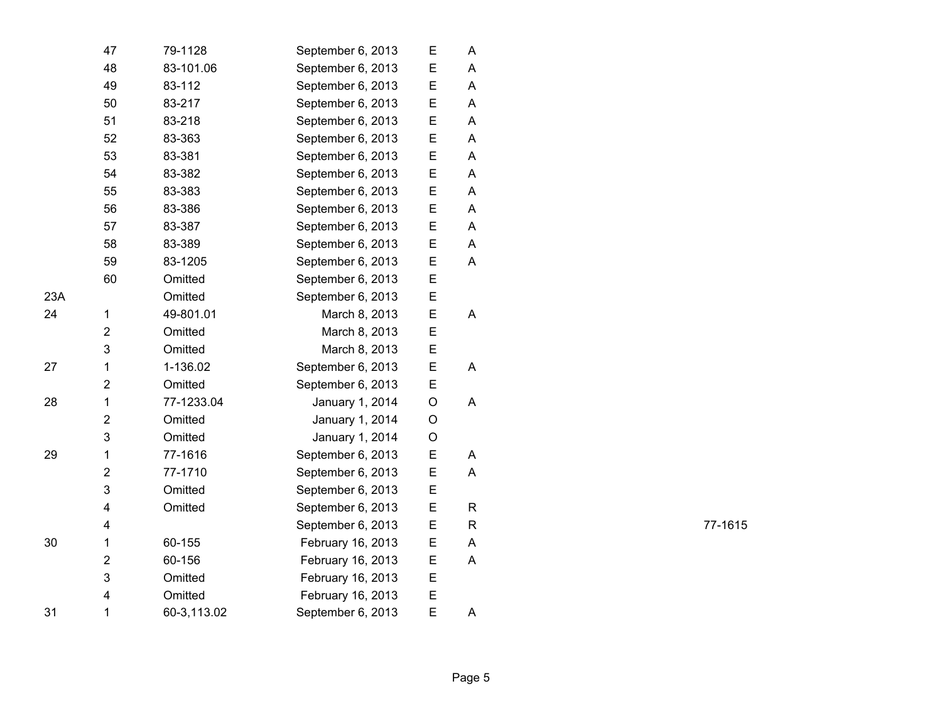|     | 47                      | 79-1128     | September 6, 2013 | E | A            |
|-----|-------------------------|-------------|-------------------|---|--------------|
|     | 48                      | 83-101.06   | September 6, 2013 | E | A            |
|     | 49                      | 83-112      | September 6, 2013 | E | A            |
|     | 50                      | 83-217      | September 6, 2013 | E | A            |
|     | 51                      | 83-218      | September 6, 2013 | Ε | Α            |
|     | 52                      | 83-363      | September 6, 2013 | E | Α            |
|     | 53                      | 83-381      | September 6, 2013 | E | Α            |
|     | 54                      | 83-382      | September 6, 2013 | E | A            |
|     | 55                      | 83-383      | September 6, 2013 | E | A            |
|     | 56                      | 83-386      | September 6, 2013 | E | A            |
|     | 57                      | 83-387      | September 6, 2013 | E | A            |
|     | 58                      | 83-389      | September 6, 2013 | E | A            |
|     | 59                      | 83-1205     | September 6, 2013 | E | Α            |
|     | 60                      | Omitted     | September 6, 2013 | E |              |
| 23A |                         | Omitted     | September 6, 2013 | E |              |
| 24  | 1                       | 49-801.01   | March 8, 2013     | E | A            |
|     | 2                       | Omitted     | March 8, 2013     | E |              |
|     | 3                       | Omitted     | March 8, 2013     | E |              |
| 27  | 1                       | 1-136.02    | September 6, 2013 | E | Α            |
|     | $\overline{2}$          | Omitted     | September 6, 2013 | E |              |
| 28  | 1                       | 77-1233.04  | January 1, 2014   | O | A            |
|     | $\overline{\mathbf{c}}$ | Omitted     | January 1, 2014   | O |              |
|     | 3                       | Omitted     | January 1, 2014   | O |              |
| 29  | 1                       | 77-1616     | September 6, 2013 | E | Α            |
|     | $\overline{\mathbf{c}}$ | 77-1710     | September 6, 2013 | E | A            |
|     | 3                       | Omitted     | September 6, 2013 | E |              |
|     | 4                       | Omitted     | September 6, 2013 | E | R            |
|     | 4                       |             | September 6, 2013 | E | $\mathsf{R}$ |
| 30  | 1                       | 60-155      | February 16, 2013 | E | A            |
|     | $\overline{2}$          | 60-156      | February 16, 2013 | E | A            |
|     | 3                       | Omitted     | February 16, 2013 | E |              |
|     | 4                       | Omitted     | February 16, 2013 | E |              |
| 31  | 1                       | 60-3,113.02 | September 6, 2013 | E | A            |
|     |                         |             |                   |   |              |

R 77-1615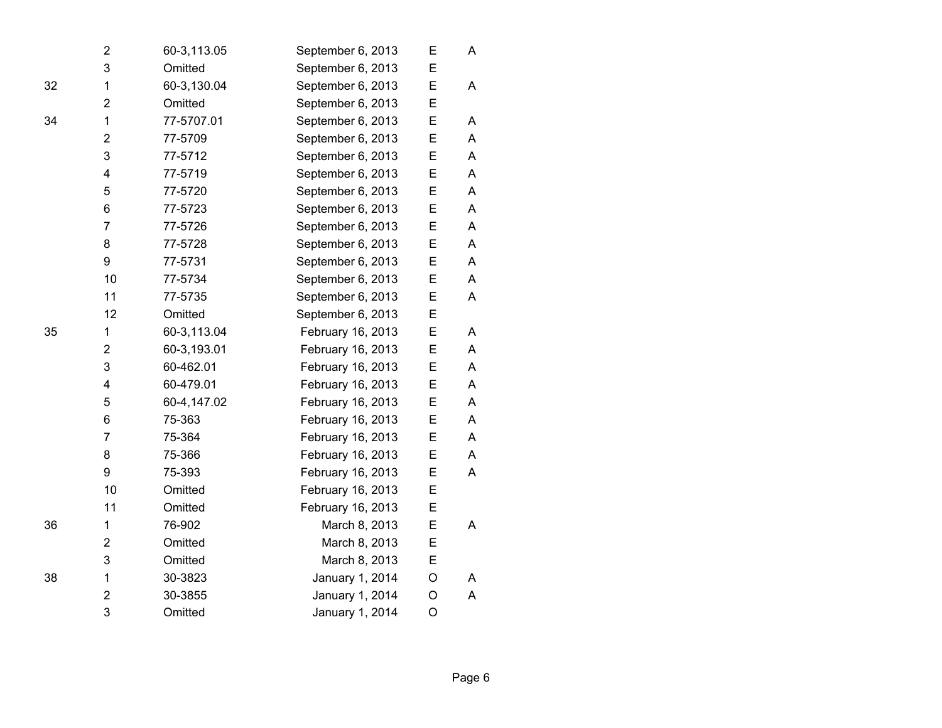|    | $\overline{\mathbf{c}}$ | 60-3,113.05 | September 6, 2013 | Е | A |
|----|-------------------------|-------------|-------------------|---|---|
|    | $\mathsf 3$             | Omitted     | September 6, 2013 | E |   |
| 32 | 1                       | 60-3,130.04 | September 6, 2013 | E | A |
|    | $\overline{2}$          | Omitted     | September 6, 2013 | E |   |
| 34 | $\mathbf 1$             | 77-5707.01  | September 6, 2013 | E | A |
|    | $\mathbf 2$             | 77-5709     | September 6, 2013 | E | A |
|    | 3                       | 77-5712     | September 6, 2013 | E | A |
|    | $\overline{\mathbf{4}}$ | 77-5719     | September 6, 2013 | E | A |
|    | 5                       | 77-5720     | September 6, 2013 | E | Α |
|    | 6                       | 77-5723     | September 6, 2013 | E | A |
|    | $\overline{7}$          | 77-5726     | September 6, 2013 | E | A |
|    | 8                       | 77-5728     | September 6, 2013 | E | Α |
|    | 9                       | 77-5731     | September 6, 2013 | E | A |
|    | 10                      | 77-5734     | September 6, 2013 | E | A |
|    | 11                      | 77-5735     | September 6, 2013 | E | A |
|    | 12                      | Omitted     | September 6, 2013 | E |   |
| 35 | $\mathbf{1}$            | 60-3,113.04 | February 16, 2013 | E | A |
|    | $\mathbf 2$             | 60-3,193.01 | February 16, 2013 | E | A |
|    | 3                       | 60-462.01   | February 16, 2013 | E | Α |
|    | $\overline{\mathbf{4}}$ | 60-479.01   | February 16, 2013 | E | A |
|    | 5                       | 60-4,147.02 | February 16, 2013 | E | A |
|    | 6                       | 75-363      | February 16, 2013 | E | A |
|    | $\overline{7}$          | 75-364      | February 16, 2013 | E | A |
|    | 8                       | 75-366      | February 16, 2013 | Е | A |
|    | 9                       | 75-393      | February 16, 2013 | E | A |
|    | 10                      | Omitted     | February 16, 2013 | E |   |
|    | 11                      | Omitted     | February 16, 2013 | E |   |
| 36 | 1                       | 76-902      | March 8, 2013     | E | A |
|    | $\overline{\mathbf{c}}$ | Omitted     | March 8, 2013     | E |   |
|    | 3                       | Omitted     | March 8, 2013     | E |   |
| 38 | 1                       | 30-3823     | January 1, 2014   | O | A |
|    | $\overline{\mathbf{c}}$ | 30-3855     | January 1, 2014   | O | A |
|    | 3                       | Omitted     | January 1, 2014   | O |   |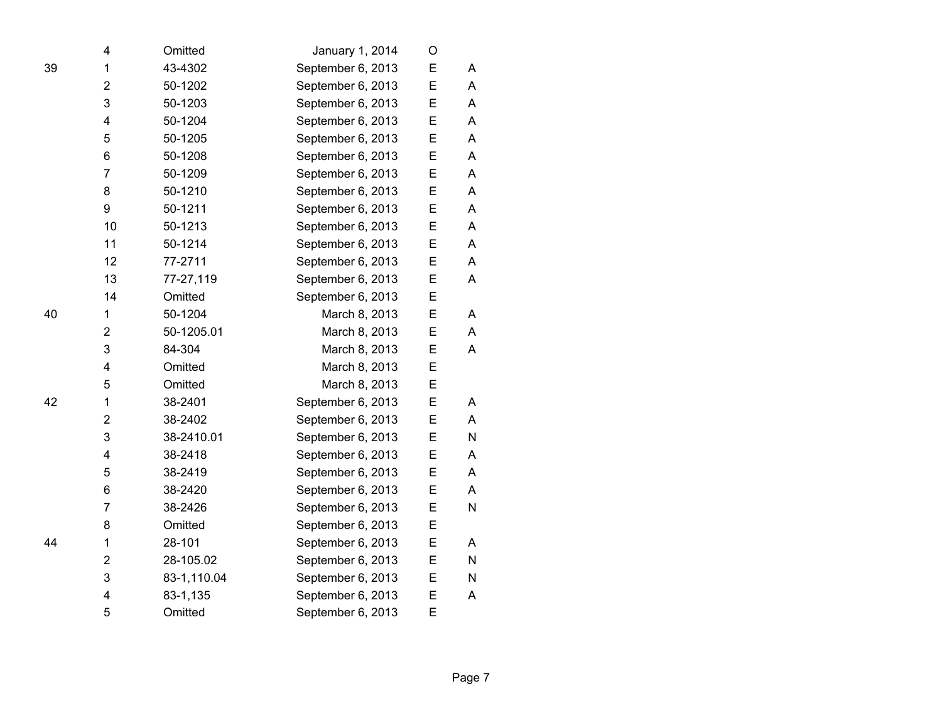| 4                       | Omitted     | January 1, 2014   | O |   |
|-------------------------|-------------|-------------------|---|---|
| 1                       | 43-4302     | September 6, 2013 | E | A |
| $\overline{\mathbf{c}}$ | 50-1202     | September 6, 2013 | E | A |
| 3                       | 50-1203     | September 6, 2013 | E | A |
| 4                       | 50-1204     | September 6, 2013 | E | A |
| 5                       | 50-1205     | September 6, 2013 | E | A |
| 6                       | 50-1208     | September 6, 2013 | E | A |
| $\overline{7}$          | 50-1209     | September 6, 2013 | E | A |
| 8                       | 50-1210     | September 6, 2013 | E | A |
| 9                       | 50-1211     | September 6, 2013 | Е | A |
| 10                      | 50-1213     | September 6, 2013 | E | A |
| 11                      | 50-1214     | September 6, 2013 | Ε | A |
| 12                      | 77-2711     | September 6, 2013 | E | A |
| 13                      | 77-27,119   | September 6, 2013 | E | A |
| 14                      | Omitted     | September 6, 2013 | E |   |
| 1                       | 50-1204     | March 8, 2013     | E | A |
| $\overline{2}$          | 50-1205.01  | March 8, 2013     | E | A |
| 3                       | 84-304      | March 8, 2013     | E | A |
| 4                       | Omitted     | March 8, 2013     | Ε |   |
| 5                       | Omitted     | March 8, 2013     | E |   |
| 1                       | 38-2401     | September 6, 2013 | E | A |
| $\overline{\mathbf{c}}$ | 38-2402     | September 6, 2013 | E | A |
| 3                       | 38-2410.01  | September 6, 2013 | E | N |
| 4                       | 38-2418     | September 6, 2013 | E | A |
| 5                       | 38-2419     | September 6, 2013 | E | A |
| 6                       | 38-2420     | September 6, 2013 | E | A |
| 7                       | 38-2426     | September 6, 2013 | E | N |
| 8                       | Omitted     | September 6, 2013 | E |   |
| $\mathbf 1$             | 28-101      | September 6, 2013 | E | A |
| $\overline{\mathbf{c}}$ | 28-105.02   | September 6, 2013 | E | N |
| 3                       | 83-1,110.04 | September 6, 2013 | Е | N |
| 4                       | 83-1,135    | September 6, 2013 | E | A |
| 5                       | Omitted     | September 6, 2013 | E |   |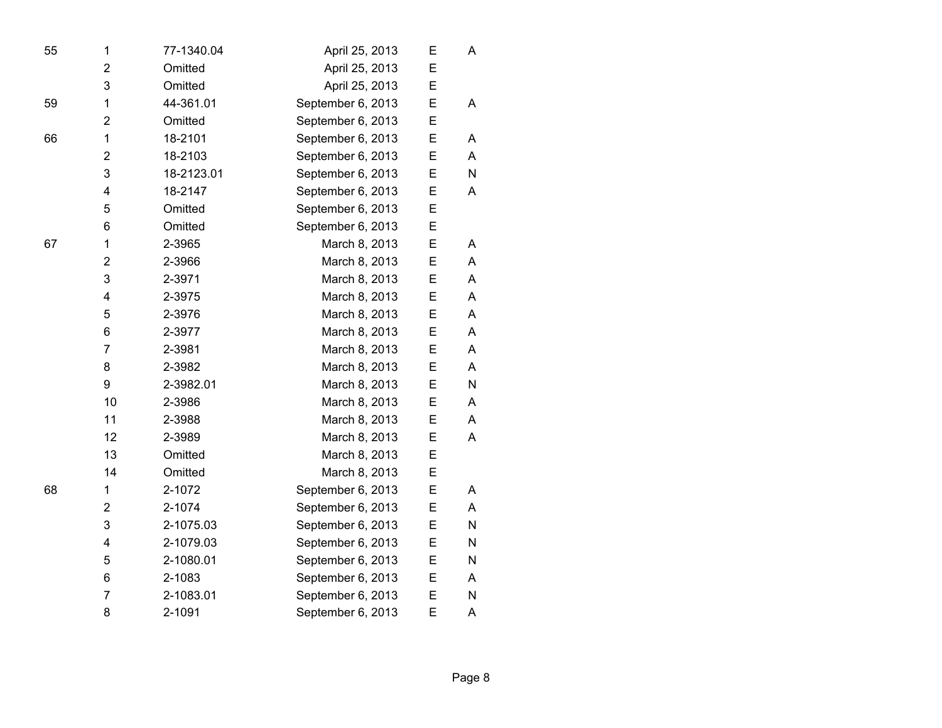| 55 | 1                       | 77-1340.04 | April 25, 2013    | E | A         |
|----|-------------------------|------------|-------------------|---|-----------|
|    | $\overline{2}$          | Omitted    | April 25, 2013    | E |           |
|    | 3                       | Omitted    | April 25, 2013    | E |           |
| 59 | $\mathbf 1$             | 44-361.01  | September 6, 2013 | E | A         |
|    | $\overline{2}$          | Omitted    | September 6, 2013 | Е |           |
| 66 | 1                       | 18-2101    | September 6, 2013 | E | A         |
|    | $\overline{\mathbf{c}}$ | 18-2103    | September 6, 2013 | E | A         |
|    | 3                       | 18-2123.01 | September 6, 2013 | Ε | N         |
|    | 4                       | 18-2147    | September 6, 2013 | Е | A         |
|    | 5                       | Omitted    | September 6, 2013 | E |           |
|    | 6                       | Omitted    | September 6, 2013 | Е |           |
| 67 | 1                       | 2-3965     | March 8, 2013     | Е | A         |
|    | $\overline{\mathbf{c}}$ | 2-3966     | March 8, 2013     | E | A         |
|    | 3                       | 2-3971     | March 8, 2013     | Е | A         |
|    | 4                       | 2-3975     | March 8, 2013     | E | A         |
|    | 5                       | 2-3976     | March 8, 2013     | E | A         |
|    | 6                       | 2-3977     | March 8, 2013     | E | A         |
|    | $\overline{7}$          | 2-3981     | March 8, 2013     | Е | A         |
|    | 8                       | 2-3982     | March 8, 2013     | E | A         |
|    | 9                       | 2-3982.01  | March 8, 2013     | E | ${\sf N}$ |
|    | 10                      | 2-3986     | March 8, 2013     | E | A         |
|    | 11                      | 2-3988     | March 8, 2013     | Е | A         |
|    | 12                      | 2-3989     | March 8, 2013     | Е | A         |
|    | 13                      | Omitted    | March 8, 2013     | Ε |           |
|    | 14                      | Omitted    | March 8, 2013     | E |           |
| 68 | 1                       | 2-1072     | September 6, 2013 | Ε | A         |
|    | $\overline{2}$          | 2-1074     | September 6, 2013 | E | A         |
|    | 3                       | 2-1075.03  | September 6, 2013 | E | N         |
|    | 4                       | 2-1079.03  | September 6, 2013 | E | N         |
|    | 5                       | 2-1080.01  | September 6, 2013 | E | N         |
|    | 6                       | 2-1083     | September 6, 2013 | Е | A         |
|    | $\overline{7}$          | 2-1083.01  | September 6, 2013 | E | N         |
|    | 8                       | 2-1091     | September 6, 2013 | E | A         |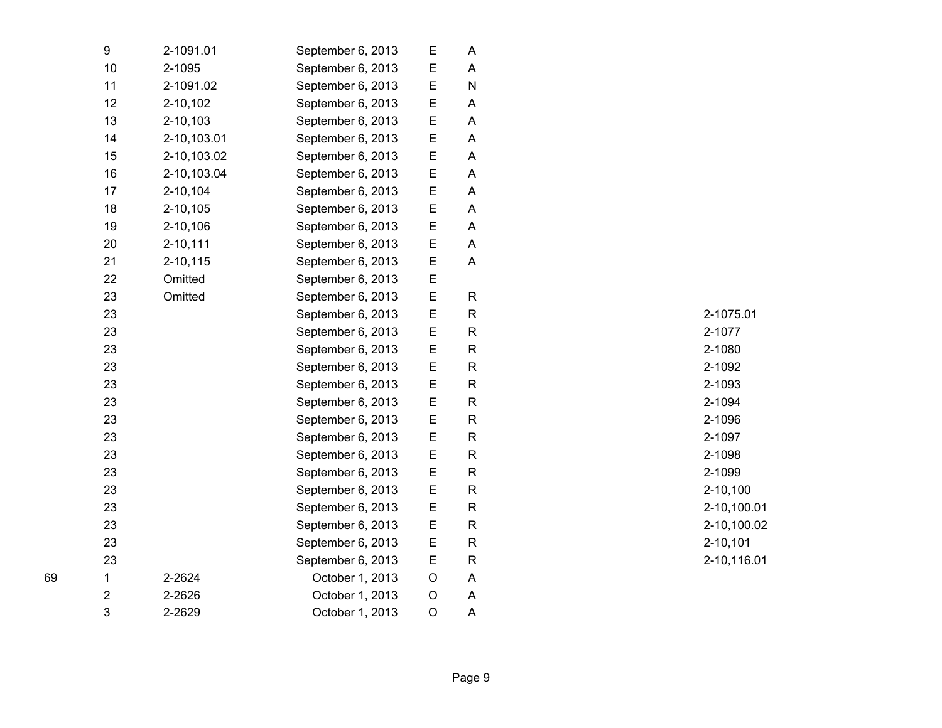| 9                       | 2-1091.01   | September 6, 2013 | E | А |
|-------------------------|-------------|-------------------|---|---|
| 10                      | 2-1095      | September 6, 2013 | E | A |
| 11                      | 2-1091.02   | September 6, 2013 | E | N |
| 12                      | 2-10,102    | September 6, 2013 | E | A |
| 13                      | 2-10,103    | September 6, 2013 | E | Α |
| 14                      | 2-10,103.01 | September 6, 2013 | E | A |
| 15                      | 2-10,103.02 | September 6, 2013 | E | A |
| 16                      | 2-10,103.04 | September 6, 2013 | E | Α |
| 17                      | 2-10,104    | September 6, 2013 | E | Α |
| 18                      | 2-10,105    | September 6, 2013 | E | A |
| 19                      | 2-10,106    | September 6, 2013 | E | Α |
| 20                      | 2-10,111    | September 6, 2013 | E | A |
| 21                      | 2-10,115    | September 6, 2013 | E | A |
| 22                      | Omitted     | September 6, 2013 | E |   |
| 23                      | Omitted     | September 6, 2013 | E | R |
| 23                      |             | September 6, 2013 | E | R |
| 23                      |             | September 6, 2013 | E | R |
| 23                      |             | September 6, 2013 | E | R |
| 23                      |             | September 6, 2013 | E | R |
| 23                      |             | September 6, 2013 | E | R |
| 23                      |             | September 6, 2013 | E | R |
| 23                      |             | September 6, 2013 | E | R |
| 23                      |             | September 6, 2013 | E | R |
| 23                      |             | September 6, 2013 | E | R |
| 23                      |             | September 6, 2013 | E | R |
| 23                      |             | September 6, 2013 | E | R |
| 23                      |             | September 6, 2013 | E | R |
| 23                      |             | September 6, 2013 | E | R |
| 23                      |             | September 6, 2013 | E | R |
| 23                      |             | September 6, 2013 | E | R |
| 1                       | 2-2624      | October 1, 2013   | O | A |
| $\overline{\mathbf{c}}$ | 2-2626      | October 1, 2013   | O | A |
| 3                       | 2-2629      | October 1, 2013   | O | Α |

R 2-1075.01 R 2-1077 R 2-1080 R 2-1092 R 2-1093 R 2-1094 R 2-1096 R 2-1097 R 2-1098 R 2-1099 R 2-10,100 R 2-10,100.01 R 2-10,100.02 R 2-10,101 R 2-10,116.01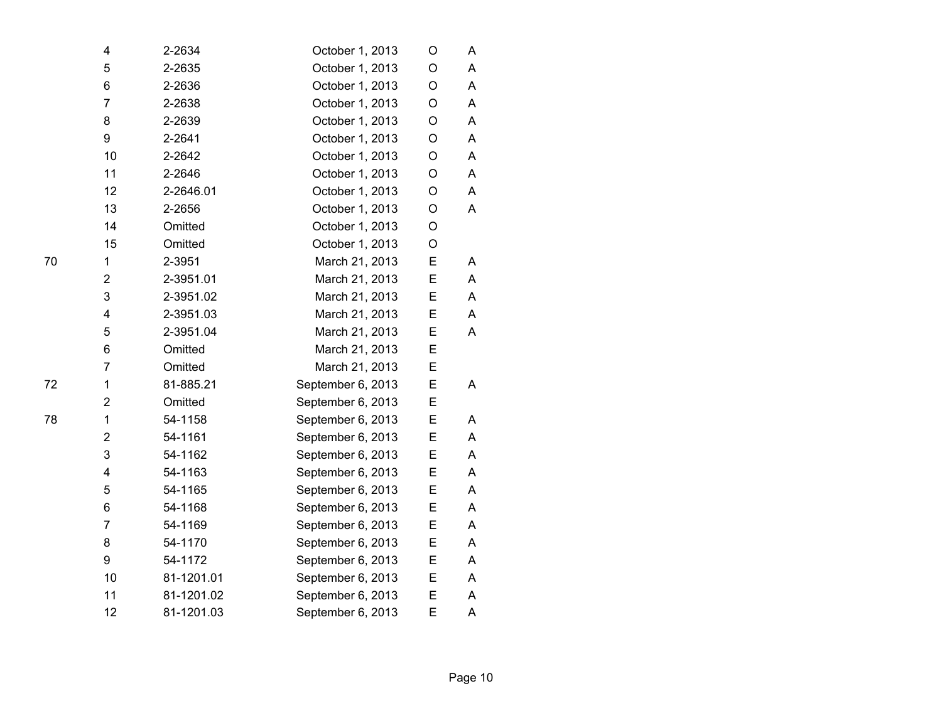| 4              | 2-2634     | October 1, 2013   | O | A |
|----------------|------------|-------------------|---|---|
| 5              | 2-2635     | October 1, 2013   | O | A |
| 6              | 2-2636     | October 1, 2013   | O | A |
| $\overline{7}$ | 2-2638     | October 1, 2013   | O | A |
| 8              | 2-2639     | October 1, 2013   | O | A |
| 9              | 2-2641     | October 1, 2013   | O | A |
| 10             | 2-2642     | October 1, 2013   | O | A |
| 11             | 2-2646     | October 1, 2013   | O | A |
| 12             | 2-2646.01  | October 1, 2013   | O | A |
| 13             | 2-2656     | October 1, 2013   | O | A |
| 14             | Omitted    | October 1, 2013   | O |   |
| 15             | Omitted    | October 1, 2013   | O |   |
| 1              | 2-3951     | March 21, 2013    | E | A |
| $\overline{2}$ | 2-3951.01  | March 21, 2013    | E | A |
| 3              | 2-3951.02  | March 21, 2013    | E | A |
| 4              | 2-3951.03  | March 21, 2013    | E | A |
| 5              | 2-3951.04  | March 21, 2013    | E | A |
| 6              | Omitted    | March 21, 2013    | E |   |
| $\overline{7}$ | Omitted    | March 21, 2013    | E |   |
| 1              | 81-885.21  | September 6, 2013 | E | A |
| $\overline{2}$ | Omitted    | September 6, 2013 | E |   |
| 1              | 54-1158    | September 6, 2013 | E | A |
| $\overline{2}$ | 54-1161    | September 6, 2013 | E | A |
| 3              | 54-1162    | September 6, 2013 | E | A |
| 4              | 54-1163    | September 6, 2013 | E | A |
| 5              | 54-1165    | September 6, 2013 | E | A |
| 6              | 54-1168    | September 6, 2013 | E | A |
| $\overline{7}$ | 54-1169    | September 6, 2013 | E | Α |
| 8              | 54-1170    | September 6, 2013 | E | A |
| 9              | 54-1172    | September 6, 2013 | E | A |
| 10             | 81-1201.01 | September 6, 2013 | E | A |
| 11             | 81-1201.02 | September 6, 2013 | Е | A |
| 12             | 81-1201.03 | September 6, 2013 | E | A |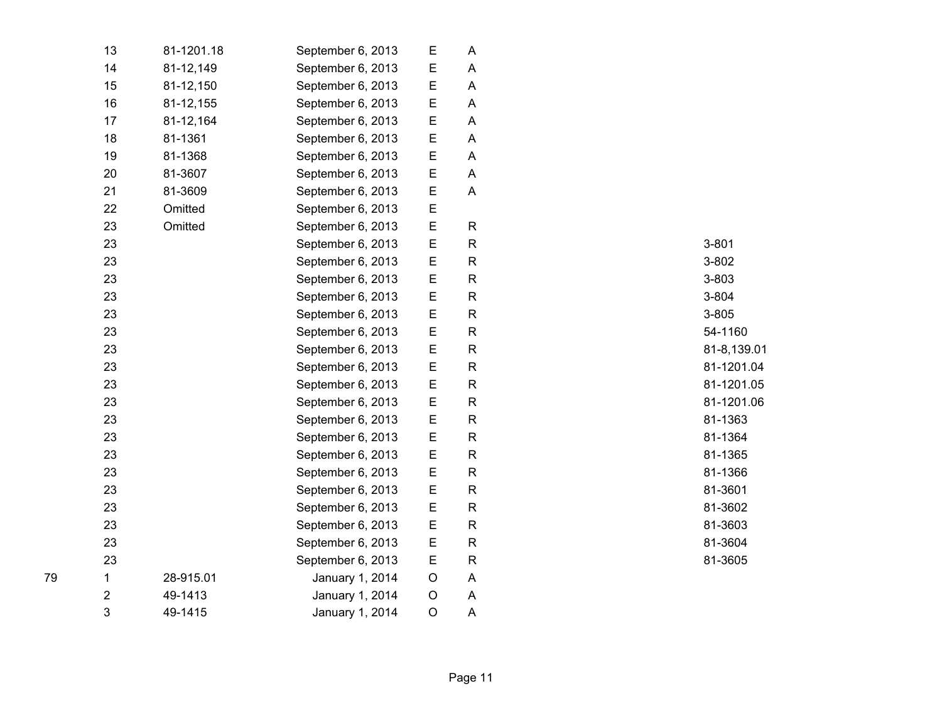| 13             | 81-1201.18 | September 6, 2013 | E           | Α                         |             |
|----------------|------------|-------------------|-------------|---------------------------|-------------|
| 14             | 81-12,149  | September 6, 2013 | E           | A                         |             |
| 15             | 81-12,150  | September 6, 2013 | E           | $\boldsymbol{\mathsf{A}}$ |             |
| 16             | 81-12,155  | September 6, 2013 | E           | $\boldsymbol{\mathsf{A}}$ |             |
| 17             | 81-12,164  | September 6, 2013 | E           | Α                         |             |
| 18             | 81-1361    | September 6, 2013 | E           | A                         |             |
| 19             | 81-1368    | September 6, 2013 | E           | A                         |             |
| 20             | 81-3607    | September 6, 2013 | E           | $\mathsf A$               |             |
| 21             | 81-3609    | September 6, 2013 | E           | A                         |             |
| 22             | Omitted    | September 6, 2013 | E           |                           |             |
| 23             | Omitted    | September 6, 2013 | E           | $\mathsf R$               |             |
| 23             |            | September 6, 2013 | E           | ${\sf R}$                 | $3 - 801$   |
| 23             |            | September 6, 2013 | E           | ${\sf R}$                 | 3-802       |
| 23             |            | September 6, 2013 | E           | ${\sf R}$                 | 3-803       |
| 23             |            | September 6, 2013 | E           | ${\sf R}$                 | 3-804       |
| 23             |            | September 6, 2013 | E           | ${\sf R}$                 | 3-805       |
| 23             |            | September 6, 2013 | E           | $\mathsf R$               | 54-1160     |
| 23             |            | September 6, 2013 | E           | $\mathsf R$               | 81-8,139.01 |
| 23             |            | September 6, 2013 | E           | $\mathsf R$               | 81-1201.04  |
| 23             |            | September 6, 2013 | E           | ${\sf R}$                 | 81-1201.05  |
| 23             |            | September 6, 2013 | E           | $\mathsf R$               | 81-1201.06  |
| 23             |            | September 6, 2013 | E           | $\mathsf R$               | 81-1363     |
| 23             |            | September 6, 2013 | E           | ${\sf R}$                 | 81-1364     |
| 23             |            | September 6, 2013 | E           | ${\sf R}$                 | 81-1365     |
| 23             |            | September 6, 2013 | E           | ${\sf R}$                 | 81-1366     |
| 23             |            | September 6, 2013 | E           | ${\sf R}$                 | 81-3601     |
| 23             |            | September 6, 2013 | E           | ${\sf R}$                 | 81-3602     |
| 23             |            | September 6, 2013 | E           | ${\sf R}$                 | 81-3603     |
| 23             |            | September 6, 2013 | E           | $\mathsf R$               | 81-3604     |
| 23             |            | September 6, 2013 | E           | ${\sf R}$                 | 81-3605     |
| 1              | 28-915.01  | January 1, 2014   | $\mathsf O$ | A                         |             |
| $\overline{2}$ | 49-1413    | January 1, 2014   | $\circ$     | A                         |             |
| 3              | 49-1415    | January 1, 2014   | $\circ$     | A                         |             |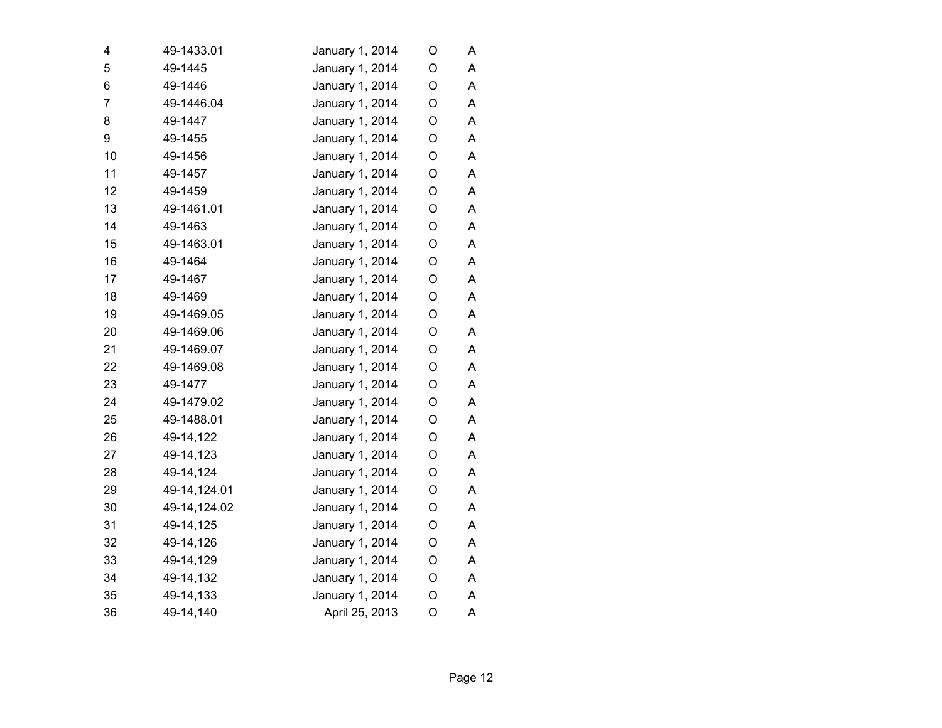| 4              | 49-1433.01    | January 1, 2014 | O           | A |
|----------------|---------------|-----------------|-------------|---|
| 5              | 49-1445       | January 1, 2014 | O           | A |
| 6              | 49-1446       | January 1, 2014 | O           | A |
| $\overline{7}$ | 49-1446.04    | January 1, 2014 | O           | A |
| 8              | 49-1447       | January 1, 2014 | O           | A |
| 9              | 49-1455       | January 1, 2014 | O           | A |
| 10             | 49-1456       | January 1, 2014 | $\mathsf O$ | A |
| 11             | 49-1457       | January 1, 2014 | $\mathsf O$ | A |
| 12             | 49-1459       | January 1, 2014 | O           | A |
| 13             | 49-1461.01    | January 1, 2014 | O           | A |
| 14             | 49-1463       | January 1, 2014 | O           | A |
| 15             | 49-1463.01    | January 1, 2014 | O           | A |
| 16             | 49-1464       | January 1, 2014 | O           | Α |
| 17             | 49-1467       | January 1, 2014 | O           | A |
| 18             | 49-1469       | January 1, 2014 | O           | A |
| 19             | 49-1469.05    | January 1, 2014 | O           | A |
| 20             | 49-1469.06    | January 1, 2014 | O           | A |
| 21             | 49-1469.07    | January 1, 2014 | O           | A |
| 22             | 49-1469.08    | January 1, 2014 | O           | A |
| 23             | 49-1477       | January 1, 2014 | O           | Α |
| 24             | 49-1479.02    | January 1, 2014 | O           | A |
| 25             | 49-1488.01    | January 1, 2014 | $\mathsf O$ | A |
| 26             | 49-14,122     | January 1, 2014 | O           | A |
| 27             | 49-14,123     | January 1, 2014 | O           | A |
| 28             | 49-14,124     | January 1, 2014 | O           | A |
| 29             | 49-14,124.01  | January 1, 2014 | $\mathsf O$ | A |
| 30             | 49-14, 124.02 | January 1, 2014 | O           | A |
| 31             | 49-14,125     | January 1, 2014 | O           | A |
| 32             | 49-14,126     | January 1, 2014 | O           | A |
| 33             | 49-14,129     | January 1, 2014 | O           | A |
| 34             | 49-14,132     | January 1, 2014 | O           | A |
| 35             | 49-14,133     | January 1, 2014 | O           | A |
| 36             | 49-14,140     | April 25, 2013  | O           | A |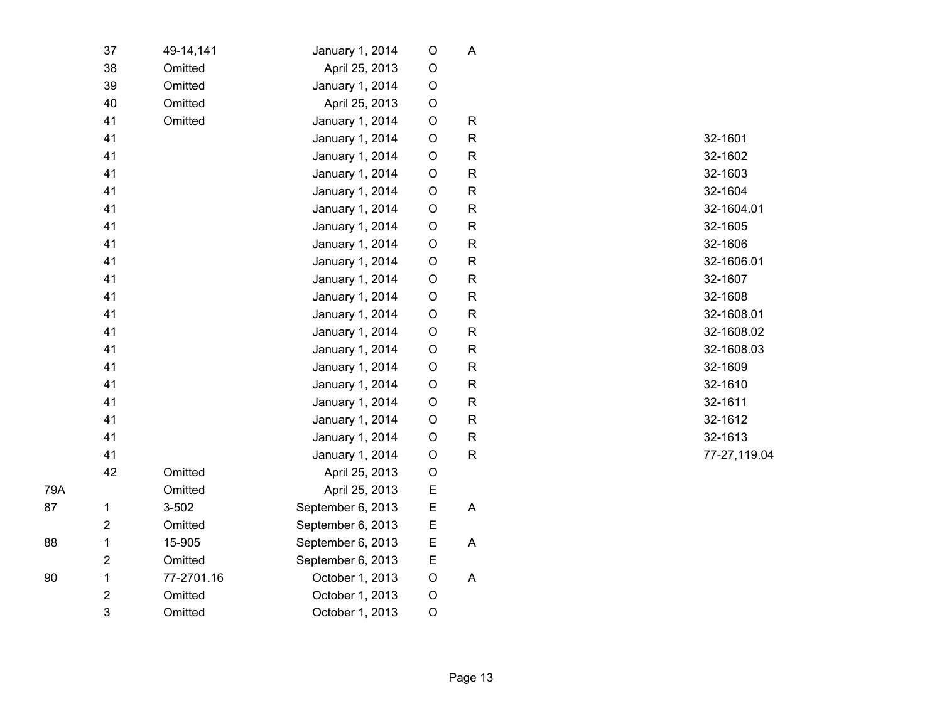|     | 37                      | 49-14,141  | January 1, 2014   | $\mathsf O$ | $\mathsf A$  |              |
|-----|-------------------------|------------|-------------------|-------------|--------------|--------------|
|     | 38                      | Omitted    | April 25, 2013    | $\mathsf O$ |              |              |
|     | 39                      | Omitted    | January 1, 2014   | $\circ$     |              |              |
|     | 40                      | Omitted    | April 25, 2013    | $\mathsf O$ |              |              |
|     | 41                      | Omitted    | January 1, 2014   | $\circ$     | ${\sf R}$    |              |
|     | 41                      |            | January 1, 2014   | $\mathsf O$ | ${\sf R}$    | 32-1601      |
|     | 41                      |            | January 1, 2014   | $\circ$     | ${\sf R}$    | 32-1602      |
|     | 41                      |            | January 1, 2014   | O           | ${\sf R}$    | 32-1603      |
|     | 41                      |            | January 1, 2014   | $\mathsf O$ | ${\sf R}$    | 32-1604      |
|     | 41                      |            | January 1, 2014   | $\circ$     | $\mathsf{R}$ | 32-1604.01   |
|     | 41                      |            | January 1, 2014   | $\mathsf O$ | ${\sf R}$    | 32-1605      |
|     | 41                      |            | January 1, 2014   | $\circ$     | ${\sf R}$    | 32-1606      |
|     | 41                      |            | January 1, 2014   | $\mathsf O$ | ${\sf R}$    | 32-1606.01   |
|     | 41                      |            | January 1, 2014   | $\circ$     | ${\sf R}$    | 32-1607      |
|     | 41                      |            | January 1, 2014   | O           | ${\sf R}$    | 32-1608      |
|     | 41                      |            | January 1, 2014   | O           | ${\sf R}$    | 32-1608.01   |
|     | 41                      |            | January 1, 2014   | $\mathsf O$ | $\mathsf{R}$ | 32-1608.02   |
|     | 41                      |            | January 1, 2014   | $\mathsf O$ | $\mathsf{R}$ | 32-1608.03   |
|     | 41                      |            | January 1, 2014   | $\mathsf O$ | ${\sf R}$    | 32-1609      |
|     | 41                      |            | January 1, 2014   | $\mathsf O$ | ${\sf R}$    | 32-1610      |
|     | 41                      |            | January 1, 2014   | $\mathsf O$ | ${\sf R}$    | 32-1611      |
|     | 41                      |            | January 1, 2014   | $\mathsf O$ | ${\sf R}$    | 32-1612      |
|     | 41                      |            | January 1, 2014   | $\circ$     | ${\sf R}$    | 32-1613      |
|     | 41                      |            | January 1, 2014   | $\mathsf O$ | ${\sf R}$    | 77-27,119.04 |
|     | 42                      | Omitted    | April 25, 2013    | $\circ$     |              |              |
| 79A |                         | Omitted    | April 25, 2013    | E           |              |              |
| 87  | $\mathbf{1}$            | 3-502      | September 6, 2013 | E           | A            |              |
|     | $\overline{\mathbf{c}}$ | Omitted    | September 6, 2013 | E           |              |              |
| 88  | $\mathbf 1$             | 15-905     | September 6, 2013 | E           | A            |              |
|     | $\mathbf 2$             | Omitted    | September 6, 2013 | E           |              |              |
| 90  | 1                       | 77-2701.16 | October 1, 2013   | $\mathsf O$ | A            |              |
|     | $\boldsymbol{2}$        | Omitted    | October 1, 2013   | $\mathsf O$ |              |              |
|     | 3                       | Omitted    | October 1, 2013   | $\bigcirc$  |              |              |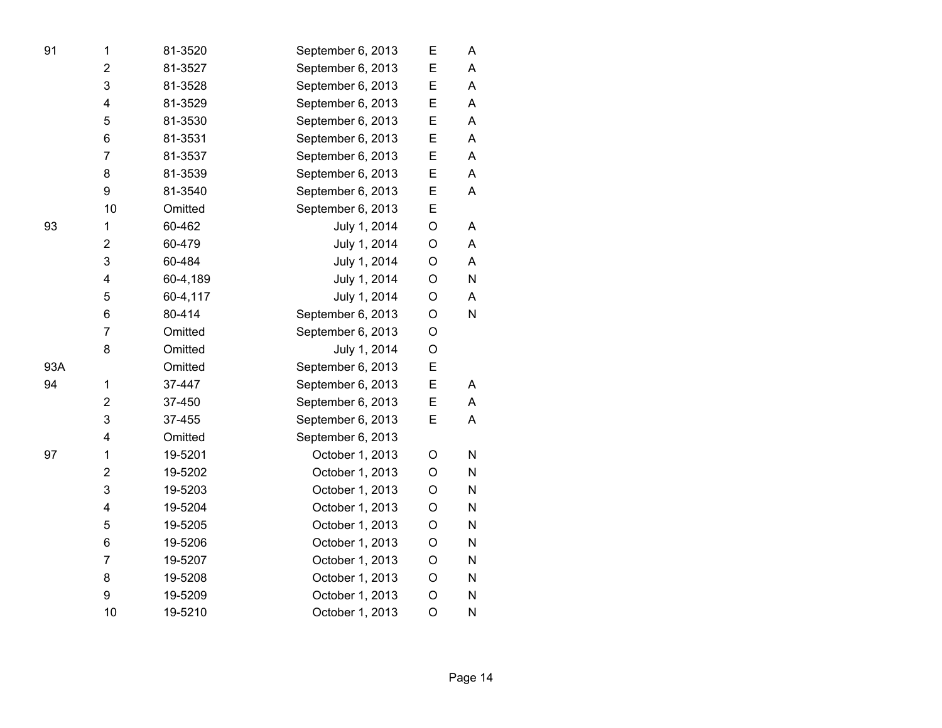| 91  | 1                       | 81-3520  | September 6, 2013 | Е           | A         |
|-----|-------------------------|----------|-------------------|-------------|-----------|
|     | 2                       | 81-3527  | September 6, 2013 | E           | A         |
|     | 3                       | 81-3528  | September 6, 2013 | E           | A         |
|     | 4                       | 81-3529  | September 6, 2013 | Е           | A         |
|     | 5                       | 81-3530  | September 6, 2013 | E           | A         |
|     | 6                       | 81-3531  | September 6, 2013 | E           | A         |
|     | $\overline{7}$          | 81-3537  | September 6, 2013 | E           | A         |
|     | 8                       | 81-3539  | September 6, 2013 | E           | A         |
|     | 9                       | 81-3540  | September 6, 2013 | E           | A         |
|     | 10                      | Omitted  | September 6, 2013 | E           |           |
| 93  | 1                       | 60-462   | July 1, 2014      | O           | Α         |
|     | $\overline{\mathbf{c}}$ | 60-479   | July 1, 2014      | O           | Α         |
|     | 3                       | 60-484   | July 1, 2014      | O           | A         |
|     | 4                       | 60-4,189 | July 1, 2014      | O           | ${\sf N}$ |
|     | 5                       | 60-4,117 | July 1, 2014      | O           | A         |
|     | 6                       | 80-414   | September 6, 2013 | O           | ${\sf N}$ |
|     | 7                       | Omitted  | September 6, 2013 | O           |           |
|     | 8                       | Omitted  | July 1, 2014      | $\mathsf O$ |           |
| 93A |                         | Omitted  | September 6, 2013 | E           |           |
| 94  | $\mathbf 1$             | 37-447   | September 6, 2013 | E           | A         |
|     | $\overline{\mathbf{c}}$ | 37-450   | September 6, 2013 | E           | A         |
|     | 3                       | 37-455   | September 6, 2013 | E           | A         |
|     | 4                       | Omitted  | September 6, 2013 |             |           |
| 97  | 1                       | 19-5201  | October 1, 2013   | O           | N         |
|     | $\overline{\mathbf{c}}$ | 19-5202  | October 1, 2013   | O           | N         |
|     | 3                       | 19-5203  | October 1, 2013   | O           | N         |
|     | 4                       | 19-5204  | October 1, 2013   | O           | N         |
|     | 5                       | 19-5205  | October 1, 2013   | O           | N         |
|     | 6                       | 19-5206  | October 1, 2013   | O           | N         |
|     | $\overline{7}$          | 19-5207  | October 1, 2013   | O           | N         |
|     | 8                       | 19-5208  | October 1, 2013   | O           | N         |
|     | 9                       | 19-5209  | October 1, 2013   | O           | N         |
|     | 10                      | 19-5210  | October 1, 2013   | $\circ$     | ${\sf N}$ |

|  | ÷             | × |
|--|---------------|---|
|  |               |   |
|  | ۰,<br>٦<br>۰, |   |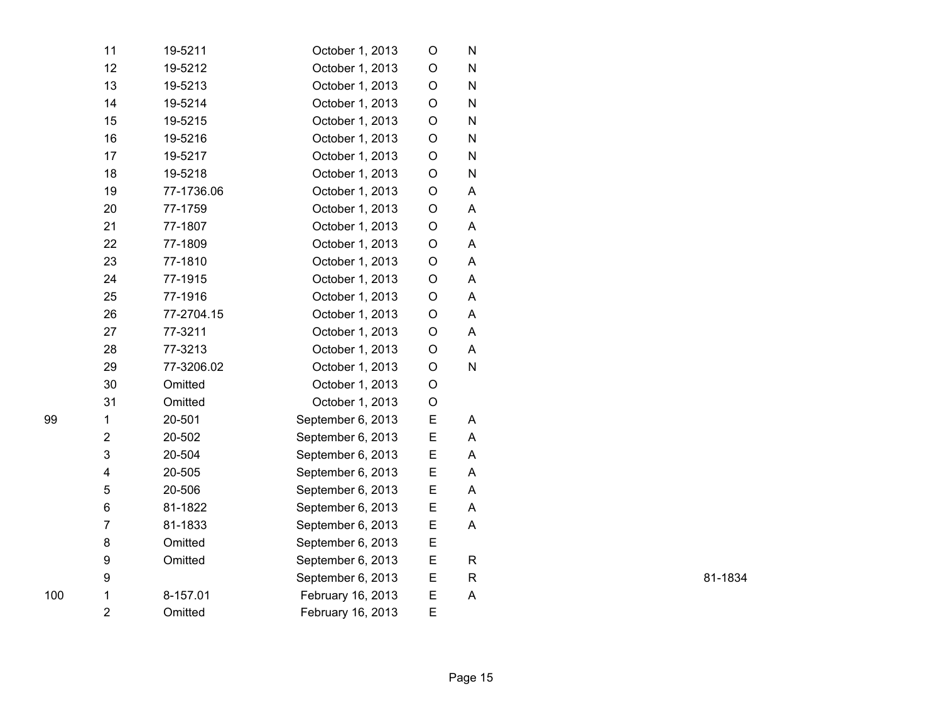| 11                      | 19-5211    | October 1, 2013   | O           | N         |
|-------------------------|------------|-------------------|-------------|-----------|
| 12                      | 19-5212    | October 1, 2013   | O           | N         |
| 13                      | 19-5213    | October 1, 2013   | O           | N         |
| 14                      | 19-5214    | October 1, 2013   | O           | N         |
| 15                      | 19-5215    | October 1, 2013   | O           | N         |
| 16                      | 19-5216    | October 1, 2013   | O           | N         |
| 17                      | 19-5217    | October 1, 2013   | $\mathsf O$ | N         |
| 18                      | 19-5218    | October 1, 2013   | O           | N         |
| 19                      | 77-1736.06 | October 1, 2013   | O           | A         |
| 20                      | 77-1759    | October 1, 2013   | $\mathsf O$ | A         |
| 21                      | 77-1807    | October 1, 2013   | O           | A         |
| 22                      | 77-1809    | October 1, 2013   | O           | Α         |
| 23                      | 77-1810    | October 1, 2013   | O           | A         |
| 24                      | 77-1915    | October 1, 2013   | O           | A         |
| 25                      | 77-1916    | October 1, 2013   | O           | A         |
| 26                      | 77-2704.15 | October 1, 2013   | O           | A         |
| 27                      | 77-3211    | October 1, 2013   | $\mathsf O$ | A         |
| 28                      | 77-3213    | October 1, 2013   | O           | A         |
| 29                      | 77-3206.02 | October 1, 2013   | O           | ${\sf N}$ |
| 30                      | Omitted    | October 1, 2013   | O           |           |
| 31                      | Omitted    | October 1, 2013   | O           |           |
| $\mathbf 1$             | 20-501     | September 6, 2013 | E           | A         |
| $\overline{2}$          | 20-502     | September 6, 2013 | E           | A         |
| 3                       | 20-504     | September 6, 2013 | E           | A         |
| $\overline{\mathbf{4}}$ | 20-505     | September 6, 2013 | E           | A         |
| 5                       | 20-506     | September 6, 2013 | E           | A         |
| 6                       | 81-1822    | September 6, 2013 | E           | A         |
| $\overline{7}$          | 81-1833    | September 6, 2013 | E           | A         |
| 8                       | Omitted    | September 6, 2013 | E           |           |
| 9                       | Omitted    | September 6, 2013 | E           | R         |
| 9                       |            | September 6, 2013 | Ε           | R         |
| 1                       | 8-157.01   | February 16, 2013 | E           | A         |
| 2                       | Omitted    | February 16, 2013 | E           |           |

R 81-1834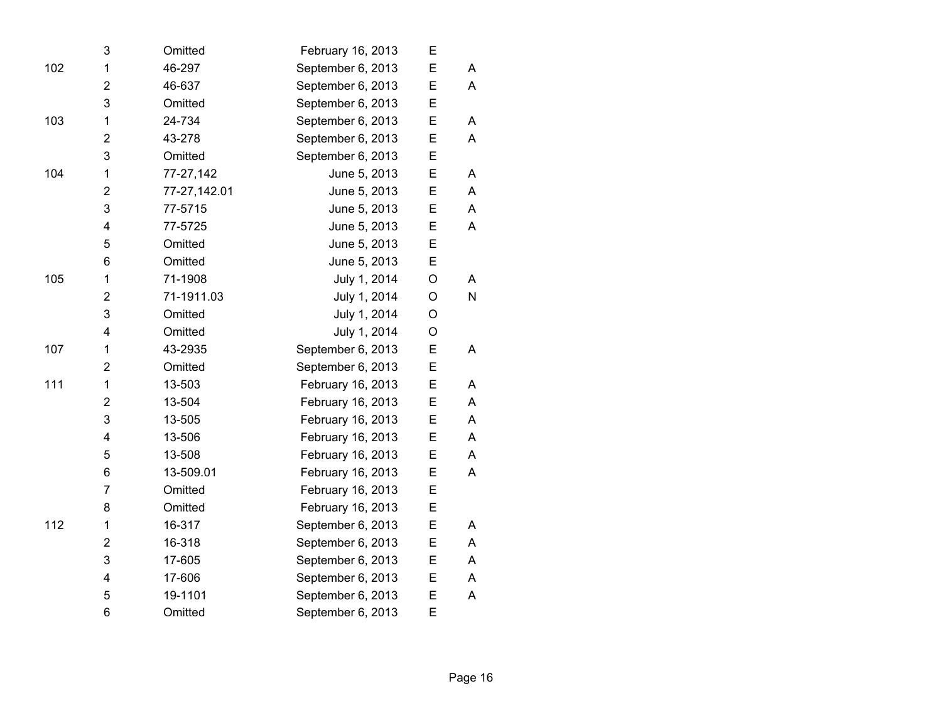|     | 3              | Omitted      | February 16, 2013 | Е |   |
|-----|----------------|--------------|-------------------|---|---|
| 102 | $\mathbf 1$    | 46-297       | September 6, 2013 | E | A |
|     | $\overline{2}$ | 46-637       | September 6, 2013 | E | A |
|     | 3              | Omitted      | September 6, 2013 | E |   |
| 103 | 1              | 24-734       | September 6, 2013 | E | A |
|     | $\overline{2}$ | 43-278       | September 6, 2013 | E | A |
|     | 3              | Omitted      | September 6, 2013 | E |   |
| 104 | 1              | 77-27,142    | June 5, 2013      | E | A |
|     | $\overline{2}$ | 77-27,142.01 | June 5, 2013      | E | A |
|     | 3              | 77-5715      | June 5, 2013      | E | A |
|     | 4              | 77-5725      | June 5, 2013      | E | A |
|     | 5              | Omitted      | June 5, 2013      | E |   |
|     | 6              | Omitted      | June 5, 2013      | E |   |
| 105 | 1              | 71-1908      | July 1, 2014      | O | A |
|     | 2              | 71-1911.03   | July 1, 2014      | O | N |
|     | 3              | Omitted      | July 1, 2014      | O |   |
|     | 4              | Omitted      | July 1, 2014      | O |   |
| 107 | 1              | 43-2935      | September 6, 2013 | E | A |
|     | $\overline{2}$ | Omitted      | September 6, 2013 | E |   |
| 111 | 1              | 13-503       | February 16, 2013 | E | A |
|     | $\overline{2}$ | 13-504       | February 16, 2013 | E | A |
|     | 3              | 13-505       | February 16, 2013 | E | A |
|     | 4              | 13-506       | February 16, 2013 | E | A |
|     | 5              | 13-508       | February 16, 2013 | E | A |
|     | 6              | 13-509.01    | February 16, 2013 | E | A |
|     | $\overline{7}$ | Omitted      | February 16, 2013 | E |   |
|     | 8              | Omitted      | February 16, 2013 | E |   |
| 112 | 1              | 16-317       | September 6, 2013 | E | A |
|     | $\overline{2}$ | 16-318       | September 6, 2013 | E | A |
|     | 3              | 17-605       | September 6, 2013 | E | A |
|     | 4              | 17-606       | September 6, 2013 | E | A |
|     | 5              | 19-1101      | September 6, 2013 | E | A |
|     | 6              | Omitted      | September 6, 2013 | E |   |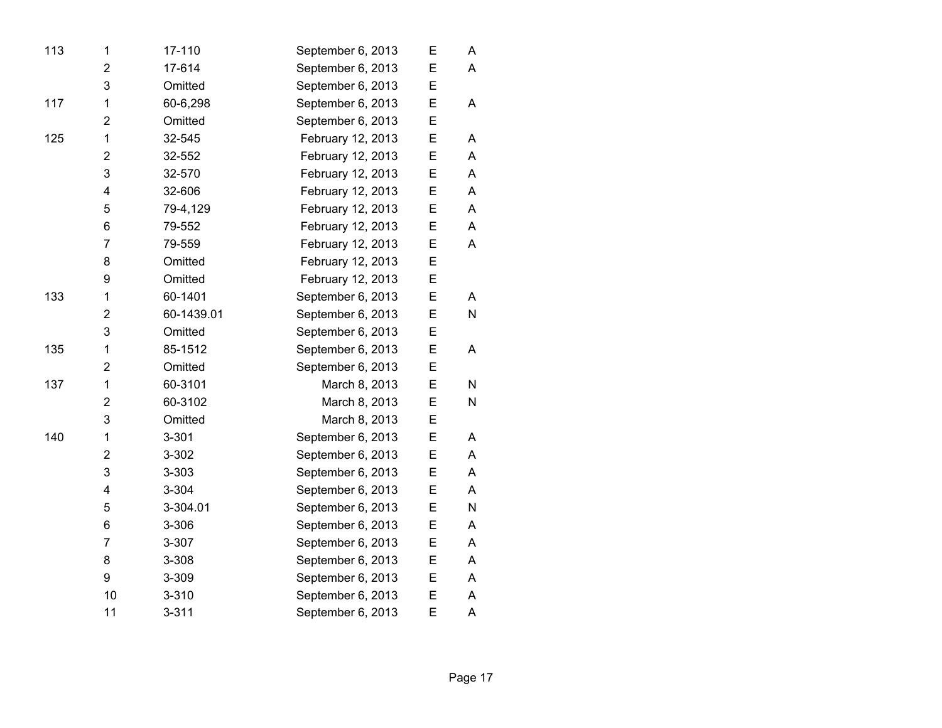| 113 | 1                       | 17-110     | September 6, 2013 | E | Α |
|-----|-------------------------|------------|-------------------|---|---|
|     | $\overline{2}$          | 17-614     | September 6, 2013 | E | A |
|     | 3                       | Omitted    | September 6, 2013 | E |   |
| 117 | 1                       | 60-6,298   | September 6, 2013 | E | A |
|     | $\overline{2}$          | Omitted    | September 6, 2013 | E |   |
| 125 | 1                       | 32-545     | February 12, 2013 | E | A |
|     | $\overline{2}$          | 32-552     | February 12, 2013 | E | A |
|     | 3                       | 32-570     | February 12, 2013 | E | A |
|     | $\overline{\mathbf{4}}$ | 32-606     | February 12, 2013 | E | A |
|     | 5                       | 79-4,129   | February 12, 2013 | E | A |
|     | 6                       | 79-552     | February 12, 2013 | E | A |
|     | $\overline{7}$          | 79-559     | February 12, 2013 | E | A |
|     | 8                       | Omitted    | February 12, 2013 | E |   |
|     | 9                       | Omitted    | February 12, 2013 | E |   |
| 133 | $\mathbf 1$             | 60-1401    | September 6, 2013 | E | A |
|     | $\overline{2}$          | 60-1439.01 | September 6, 2013 | E | N |
|     | 3                       | Omitted    | September 6, 2013 | E |   |
| 135 | 1                       | 85-1512    | September 6, 2013 | E | A |
|     | $\overline{2}$          | Omitted    | September 6, 2013 | E |   |
| 137 | $\mathbf{1}$            | 60-3101    | March 8, 2013     | E | N |
|     | $\overline{2}$          | 60-3102    | March 8, 2013     | E | N |
|     | 3                       | Omitted    | March 8, 2013     | E |   |
| 140 | 1                       | $3 - 301$  | September 6, 2013 | E | A |
|     | $\overline{2}$          | 3-302      | September 6, 2013 | E | A |
|     | 3                       | 3-303      | September 6, 2013 | E | A |
|     | 4                       | 3-304      | September 6, 2013 | E | A |
|     | 5                       | 3-304.01   | September 6, 2013 | E | N |
|     | 6                       | 3-306      | September 6, 2013 | E | A |
|     | $\overline{7}$          | 3-307      | September 6, 2013 | E | A |
|     | 8                       | 3-308      | September 6, 2013 | E | A |
|     | 9                       | 3-309      | September 6, 2013 | E | A |
|     | 10                      | 3-310      | September 6, 2013 | E | A |
|     | 11                      | $3 - 311$  | September 6, 2013 | E | A |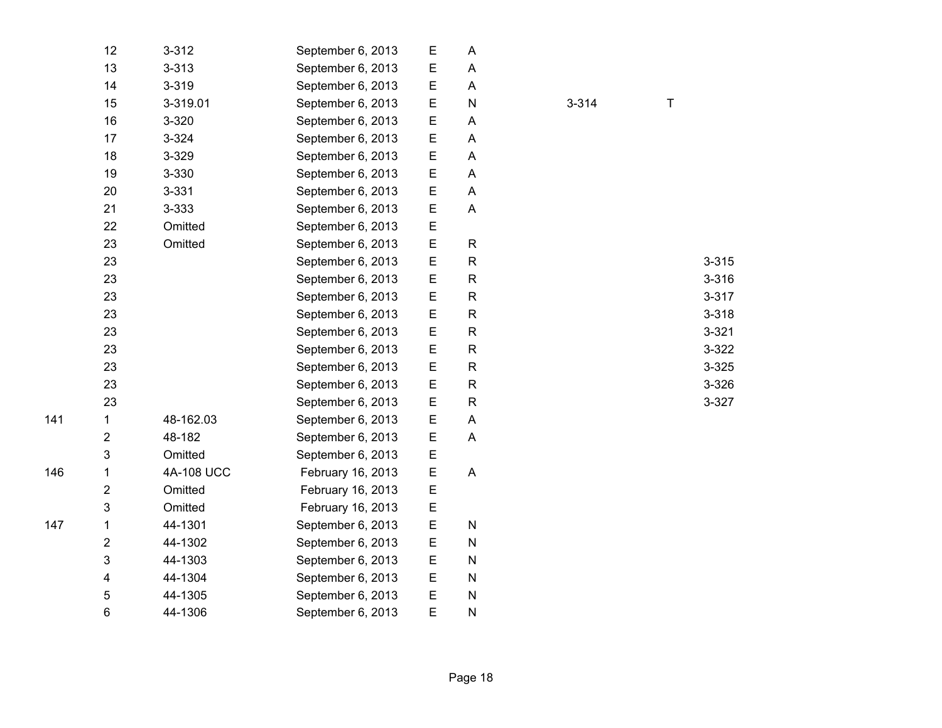| 12             | $3 - 312$  | September 6, 2013 | E           | A                         |           |        |           |
|----------------|------------|-------------------|-------------|---------------------------|-----------|--------|-----------|
| 13             | $3 - 313$  | September 6, 2013 | E           | A                         |           |        |           |
| 14             | $3 - 319$  | September 6, 2013 | E           | A                         |           |        |           |
| 15             | 3-319.01   | September 6, 2013 | $\mathsf E$ | ${\sf N}$                 | $3 - 314$ | $\top$ |           |
| 16             | 3-320      | September 6, 2013 | E           | A                         |           |        |           |
| 17             | $3 - 324$  | September 6, 2013 | E           | A                         |           |        |           |
| 18             | 3-329      | September 6, 2013 | E           | A                         |           |        |           |
| 19             | 3-330      | September 6, 2013 | E           | Α                         |           |        |           |
| 20             | $3 - 331$  | September 6, 2013 | E           | Α                         |           |        |           |
| 21             | 3-333      | September 6, 2013 | E           | A                         |           |        |           |
| 22             | Omitted    | September 6, 2013 | E           |                           |           |        |           |
| 23             | Omitted    | September 6, 2013 | E           | R                         |           |        |           |
| 23             |            | September 6, 2013 | E           | ${\sf R}$                 |           |        | $3 - 315$ |
| 23             |            | September 6, 2013 | E           | ${\sf R}$                 |           |        | $3 - 316$ |
| 23             |            | September 6, 2013 | E           | $\mathsf R$               |           |        | $3 - 317$ |
| 23             |            | September 6, 2013 | E           | ${\sf R}$                 |           |        | $3 - 318$ |
| 23             |            | September 6, 2013 | E           | ${\sf R}$                 |           |        | $3 - 321$ |
| 23             |            | September 6, 2013 | E           | $\mathsf{R}$              |           |        | 3-322     |
| 23             |            | September 6, 2013 | E           | ${\sf R}$                 |           |        | 3-325     |
| 23             |            | September 6, 2013 | E           | ${\sf R}$                 |           |        | 3-326     |
| 23             |            | September 6, 2013 | E           | $\mathsf R$               |           |        | 3-327     |
| 1              | 48-162.03  | September 6, 2013 | E           | A                         |           |        |           |
| $\overline{c}$ | 48-182     | September 6, 2013 | E           | A                         |           |        |           |
| 3              | Omitted    | September 6, 2013 | E           |                           |           |        |           |
| 1              | 4A-108 UCC | February 16, 2013 | E           | $\boldsymbol{\mathsf{A}}$ |           |        |           |
| $\mathbf{2}$   | Omitted    | February 16, 2013 | E           |                           |           |        |           |
| 3              | Omitted    | February 16, 2013 | E           |                           |           |        |           |
| 1              | 44-1301    | September 6, 2013 | E           | ${\sf N}$                 |           |        |           |
| 2              | 44-1302    | September 6, 2013 | E           | ${\sf N}$                 |           |        |           |
| 3              | 44-1303    | September 6, 2013 | E           | ${\sf N}$                 |           |        |           |
| 4              | 44-1304    | September 6, 2013 | E           | ${\sf N}$                 |           |        |           |
| 5              | 44-1305    | September 6, 2013 | E           | ${\sf N}$                 |           |        |           |
| 6              | 44-1306    | September 6, 2013 | E           | N                         |           |        |           |
|                |            |                   |             |                           |           |        |           |

146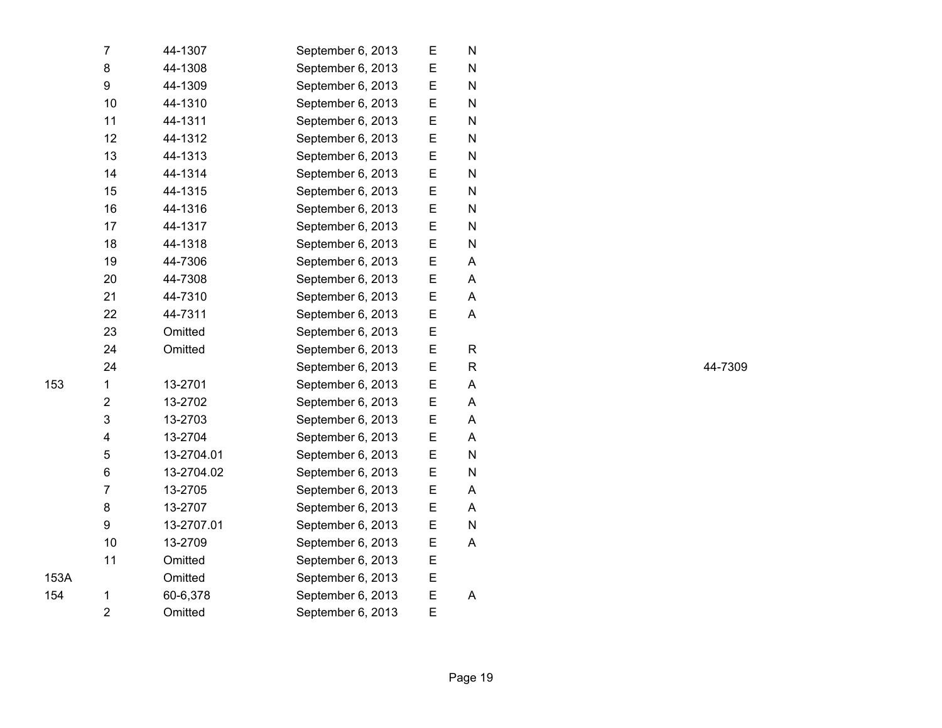|      | 7                       | 44-1307    | September 6, 2013 | E | N |
|------|-------------------------|------------|-------------------|---|---|
|      | 8                       | 44-1308    | September 6, 2013 | E | N |
|      | 9                       | 44-1309    | September 6, 2013 | E | N |
|      | 10                      | 44-1310    | September 6, 2013 | E | N |
|      | 11                      | 44-1311    | September 6, 2013 | E | N |
|      | 12                      | 44-1312    | September 6, 2013 | E | N |
|      | 13                      | 44-1313    | September 6, 2013 | E | N |
|      | 14                      | 44-1314    | September 6, 2013 | E | N |
|      | 15                      | 44-1315    | September 6, 2013 | E | N |
|      | 16                      | 44-1316    | September 6, 2013 | E | N |
|      | 17                      | 44-1317    | September 6, 2013 | E | N |
|      | 18                      | 44-1318    | September 6, 2013 | E | N |
|      | 19                      | 44-7306    | September 6, 2013 | E | Α |
|      | 20                      | 44-7308    | September 6, 2013 | E | A |
|      | 21                      | 44-7310    | September 6, 2013 | E | A |
|      | 22                      | 44-7311    | September 6, 2013 | E | A |
|      | 23                      | Omitted    | September 6, 2013 | E |   |
|      | 24                      | Omitted    | September 6, 2013 | E | R |
|      | 24                      |            | September 6, 2013 | E | R |
| 153  | 1                       | 13-2701    | September 6, 2013 | E | A |
|      | $\overline{2}$          | 13-2702    | September 6, 2013 | E | A |
|      | 3                       | 13-2703    | September 6, 2013 | E | A |
|      | $\overline{\mathbf{4}}$ | 13-2704    | September 6, 2013 | E | A |
|      | 5                       | 13-2704.01 | September 6, 2013 | E | N |
|      | 6                       | 13-2704.02 | September 6, 2013 | E | N |
|      | $\overline{7}$          | 13-2705    | September 6, 2013 | E | A |
|      | 8                       | 13-2707    | September 6, 2013 | E | A |
|      | 9                       | 13-2707.01 | September 6, 2013 | E | N |
|      | 10                      | 13-2709    | September 6, 2013 | E | A |
|      | 11                      | Omitted    | September 6, 2013 | E |   |
| 153A |                         | Omitted    | September 6, 2013 | E |   |
| 154  | 1                       | 60-6,378   | September 6, 2013 | E | Α |
|      | $\overline{2}$          | Omitted    | September 6, 2013 | E |   |

154

R 44-7309

Page 19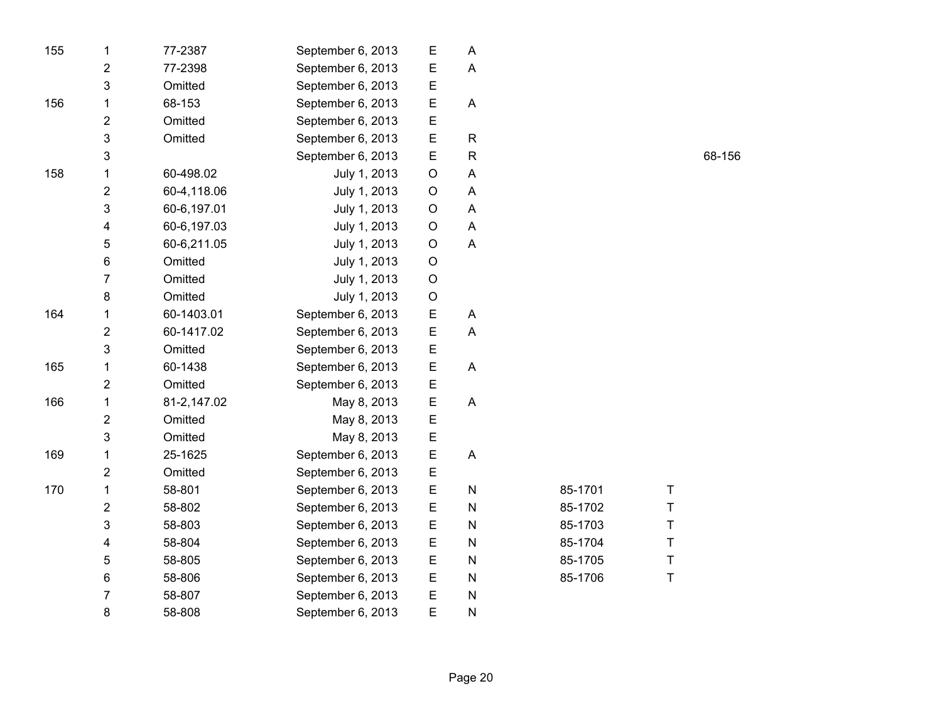| 155 | $\mathbf 1$               | 77-2387     | September 6, 2013 | E           | Α                         |         |
|-----|---------------------------|-------------|-------------------|-------------|---------------------------|---------|
|     | $\mathbf 2$               | 77-2398     | September 6, 2013 | E           | A                         |         |
|     | 3                         | Omitted     | September 6, 2013 | E           |                           |         |
| 156 | 1                         | 68-153      | September 6, 2013 | E           | A                         |         |
|     | $\boldsymbol{2}$          | Omitted     | September 6, 2013 | E           |                           |         |
|     | 3                         | Omitted     | September 6, 2013 | E           | $\mathsf{R}$              |         |
|     | $\ensuremath{\mathsf{3}}$ |             | September 6, 2013 | $\mathsf E$ | $\mathsf{R}$              |         |
| 158 | 1                         | 60-498.02   | July 1, 2013      | $\mathsf O$ | A                         |         |
|     | $\mathbf 2$               | 60-4,118.06 | July 1, 2013      | $\circ$     | A                         |         |
|     | $\mathsf 3$               | 60-6,197.01 | July 1, 2013      | $\circ$     | A                         |         |
|     | 4                         | 60-6,197.03 | July 1, 2013      | $\circ$     | A                         |         |
|     | $\mathbf 5$               | 60-6,211.05 | July 1, 2013      | O           | A                         |         |
|     | $\,6$                     | Omitted     | July 1, 2013      | $\circ$     |                           |         |
|     | 7                         | Omitted     | July 1, 2013      | $\circ$     |                           |         |
|     | 8                         | Omitted     | July 1, 2013      | $\mathsf O$ |                           |         |
| 164 | 1                         | 60-1403.01  | September 6, 2013 | E           | A                         |         |
|     | $\mathbf 2$               | 60-1417.02  | September 6, 2013 | E           | A                         |         |
|     | $\mathbf{3}$              | Omitted     | September 6, 2013 | E           |                           |         |
| 165 | 1                         | 60-1438     | September 6, 2013 | E           | $\boldsymbol{\mathsf{A}}$ |         |
|     | $\boldsymbol{2}$          | Omitted     | September 6, 2013 | E           |                           |         |
| 166 | 1                         | 81-2,147.02 | May 8, 2013       | E           | A                         |         |
|     | $\boldsymbol{2}$          | Omitted     | May 8, 2013       | E           |                           |         |
|     | $\mathsf 3$               | Omitted     | May 8, 2013       | E           |                           |         |
| 169 | 1                         | 25-1625     | September 6, 2013 | E           | A                         |         |
|     | $\mathbf 2$               | Omitted     | September 6, 2013 | E           |                           |         |
| 170 | 1                         | 58-801      | September 6, 2013 | $\mathsf E$ | ${\sf N}$                 | 85-1701 |
|     | $\mathbf 2$               | 58-802      | September 6, 2013 | E           | N                         | 85-1702 |
|     | 3                         | 58-803      | September 6, 2013 | E           | ${\sf N}$                 | 85-1703 |
|     | 4                         | 58-804      | September 6, 2013 | E           | ${\sf N}$                 | 85-1704 |
|     | $\mathbf 5$               | 58-805      | September 6, 2013 | E           | ${\sf N}$                 | 85-1705 |
|     | $\,6$                     | 58-806      | September 6, 2013 | E           | N                         | 85-1706 |
|     | 7                         | 58-807      | September 6, 2013 | E           | N                         |         |
|     | 8                         | 58-808      | September 6, 2013 | E           | N                         |         |

68-156

T

T

T

T

T

T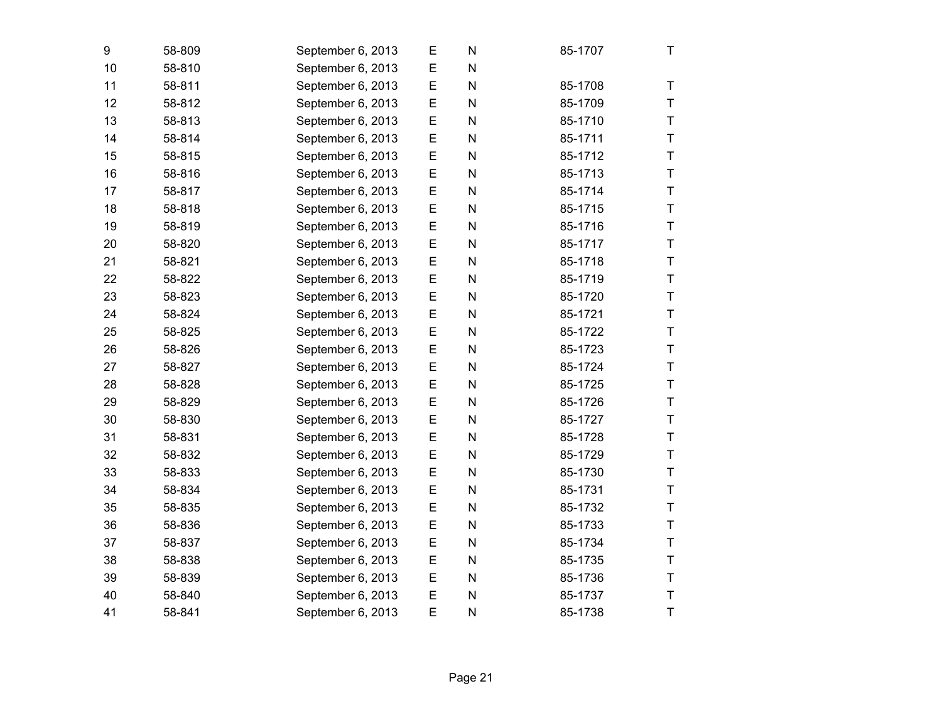| $\boldsymbol{9}$ | 58-809 | September 6, 2013 | Ε | ${\sf N}$    | 85-1707 | Τ |
|------------------|--------|-------------------|---|--------------|---------|---|
| 10               | 58-810 | September 6, 2013 | E | N            |         |   |
| 11               | 58-811 | September 6, 2013 | E | N            | 85-1708 | T |
| 12               | 58-812 | September 6, 2013 | E | N            | 85-1709 | T |
| 13               | 58-813 | September 6, 2013 | E | N            | 85-1710 | T |
| 14               | 58-814 | September 6, 2013 | E | N            | 85-1711 | T |
| 15               | 58-815 | September 6, 2013 | Е | $\mathsf{N}$ | 85-1712 | Τ |
| 16               | 58-816 | September 6, 2013 | E | N            | 85-1713 | T |
| 17               | 58-817 | September 6, 2013 | E | ${\sf N}$    | 85-1714 | Τ |
| 18               | 58-818 | September 6, 2013 | E | N            | 85-1715 | T |
| 19               | 58-819 | September 6, 2013 | E | N            | 85-1716 | T |
| 20               | 58-820 | September 6, 2013 | E | $\mathsf{N}$ | 85-1717 | T |
| 21               | 58-821 | September 6, 2013 | E | N            | 85-1718 | T |
| 22               | 58-822 | September 6, 2013 | Е | N            | 85-1719 | T |
| 23               | 58-823 | September 6, 2013 | E | N            | 85-1720 | T |
| 24               | 58-824 | September 6, 2013 | E | ${\sf N}$    | 85-1721 | Τ |
| 25               | 58-825 | September 6, 2013 | E | N            | 85-1722 | T |
| 26               | 58-826 | September 6, 2013 | E | N            | 85-1723 | Τ |
| 27               | 58-827 | September 6, 2013 | E | ${\sf N}$    | 85-1724 | T |
| 28               | 58-828 | September 6, 2013 | E | ${\sf N}$    | 85-1725 | T |
| 29               | 58-829 | September 6, 2013 | E | N            | 85-1726 | T |
| 30               | 58-830 | September 6, 2013 | E | N            | 85-1727 | Τ |
| 31               | 58-831 | September 6, 2013 | E | N            | 85-1728 | Τ |
| 32               | 58-832 | September 6, 2013 | Е | ${\sf N}$    | 85-1729 | T |
| 33               | 58-833 | September 6, 2013 | E | N            | 85-1730 | Τ |
| 34               | 58-834 | September 6, 2013 | E | N            | 85-1731 | Τ |
| 35               | 58-835 | September 6, 2013 | E | $\mathsf{N}$ | 85-1732 | Τ |
| 36               | 58-836 | September 6, 2013 | E | N            | 85-1733 | T |
| 37               | 58-837 | September 6, 2013 | E | N            | 85-1734 | T |
| 38               | 58-838 | September 6, 2013 | E | $\mathsf{N}$ | 85-1735 | T |
| 39               | 58-839 | September 6, 2013 | E | $\mathsf{N}$ | 85-1736 | T |
| 40               | 58-840 | September 6, 2013 | E | N            | 85-1737 | T |
| 41               | 58-841 | September 6, 2013 | E | N            | 85-1738 | T |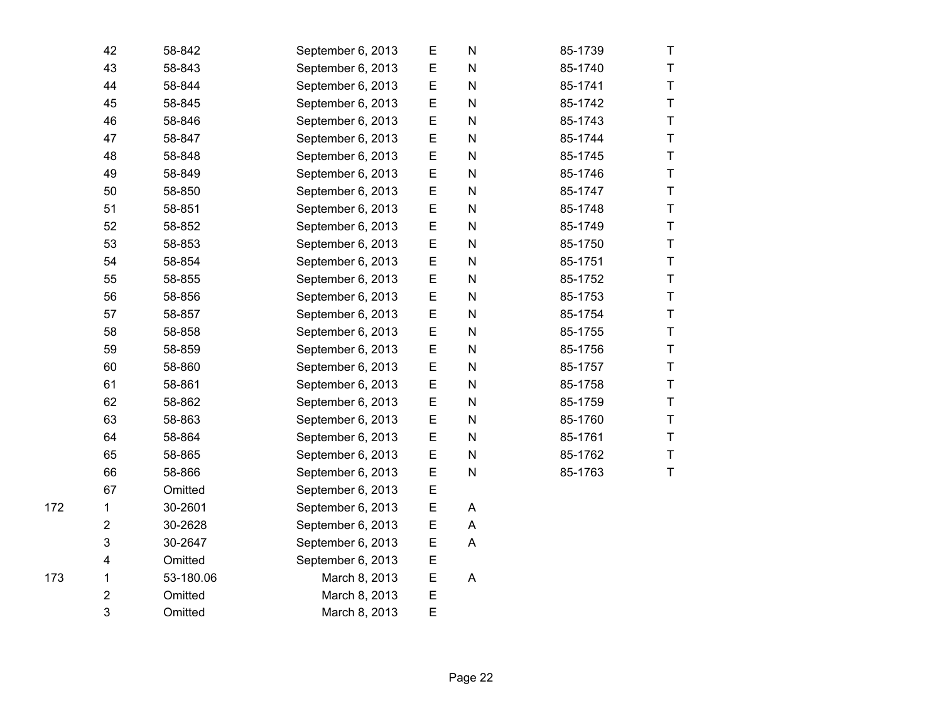| 42                      | 58-842    | September 6, 2013 | E | N | 85-1739 | T              |
|-------------------------|-----------|-------------------|---|---|---------|----------------|
| 43                      | 58-843    | September 6, 2013 | E | N | 85-1740 | $\mathsf T$    |
| 44                      | 58-844    | September 6, 2013 | E | N | 85-1741 | $\mathsf T$    |
| 45                      | 58-845    | September 6, 2013 | E | N | 85-1742 | $\overline{1}$ |
| 46                      | 58-846    | September 6, 2013 | E | N | 85-1743 | T              |
| 47                      | 58-847    | September 6, 2013 | E | N | 85-1744 | T              |
| 48                      | 58-848    | September 6, 2013 | E | N | 85-1745 | T              |
| 49                      | 58-849    | September 6, 2013 | E | N | 85-1746 | $\mathsf T$    |
| 50                      | 58-850    | September 6, 2013 | E | N | 85-1747 | T              |
| 51                      | 58-851    | September 6, 2013 | E | N | 85-1748 | $\mathsf T$    |
| 52                      | 58-852    | September 6, 2013 | E | N | 85-1749 | T              |
| 53                      | 58-853    | September 6, 2013 | E | N | 85-1750 | T              |
| 54                      | 58-854    | September 6, 2013 | E | N | 85-1751 | T              |
| 55                      | 58-855    | September 6, 2013 | Ε | N | 85-1752 | $\mathsf T$    |
| 56                      | 58-856    | September 6, 2013 | E | N | 85-1753 | $\mathsf T$    |
| 57                      | 58-857    | September 6, 2013 | Ε | N | 85-1754 | T              |
| 58                      | 58-858    | September 6, 2013 | E | N | 85-1755 | T              |
| 59                      | 58-859    | September 6, 2013 | E | N | 85-1756 | T              |
| 60                      | 58-860    | September 6, 2013 | E | N | 85-1757 | T              |
| 61                      | 58-861    | September 6, 2013 | E | N | 85-1758 | $\mathsf T$    |
| 62                      | 58-862    | September 6, 2013 | E | N | 85-1759 | $\overline{1}$ |
| 63                      | 58-863    | September 6, 2013 | E | N | 85-1760 | T              |
| 64                      | 58-864    | September 6, 2013 | E | N | 85-1761 | $\mathsf T$    |
| 65                      | 58-865    | September 6, 2013 | E | N | 85-1762 | $\mathsf T$    |
| 66                      | 58-866    | September 6, 2013 | E | N | 85-1763 | T              |
| 67                      | Omitted   | September 6, 2013 | E |   |         |                |
| 1                       | 30-2601   | September 6, 2013 | Ε | A |         |                |
| $\overline{\mathbf{c}}$ | 30-2628   | September 6, 2013 | E | A |         |                |
| $\mathsf 3$             | 30-2647   | September 6, 2013 | E | A |         |                |
| 4                       | Omitted   | September 6, 2013 | Ε |   |         |                |
| 1                       | 53-180.06 | March 8, 2013     | E | A |         |                |
| $\mathbf 2$             | Omitted   | March 8, 2013     | E |   |         |                |
| 3                       | Omitted   | March 8, 2013     | E |   |         |                |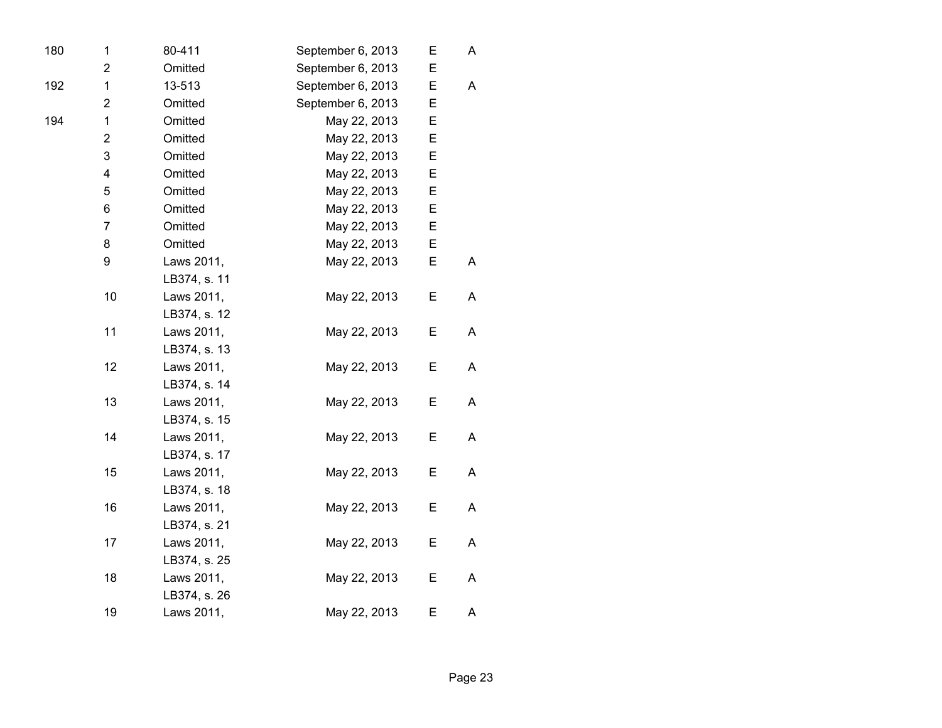| 180 | $\mathbf 1$             | 80-411       | September 6, 2013 | Ε | A |  |
|-----|-------------------------|--------------|-------------------|---|---|--|
|     | $\overline{\mathbf{c}}$ | Omitted      | September 6, 2013 | E |   |  |
| 192 | $\mathbf 1$             | 13-513       | September 6, 2013 | E | A |  |
|     | 2                       | Omitted      | September 6, 2013 | E |   |  |
| 194 | $\mathbf{1}$            | Omitted      | May 22, 2013      | E |   |  |
|     | $\overline{\mathbf{c}}$ | Omitted      | May 22, 2013      | E |   |  |
|     | 3                       | Omitted      | May 22, 2013      | E |   |  |
|     | 4                       | Omitted      | May 22, 2013      | E |   |  |
|     | 5                       | Omitted      | May 22, 2013      | Ε |   |  |
|     | 6                       | Omitted      | May 22, 2013      | E |   |  |
|     | $\overline{7}$          | Omitted      | May 22, 2013      | E |   |  |
|     | 8                       | Omitted      | May 22, 2013      | Е |   |  |
|     | 9                       | Laws 2011,   | May 22, 2013      | E | A |  |
|     |                         | LB374, s. 11 |                   |   |   |  |
|     | 10                      | Laws 2011,   | May 22, 2013      | E | A |  |
|     |                         | LB374, s. 12 |                   |   |   |  |
|     | 11                      | Laws 2011,   | May 22, 2013      | Ε | Α |  |
|     |                         | LB374, s. 13 |                   |   |   |  |
|     | 12                      | Laws 2011,   | May 22, 2013      | Е | A |  |
|     |                         | LB374, s. 14 |                   |   |   |  |
|     | 13                      | Laws 2011,   | May 22, 2013      | Ε | Α |  |
|     |                         | LB374, s. 15 |                   |   |   |  |
|     | 14                      | Laws 2011,   | May 22, 2013      | Ε | Α |  |
|     |                         | LB374, s. 17 |                   |   |   |  |
|     | 15                      | Laws 2011,   | May 22, 2013      | E | A |  |
|     |                         | LB374, s. 18 |                   |   |   |  |
|     | 16                      | Laws 2011,   | May 22, 2013      | Ε | A |  |
|     |                         | LB374, s. 21 |                   |   |   |  |
|     | 17                      | Laws 2011,   | May 22, 2013      | Ε | A |  |
|     |                         | LB374, s. 25 |                   |   |   |  |
|     | 18                      | Laws 2011,   | May 22, 2013      | Е | A |  |
|     |                         | LB374, s. 26 |                   |   |   |  |
|     | 19                      | Laws 2011,   | May 22, 2013      | Е | Α |  |

Page 23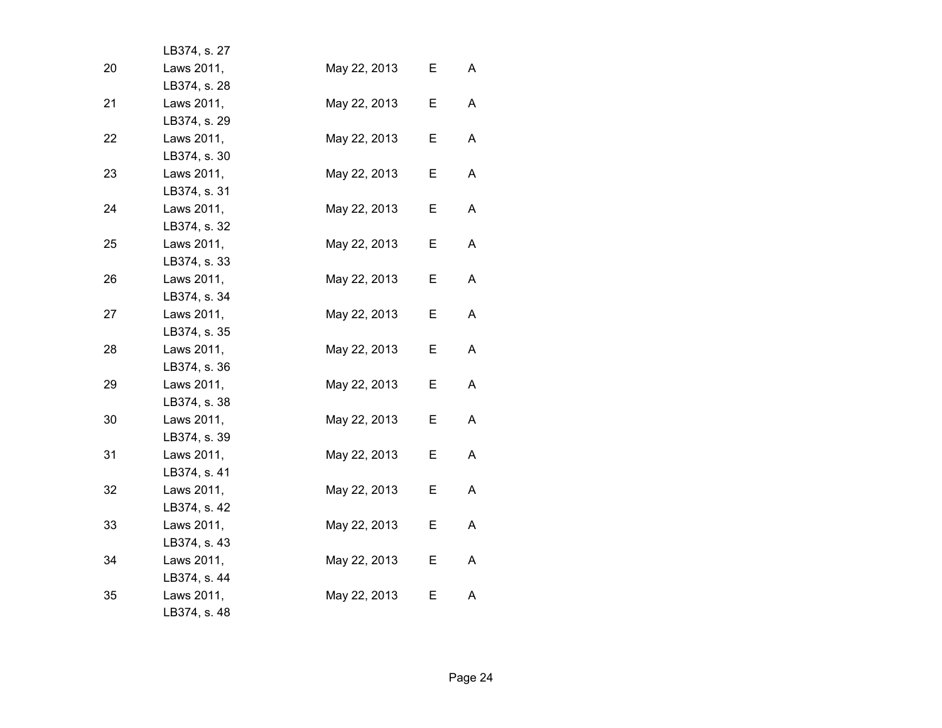|    | LB374, s. 27 |              |    |   |  |
|----|--------------|--------------|----|---|--|
| 20 | Laws 2011,   | May 22, 2013 | E. | A |  |
|    | LB374, s. 28 |              |    |   |  |
| 21 | Laws 2011,   | May 22, 2013 | Е  | A |  |
|    | LB374, s. 29 |              |    |   |  |
| 22 | Laws 2011,   | May 22, 2013 | E  | A |  |
|    | LB374, s. 30 |              |    |   |  |
| 23 | Laws 2011,   | May 22, 2013 | Е  | A |  |
|    | LB374, s. 31 |              |    |   |  |
| 24 | Laws 2011,   | May 22, 2013 | E  | A |  |
|    | LB374, s. 32 |              |    |   |  |
| 25 | Laws 2011,   | May 22, 2013 | Е  | A |  |
|    | LB374, s. 33 |              |    |   |  |
| 26 | Laws 2011,   | May 22, 2013 | E. | A |  |
|    | LB374, s. 34 |              |    |   |  |
| 27 | Laws 2011,   | May 22, 2013 | Е  | A |  |
|    | LB374, s. 35 |              |    |   |  |
| 28 | Laws 2011,   | May 22, 2013 | E  | A |  |
|    | LB374, s. 36 |              |    |   |  |
| 29 | Laws 2011,   | May 22, 2013 | Е  | A |  |
|    | LB374, s. 38 |              |    |   |  |
| 30 | Laws 2011,   | May 22, 2013 | E  | A |  |
|    | LB374, s. 39 |              |    |   |  |
| 31 | Laws 2011,   | May 22, 2013 | Е  | A |  |
|    | LB374, s. 41 |              |    |   |  |
| 32 | Laws 2011,   | May 22, 2013 | E. | A |  |
|    | LB374, s. 42 |              |    |   |  |
| 33 | Laws 2011,   | May 22, 2013 | Е  | A |  |
|    | LB374, s. 43 |              |    |   |  |
| 34 | Laws 2011,   | May 22, 2013 | E. | A |  |
|    | LB374, s. 44 |              |    |   |  |
| 35 | Laws 2011,   | May 22, 2013 | Е  | Α |  |
|    | LB374, s. 48 |              |    |   |  |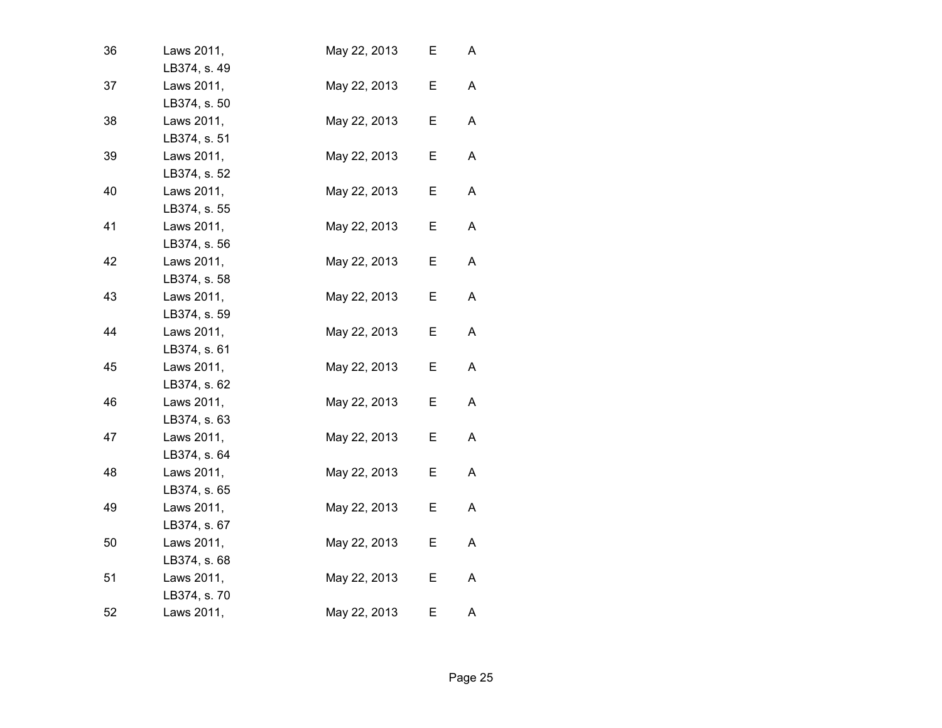| 36 | Laws 2011,<br>LB374, s. 49 | May 22, 2013 | Е  | A |  |
|----|----------------------------|--------------|----|---|--|
| 37 | Laws 2011,                 | May 22, 2013 | E  | A |  |
| 38 | LB374, s. 50<br>Laws 2011, | May 22, 2013 | Е  | A |  |
| 39 | LB374, s. 51<br>Laws 2011, | May 22, 2013 | Е  | A |  |
| 40 | LB374, s. 52<br>Laws 2011, | May 22, 2013 | Е  | A |  |
| 41 | LB374, s. 55<br>Laws 2011, | May 22, 2013 | Е  | A |  |
| 42 | LB374, s. 56<br>Laws 2011, | May 22, 2013 | E. | A |  |
| 43 | LB374, s. 58<br>Laws 2011, | May 22, 2013 | Е  | A |  |
| 44 | LB374, s. 59<br>Laws 2011, | May 22, 2013 | Е  | A |  |
| 45 | LB374, s. 61<br>Laws 2011, | May 22, 2013 | E  | A |  |
| 46 | LB374, s. 62<br>Laws 2011, | May 22, 2013 | Е  | A |  |
| 47 | LB374, s. 63<br>Laws 2011, | May 22, 2013 | Е  | A |  |
| 48 | LB374, s. 64<br>Laws 2011, | May 22, 2013 | Е  | A |  |
| 49 | LB374, s. 65<br>Laws 2011, | May 22, 2013 | Е  | A |  |
| 50 | LB374, s. 67<br>Laws 2011, | May 22, 2013 | E. | A |  |
| 51 | LB374, s. 68<br>Laws 2011, | May 22, 2013 | Е  | Α |  |
| 52 | LB374, s. 70<br>Laws 2011, | May 22, 2013 | Е  | A |  |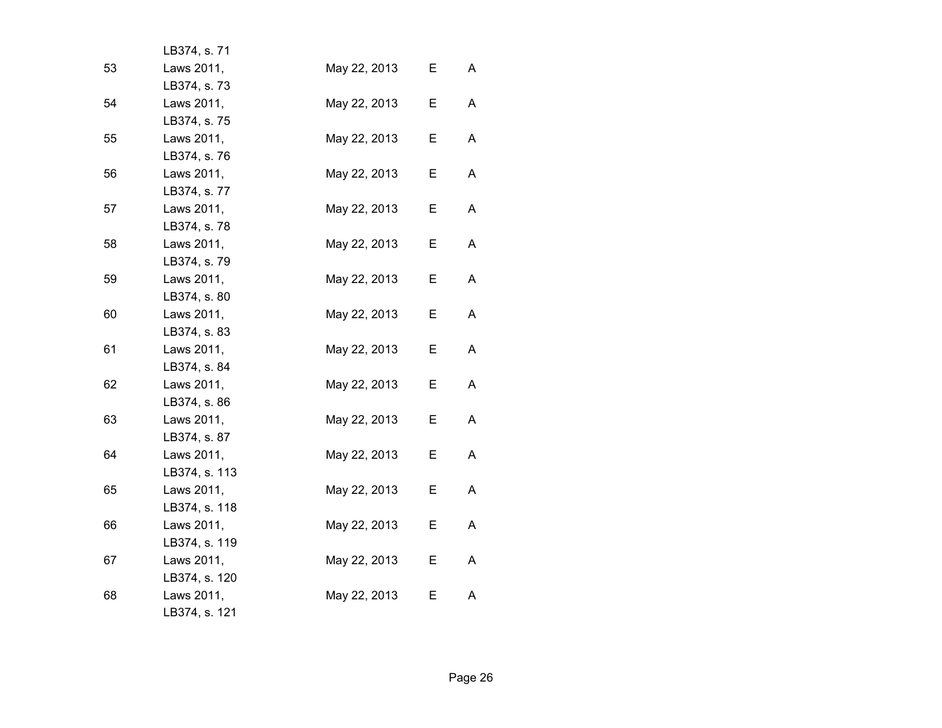|    | LB374, s. 71                |              |    |   |
|----|-----------------------------|--------------|----|---|
| 53 | Laws 2011,                  | May 22, 2013 | E. | A |
|    | LB374, s. 73                |              |    |   |
| 54 | Laws 2011,                  | May 22, 2013 | Е  | A |
|    | LB374, s. 75                |              |    |   |
| 55 | Laws 2011,                  | May 22, 2013 | Е  | Α |
|    | LB374, s. 76                |              |    |   |
| 56 | Laws 2011,                  | May 22, 2013 | Е  | A |
|    | LB374, s. 77                |              |    |   |
| 57 | Laws 2011,                  | May 22, 2013 | Е  | A |
|    | LB374, s. 78                |              |    |   |
| 58 | Laws 2011,                  | May 22, 2013 | E  | A |
|    | LB374, s. 79                |              |    |   |
| 59 | Laws 2011,                  | May 22, 2013 | Е  | A |
|    | LB374, s. 80                |              |    |   |
| 60 | Laws 2011,                  | May 22, 2013 | E. | A |
|    | LB374, s. 83                |              |    |   |
| 61 | Laws 2011,                  | May 22, 2013 | Е  | Α |
|    | LB374, s. 84                |              |    |   |
| 62 | Laws 2011,                  | May 22, 2013 | E  | A |
|    | LB374, s. 86                |              |    |   |
| 63 | Laws 2011,                  | May 22, 2013 | Е  | A |
|    | LB374, s. 87                |              |    |   |
| 64 | Laws 2011,                  | May 22, 2013 | Е  | A |
|    | LB374, s. 113               |              | Е  | A |
| 65 | Laws 2011,                  | May 22, 2013 |    |   |
|    | LB374, s. 118<br>Laws 2011, |              |    |   |
| 66 | LB374, s. 119               | May 22, 2013 | Е  | A |
| 67 | Laws 2011,                  | May 22, 2013 | Е  | A |
|    | LB374, s. 120               |              |    |   |
| 68 | Laws 2011,                  | May 22, 2013 | Е  | A |
|    | LB374, s. 121               |              |    |   |
|    |                             |              |    |   |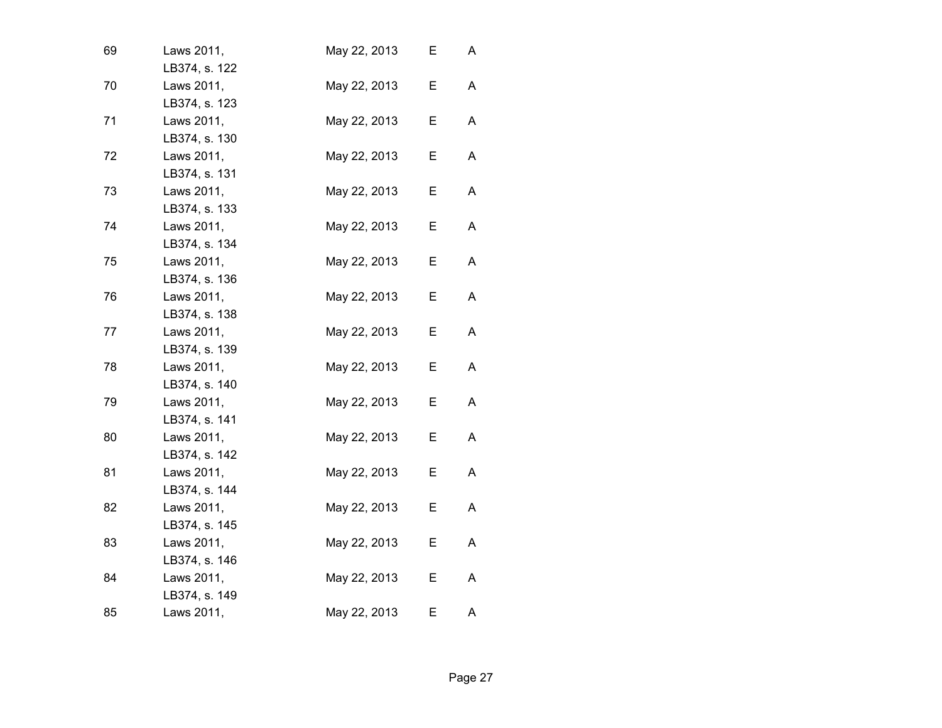| 69 | Laws 2011,<br>LB374, s. 122 | May 22, 2013 | Е  | A |  |
|----|-----------------------------|--------------|----|---|--|
| 70 | Laws 2011,                  | May 22, 2013 | Е  | A |  |
| 71 | LB374, s. 123<br>Laws 2011, | May 22, 2013 | Е  | A |  |
| 72 | LB374, s. 130<br>Laws 2011, | May 22, 2013 | Е  | A |  |
| 73 | LB374, s. 131<br>Laws 2011, | May 22, 2013 | E. | A |  |
| 74 | LB374, s. 133<br>Laws 2011, | May 22, 2013 | Е  | A |  |
| 75 | LB374, s. 134<br>Laws 2011, | May 22, 2013 | E. | A |  |
| 76 | LB374, s. 136<br>Laws 2011, | May 22, 2013 | Е  | A |  |
| 77 | LB374, s. 138<br>Laws 2011, | May 22, 2013 | Е  | A |  |
| 78 | LB374, s. 139<br>Laws 2011, | May 22, 2013 | E  | A |  |
| 79 | LB374, s. 140<br>Laws 2011, | May 22, 2013 | Е  | A |  |
| 80 | LB374, s. 141<br>Laws 2011, | May 22, 2013 | E. | A |  |
| 81 | LB374, s. 142<br>Laws 2011, | May 22, 2013 | Е  | A |  |
| 82 | LB374, s. 144<br>Laws 2011, | May 22, 2013 | E. | A |  |
| 83 | LB374, s. 145<br>Laws 2011, | May 22, 2013 | E. | A |  |
| 84 | LB374, s. 146<br>Laws 2011, | May 22, 2013 | Е  | Α |  |
| 85 | LB374, s. 149<br>Laws 2011, | May 22, 2013 | E  | A |  |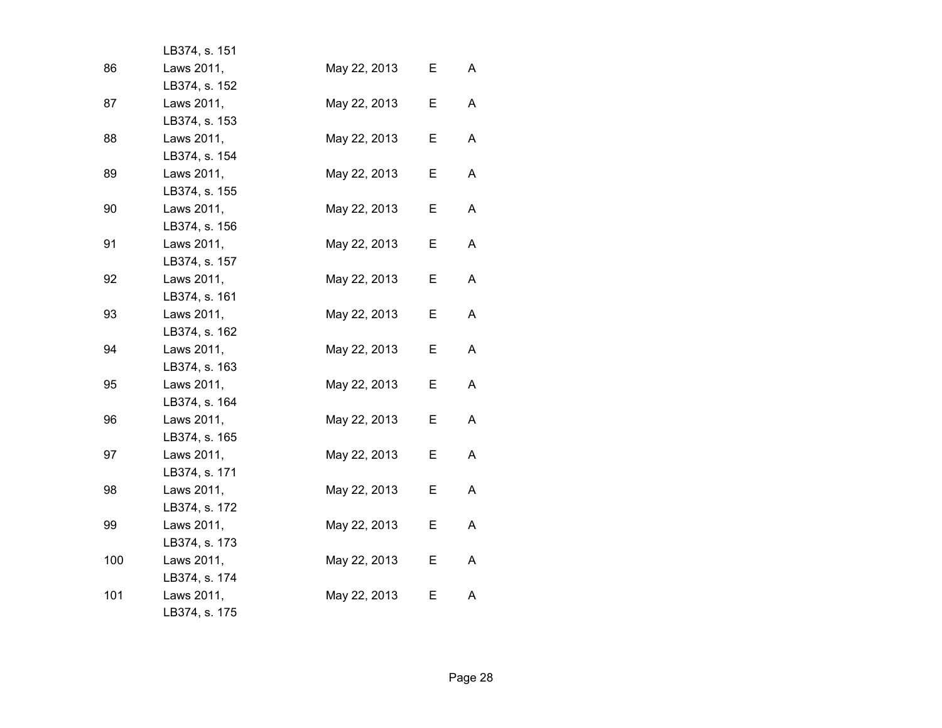|     | LB374, s. 151 |              |    |   |
|-----|---------------|--------------|----|---|
| 86  | Laws 2011,    | May 22, 2013 | E. | A |
|     | LB374, s. 152 |              |    |   |
| 87  | Laws 2011,    | May 22, 2013 | Е  | A |
|     | LB374, s. 153 |              |    |   |
| 88  | Laws 2011,    | May 22, 2013 | Е  | A |
|     | LB374, s. 154 |              |    |   |
| 89  | Laws 2011,    | May 22, 2013 | Е  | A |
|     | LB374, s. 155 |              |    |   |
| 90  | Laws 2011,    | May 22, 2013 | E  | A |
|     | LB374, s. 156 |              |    |   |
| 91  | Laws 2011,    | May 22, 2013 | Е  | A |
|     | LB374, s. 157 |              |    |   |
| 92  | Laws 2011,    | May 22, 2013 | E. | A |
|     | LB374, s. 161 |              |    |   |
| 93  | Laws 2011,    | May 22, 2013 | Е  | A |
|     | LB374, s. 162 |              |    |   |
| 94  | Laws 2011,    | May 22, 2013 | E  | A |
|     | LB374, s. 163 |              |    |   |
| 95  | Laws 2011,    | May 22, 2013 | Е  | A |
|     | LB374, s. 164 |              |    |   |
| 96  | Laws 2011,    | May 22, 2013 | E  | A |
|     | LB374, s. 165 |              |    |   |
| 97  | Laws 2011,    | May 22, 2013 | Е  | A |
|     | LB374, s. 171 |              |    |   |
| 98  | Laws 2011,    | May 22, 2013 | E  | A |
|     | LB374, s. 172 |              |    |   |
| 99  | Laws 2011,    | May 22, 2013 | Е  | A |
|     | LB374, s. 173 |              |    |   |
| 100 | Laws 2011,    | May 22, 2013 | E  | A |
|     | LB374, s. 174 |              |    |   |
| 101 | Laws 2011,    | May 22, 2013 | Е  | Α |
|     | LB374, s. 175 |              |    |   |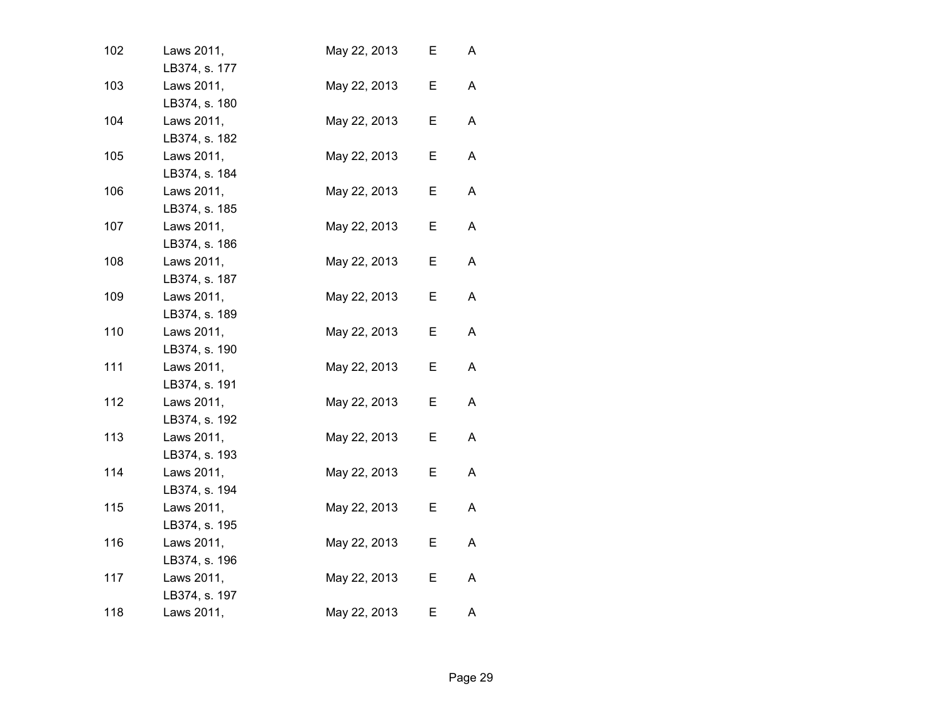| 102 | Laws 2011,    | May 22, 2013 | E. | A |
|-----|---------------|--------------|----|---|
|     | LB374, s. 177 |              |    |   |
| 103 | Laws 2011,    | May 22, 2013 | E  | A |
|     | LB374, s. 180 |              |    |   |
| 104 | Laws 2011,    | May 22, 2013 | Е  | A |
|     | LB374, s. 182 |              |    |   |
| 105 | Laws 2011,    | May 22, 2013 | E  | A |
|     | LB374, s. 184 |              |    |   |
| 106 | Laws 2011,    | May 22, 2013 | Е  | A |
|     | LB374, s. 185 |              |    |   |
| 107 | Laws 2011,    | May 22, 2013 | Е  | A |
|     | LB374, s. 186 |              |    |   |
| 108 | Laws 2011,    | May 22, 2013 | Е  | A |
|     | LB374, s. 187 |              |    |   |
| 109 | Laws 2011,    | May 22, 2013 | E  | A |
|     | LB374, s. 189 |              |    |   |
| 110 | Laws 2011,    | May 22, 2013 | Е  | A |
|     | LB374, s. 190 |              |    |   |
| 111 | Laws 2011,    | May 22, 2013 | E  | A |
|     | LB374, s. 191 |              |    |   |
| 112 | Laws 2011,    | May 22, 2013 | E  | A |
|     | LB374, s. 192 |              |    |   |
| 113 | Laws 2011,    | May 22, 2013 | Е  | Α |
|     | LB374, s. 193 |              |    |   |
| 114 | Laws 2011,    | May 22, 2013 | Е  | A |
|     | LB374, s. 194 |              |    |   |
| 115 | Laws 2011,    | May 22, 2013 | Е  | A |
|     | LB374, s. 195 |              |    |   |
| 116 | Laws 2011,    | May 22, 2013 | E. | A |
|     | LB374, s. 196 |              |    |   |
| 117 | Laws 2011,    | May 22, 2013 | Е  | Α |
|     | LB374, s. 197 |              |    |   |
| 118 | Laws 2011,    | May 22, 2013 | E  | A |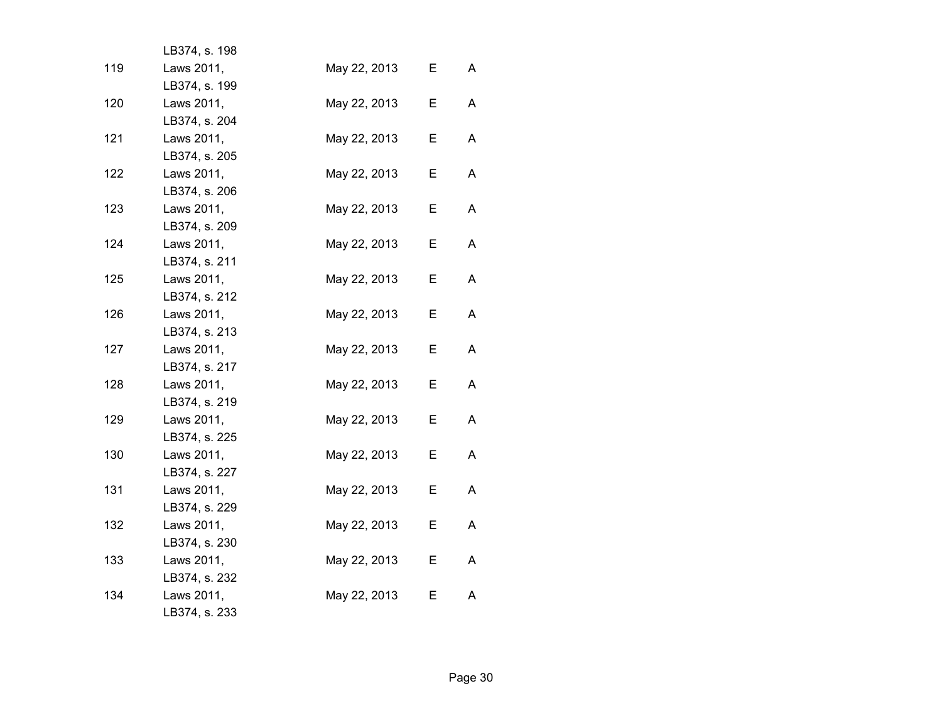|     | LB374, s. 198 |              |    |   |  |
|-----|---------------|--------------|----|---|--|
| 119 | Laws 2011,    | May 22, 2013 | Е  | A |  |
|     | LB374, s. 199 |              |    |   |  |
| 120 | Laws 2011,    | May 22, 2013 | E  | A |  |
|     | LB374, s. 204 |              |    |   |  |
| 121 | Laws 2011,    | May 22, 2013 | Е  | A |  |
|     | LB374, s. 205 |              |    |   |  |
| 122 | Laws 2011,    | May 22, 2013 | E  | A |  |
|     | LB374, s. 206 |              |    |   |  |
| 123 | Laws 2011,    | May 22, 2013 | Е  | A |  |
|     | LB374, s. 209 |              |    |   |  |
| 124 | Laws 2011,    | May 22, 2013 | E. | A |  |
|     | LB374, s. 211 |              |    |   |  |
| 125 | Laws 2011,    | May 22, 2013 | Е  | A |  |
|     | LB374, s. 212 |              |    |   |  |
| 126 | Laws 2011,    | May 22, 2013 | E. | A |  |
|     | LB374, s. 213 |              |    |   |  |
| 127 | Laws 2011,    | May 22, 2013 | E  | A |  |
|     | LB374, s. 217 |              |    |   |  |
| 128 | Laws 2011,    | May 22, 2013 | Е  | A |  |
|     | LB374, s. 219 |              |    |   |  |
| 129 | Laws 2011,    | May 22, 2013 | Е  | A |  |
|     | LB374, s. 225 |              |    |   |  |
| 130 | Laws 2011,    | May 22, 2013 | Е  | A |  |
|     | LB374, s. 227 |              |    |   |  |
| 131 | Laws 2011,    | May 22, 2013 | Е  | A |  |
|     | LB374, s. 229 |              |    |   |  |
| 132 | Laws 2011,    | May 22, 2013 | Е  | A |  |
|     | LB374, s. 230 |              |    |   |  |
| 133 | Laws 2011,    | May 22, 2013 | E. | A |  |
|     | LB374, s. 232 |              |    |   |  |
| 134 | Laws 2011,    | May 22, 2013 | Е  | A |  |
|     | LB374, s. 233 |              |    |   |  |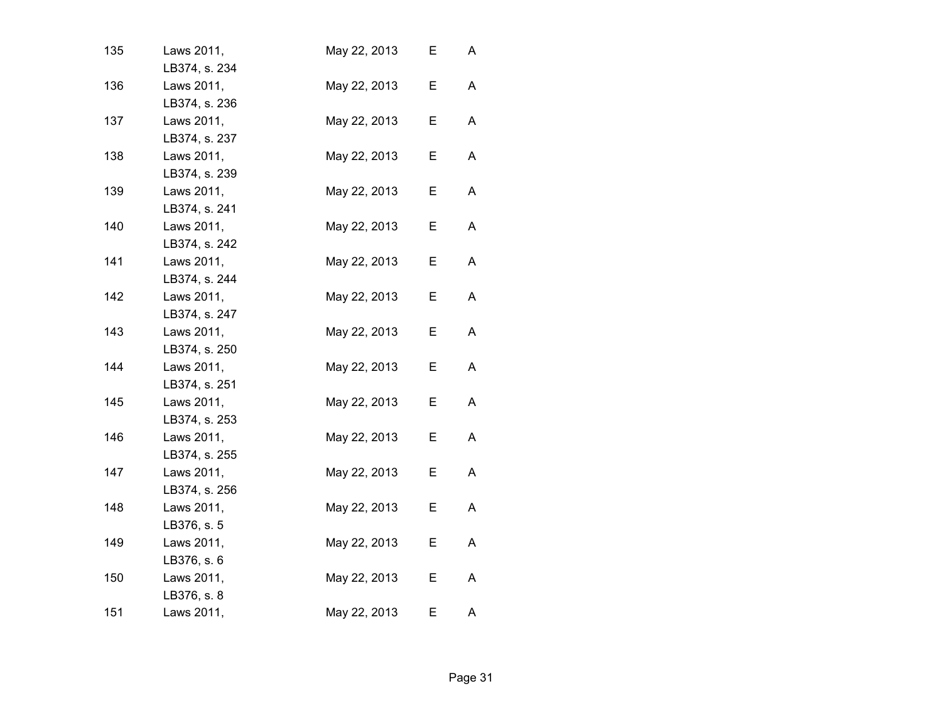| 135 | Laws 2011,<br>LB374, s. 234 | May 22, 2013 | Е  | A |  |
|-----|-----------------------------|--------------|----|---|--|
| 136 | Laws 2011,                  | May 22, 2013 | Е  | A |  |
| 137 | LB374, s. 236<br>Laws 2011, | May 22, 2013 | Е  | A |  |
| 138 | LB374, s. 237<br>Laws 2011, | May 22, 2013 | Е  | A |  |
| 139 | LB374, s. 239<br>Laws 2011, | May 22, 2013 | E. | A |  |
| 140 | LB374, s. 241<br>Laws 2011, | May 22, 2013 | Е  | A |  |
| 141 | LB374, s. 242<br>Laws 2011, | May 22, 2013 | E. | A |  |
| 142 | LB374, s. 244<br>Laws 2011, | May 22, 2013 | Е  | A |  |
| 143 | LB374, s. 247<br>Laws 2011, |              | Е  | A |  |
|     | LB374, s. 250               | May 22, 2013 |    |   |  |
| 144 | Laws 2011,<br>LB374, s. 251 | May 22, 2013 | E  | A |  |
| 145 | Laws 2011,<br>LB374, s. 253 | May 22, 2013 | Е  | A |  |
| 146 | Laws 2011,<br>LB374, s. 255 | May 22, 2013 | E  | A |  |
| 147 | Laws 2011,<br>LB374, s. 256 | May 22, 2013 | E  | A |  |
| 148 | Laws 2011,<br>LB376, s. 5   | May 22, 2013 | E. | A |  |
| 149 | Laws 2011,<br>LB376, s. 6   | May 22, 2013 | Е  | A |  |
| 150 | Laws 2011,<br>LB376, s. 8   | May 22, 2013 | Е  | Α |  |
| 151 | Laws 2011,                  | May 22, 2013 | E  | A |  |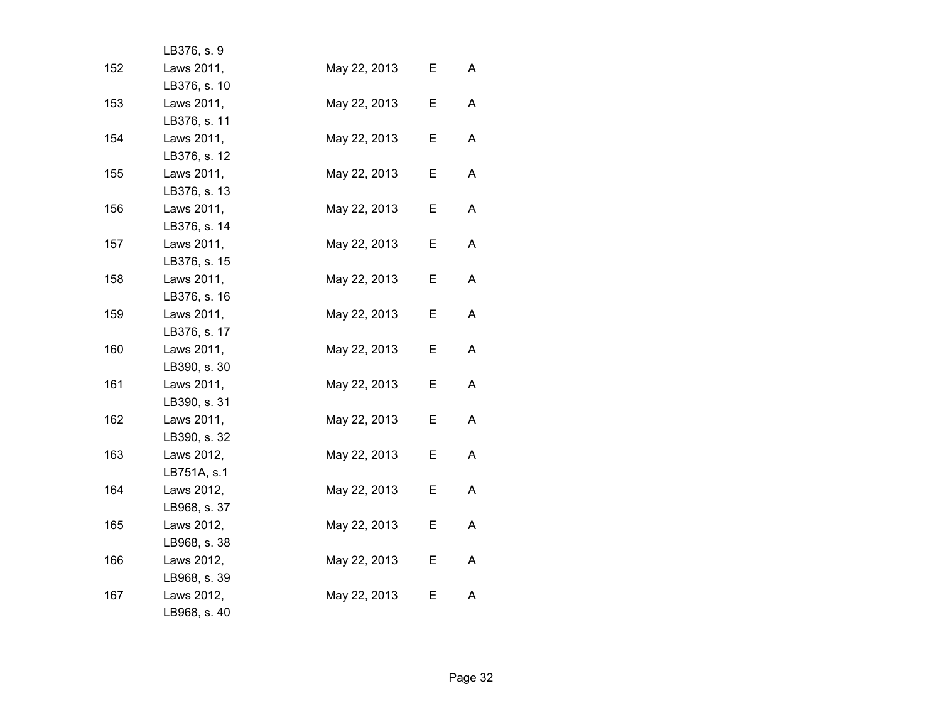|     | LB376, s. 9  |              |   |   |
|-----|--------------|--------------|---|---|
| 152 | Laws 2011,   | May 22, 2013 | Е | A |
|     | LB376, s. 10 |              |   |   |
| 153 | Laws 2011,   | May 22, 2013 | Е | A |
|     | LB376, s. 11 |              |   |   |
| 154 | Laws 2011,   | May 22, 2013 | Е | Α |
|     | LB376, s. 12 |              |   |   |
| 155 | Laws 2011,   | May 22, 2013 | Е | A |
|     | LB376, s. 13 |              |   |   |
| 156 | Laws 2011,   | May 22, 2013 | Е | A |
|     | LB376, s. 14 |              |   |   |
| 157 | Laws 2011,   | May 22, 2013 | Е | A |
|     | LB376, s. 15 |              |   |   |
| 158 | Laws 2011,   | May 22, 2013 | Е | A |
|     | LB376, s. 16 |              |   |   |
| 159 | Laws 2011,   | May 22, 2013 | Е | A |
|     | LB376, s. 17 |              |   |   |
| 160 | Laws 2011,   | May 22, 2013 | E | A |
|     | LB390, s. 30 |              |   |   |
| 161 | Laws 2011,   | May 22, 2013 | Е | A |
|     | LB390, s. 31 |              |   |   |
| 162 | Laws 2011,   | May 22, 2013 | Е | A |
|     | LB390, s. 32 |              |   |   |
| 163 | Laws 2012,   | May 22, 2013 | Е | A |
|     | LB751A, s.1  |              |   |   |
| 164 | Laws 2012,   | May 22, 2013 | Е | A |
|     | LB968, s. 37 |              |   |   |
| 165 | Laws 2012,   | May 22, 2013 | Е | Α |
|     | LB968, s. 38 |              |   |   |
| 166 | Laws 2012,   | May 22, 2013 | Е | A |
|     | LB968, s. 39 |              |   |   |
| 167 | Laws 2012,   | May 22, 2013 | Ε | A |
|     | LB968, s. 40 |              |   |   |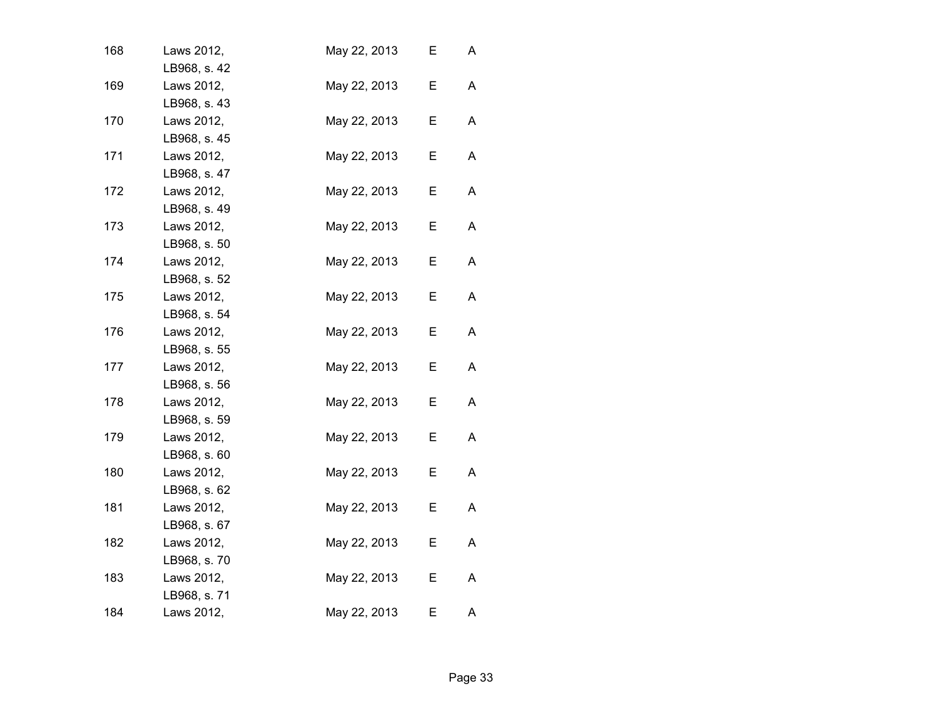| 168 | Laws 2012,<br>LB968, s. 42                 | May 22, 2013 | Е  | A |  |
|-----|--------------------------------------------|--------------|----|---|--|
| 169 | Laws 2012,                                 | May 22, 2013 | Е  | Α |  |
| 170 | LB968, s. 43<br>Laws 2012,                 | May 22, 2013 | Е  | A |  |
| 171 | LB968, s. 45<br>Laws 2012,                 | May 22, 2013 | Е  | A |  |
| 172 | LB968, s. 47<br>Laws 2012,                 | May 22, 2013 | E  | A |  |
| 173 | LB968, s. 49<br>Laws 2012,                 | May 22, 2013 | Е  | A |  |
| 174 | LB968, s. 50<br>Laws 2012,                 | May 22, 2013 | E. | A |  |
| 175 | LB968, s. 52<br>Laws 2012,                 | May 22, 2013 | Е  | A |  |
| 176 | LB968, s. 54<br>Laws 2012,                 | May 22, 2013 | Е  | A |  |
| 177 | LB968, s. 55<br>Laws 2012,                 | May 22, 2013 | Е  | A |  |
| 178 | LB968, s. 56<br>Laws 2012,                 | May 22, 2013 | Е  | A |  |
| 179 | LB968, s. 59<br>Laws 2012,                 | May 22, 2013 | Е  | A |  |
| 180 | LB968, s. 60<br>Laws 2012,                 | May 22, 2013 | Е  | A |  |
| 181 | LB968, s. 62<br>Laws 2012,<br>LB968, s. 67 | May 22, 2013 | Е  | A |  |
| 182 | Laws 2012,                                 | May 22, 2013 | Е  | A |  |
| 183 | LB968, s. 70<br>Laws 2012,                 | May 22, 2013 | Е  | Α |  |
| 184 | LB968, s. 71<br>Laws 2012,                 | May 22, 2013 | Е  | A |  |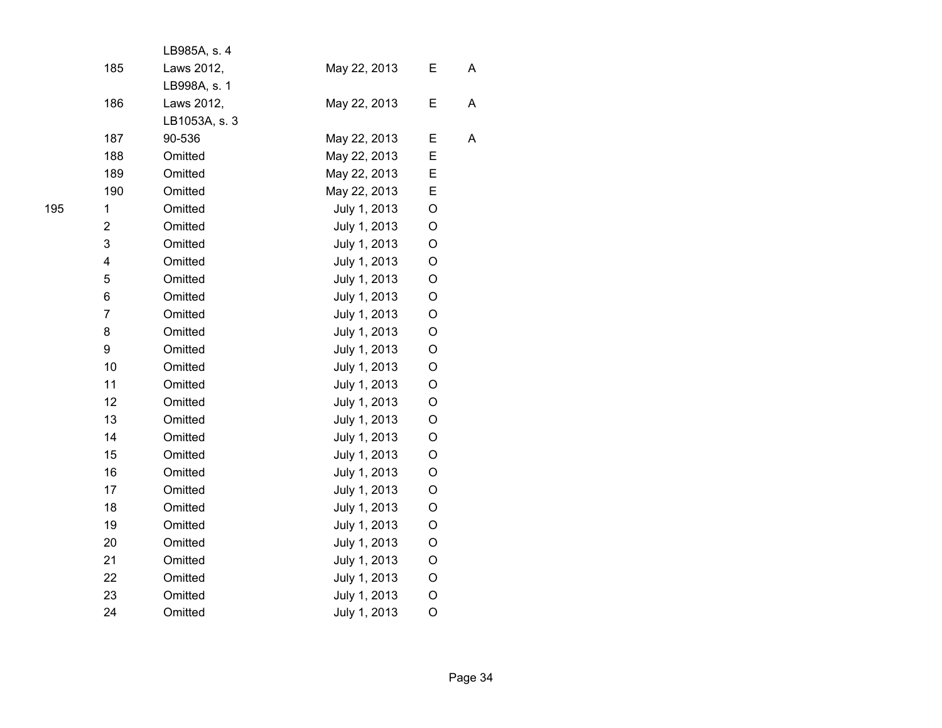|                | LB985A, s. 4  |              |   |   |
|----------------|---------------|--------------|---|---|
| 185            | Laws 2012,    | May 22, 2013 | Е | A |
|                | LB998A, s. 1  |              |   |   |
| 186            | Laws 2012,    | May 22, 2013 | E | A |
|                | LB1053A, s. 3 |              |   |   |
| 187            | 90-536        | May 22, 2013 | E | A |
| 188            | Omitted       | May 22, 2013 | E |   |
| 189            | Omitted       | May 22, 2013 | E |   |
| 190            | Omitted       | May 22, 2013 | E |   |
| 1              | Omitted       | July 1, 2013 | O |   |
| $\overline{2}$ | Omitted       | July 1, 2013 | O |   |
| 3              | Omitted       | July 1, 2013 | O |   |
| 4              | Omitted       | July 1, 2013 | O |   |
| 5              | Omitted       | July 1, 2013 | O |   |
| 6              | Omitted       | July 1, 2013 | O |   |
| $\overline{7}$ | Omitted       | July 1, 2013 | O |   |
| 8              | Omitted       | July 1, 2013 | O |   |
| 9              | Omitted       | July 1, 2013 | O |   |
| 10             | Omitted       | July 1, 2013 | O |   |
| 11             | Omitted       | July 1, 2013 | O |   |
| 12             | Omitted       | July 1, 2013 | O |   |
| 13             | Omitted       | July 1, 2013 | O |   |
| 14             | Omitted       | July 1, 2013 | O |   |
| 15             | Omitted       | July 1, 2013 | O |   |
| 16             | Omitted       | July 1, 2013 | O |   |
| 17             | Omitted       | July 1, 2013 | O |   |
| 18             | Omitted       | July 1, 2013 | O |   |
| 19             | Omitted       | July 1, 2013 | O |   |
| 20             | Omitted       | July 1, 2013 | O |   |
| 21             | Omitted       | July 1, 2013 | O |   |
| 22             | Omitted       | July 1, 2013 | O |   |
| 23             | Omitted       | July 1, 2013 | O |   |
| 24             | Omitted       | July 1, 2013 | O |   |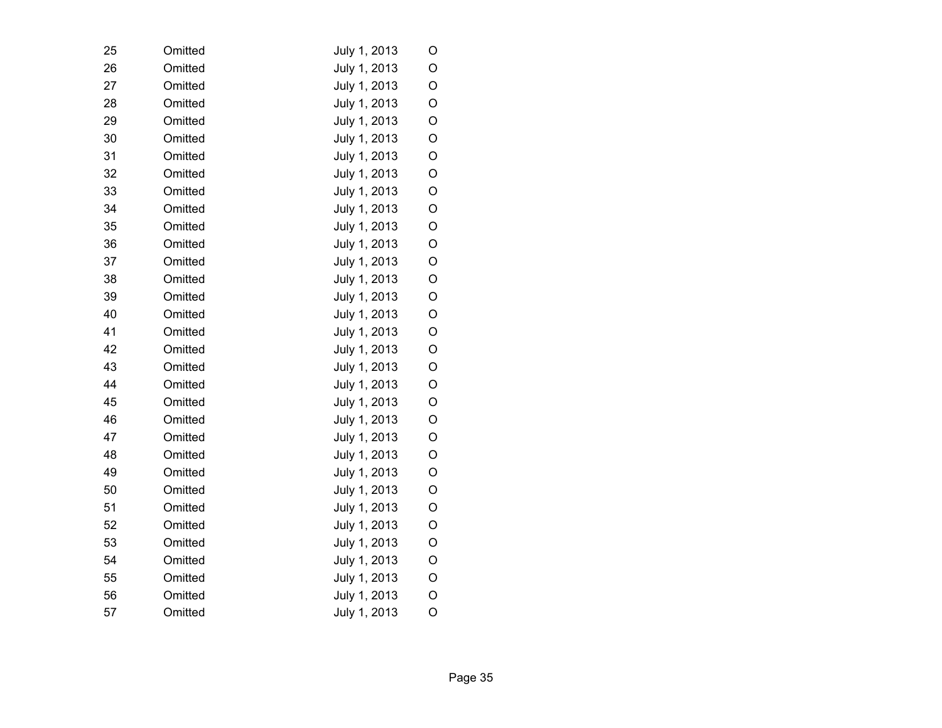| 25 | Omitted | July 1, 2013 | O       |
|----|---------|--------------|---------|
| 26 | Omitted | July 1, 2013 | O       |
| 27 | Omitted | July 1, 2013 | O       |
| 28 | Omitted | July 1, 2013 | O       |
| 29 | Omitted | July 1, 2013 | O       |
| 30 | Omitted | July 1, 2013 | O       |
| 31 | Omitted | July 1, 2013 | O       |
| 32 | Omitted | July 1, 2013 | O       |
| 33 | Omitted | July 1, 2013 | O       |
| 34 | Omitted | July 1, 2013 | O       |
| 35 | Omitted | July 1, 2013 | O       |
| 36 | Omitted | July 1, 2013 | O       |
| 37 | Omitted | July 1, 2013 | O       |
| 38 | Omitted | July 1, 2013 | O       |
| 39 | Omitted | July 1, 2013 | O       |
| 40 | Omitted | July 1, 2013 | O       |
| 41 | Omitted | July 1, 2013 | О       |
| 42 | Omitted | July 1, 2013 | O       |
| 43 | Omitted | July 1, 2013 | O       |
| 44 | Omitted | July 1, 2013 | O       |
| 45 | Omitted | July 1, 2013 | O       |
| 46 | Omitted | July 1, 2013 | O       |
| 47 | Omitted | July 1, 2013 | O       |
| 48 | Omitted | July 1, 2013 | O       |
| 49 | Omitted | July 1, 2013 | O       |
| 50 | Omitted | July 1, 2013 | O       |
| 51 | Omitted | July 1, 2013 | O       |
| 52 | Omitted | July 1, 2013 | O       |
| 53 | Omitted | July 1, 2013 | O       |
| 54 | Omitted | July 1, 2013 | O       |
| 55 | Omitted | July 1, 2013 | O       |
| 56 | Omitted | July 1, 2013 | O       |
| 57 | Omitted | July 1, 2013 | $\circ$ |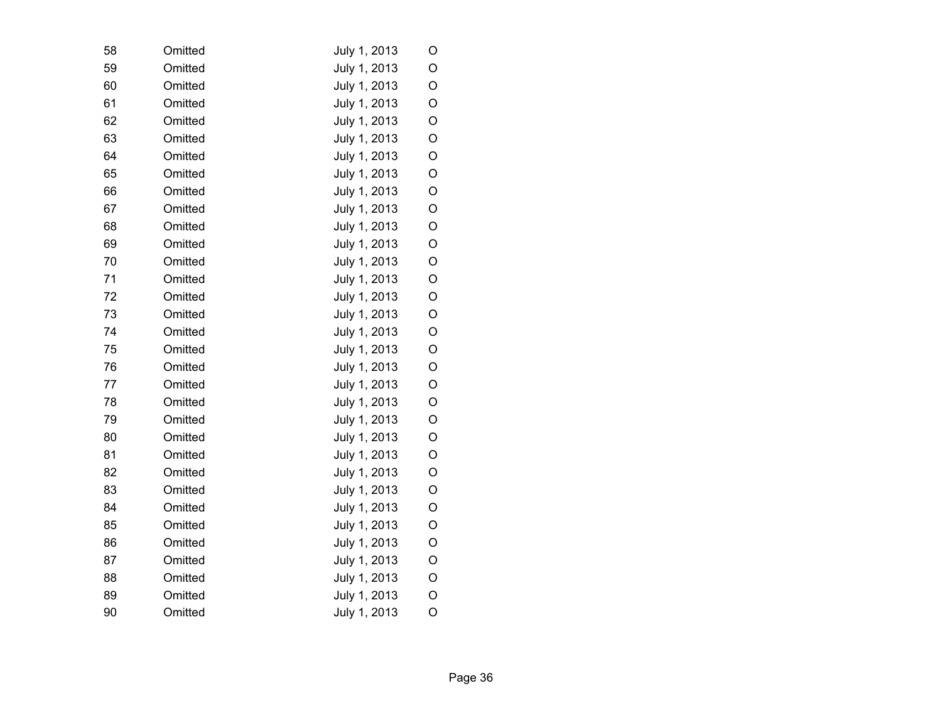| 58 | Omitted | July 1, 2013 | O       |
|----|---------|--------------|---------|
| 59 | Omitted | July 1, 2013 | O       |
| 60 | Omitted | July 1, 2013 | O       |
| 61 | Omitted | July 1, 2013 | O       |
| 62 | Omitted | July 1, 2013 | O       |
| 63 | Omitted | July 1, 2013 | O       |
| 64 | Omitted | July 1, 2013 | O       |
| 65 | Omitted | July 1, 2013 | O       |
| 66 | Omitted | July 1, 2013 | O       |
| 67 | Omitted | July 1, 2013 | O       |
| 68 | Omitted | July 1, 2013 | O       |
| 69 | Omitted | July 1, 2013 | O       |
| 70 | Omitted | July 1, 2013 | O       |
| 71 | Omitted | July 1, 2013 | O       |
| 72 | Omitted | July 1, 2013 | O       |
| 73 | Omitted | July 1, 2013 | O       |
| 74 | Omitted | July 1, 2013 | O       |
| 75 | Omitted | July 1, 2013 | O       |
| 76 | Omitted | July 1, 2013 | O       |
| 77 | Omitted | July 1, 2013 | O       |
| 78 | Omitted | July 1, 2013 | O       |
| 79 | Omitted | July 1, 2013 | O       |
| 80 | Omitted | July 1, 2013 | O       |
| 81 | Omitted | July 1, 2013 | O       |
| 82 | Omitted | July 1, 2013 | O       |
| 83 | Omitted | July 1, 2013 | O       |
| 84 | Omitted | July 1, 2013 | O       |
| 85 | Omitted | July 1, 2013 | O       |
| 86 | Omitted | July 1, 2013 | O       |
| 87 | Omitted | July 1, 2013 | O       |
| 88 | Omitted | July 1, 2013 | O       |
| 89 | Omitted | July 1, 2013 | O       |
| 90 | Omitted | July 1, 2013 | $\circ$ |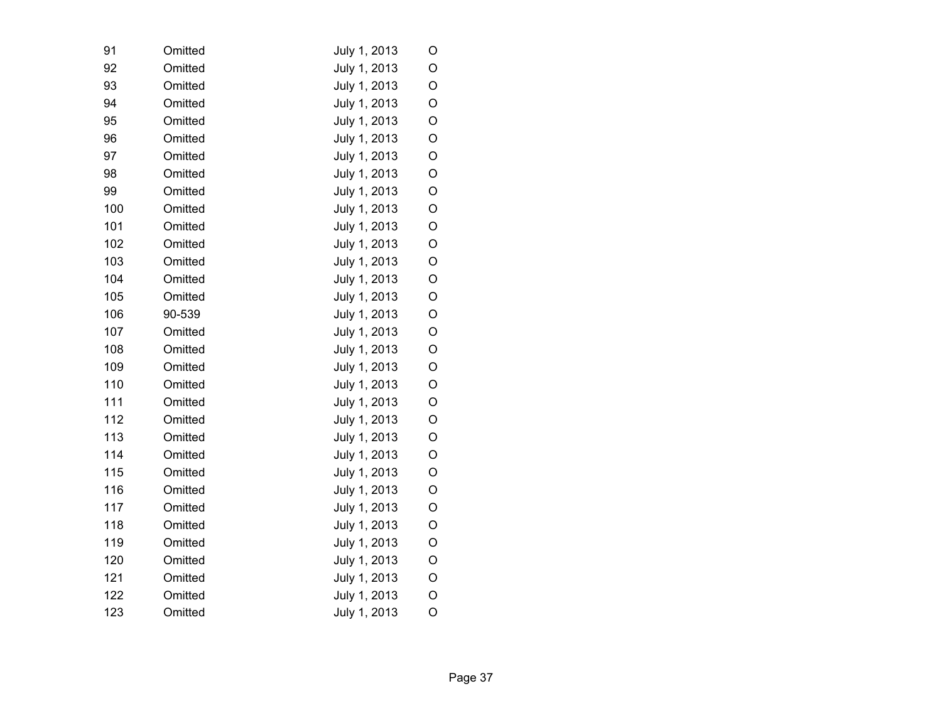| 91  | Omitted | July 1, 2013 | O |
|-----|---------|--------------|---|
| 92  | Omitted | July 1, 2013 | O |
| 93  | Omitted | July 1, 2013 | O |
| 94  | Omitted | July 1, 2013 | O |
| 95  | Omitted | July 1, 2013 | O |
| 96  | Omitted | July 1, 2013 | O |
| 97  | Omitted | July 1, 2013 | O |
| 98  | Omitted | July 1, 2013 | O |
| 99  | Omitted | July 1, 2013 | O |
| 100 | Omitted | July 1, 2013 | O |
| 101 | Omitted | July 1, 2013 | O |
| 102 | Omitted | July 1, 2013 | O |
| 103 | Omitted | July 1, 2013 | O |
| 104 | Omitted | July 1, 2013 | O |
| 105 | Omitted | July 1, 2013 | O |
| 106 | 90-539  | July 1, 2013 | O |
| 107 | Omitted | July 1, 2013 | O |
| 108 | Omitted | July 1, 2013 | O |
| 109 | Omitted | July 1, 2013 | O |
| 110 | Omitted | July 1, 2013 | O |
| 111 | Omitted | July 1, 2013 | O |
| 112 | Omitted | July 1, 2013 | O |
| 113 | Omitted | July 1, 2013 | O |
| 114 | Omitted | July 1, 2013 | O |
| 115 | Omitted | July 1, 2013 | O |
| 116 | Omitted | July 1, 2013 | O |
| 117 | Omitted | July 1, 2013 | O |
| 118 | Omitted | July 1, 2013 | O |
| 119 | Omitted | July 1, 2013 | O |
| 120 | Omitted | July 1, 2013 | O |
| 121 | Omitted | July 1, 2013 | O |
| 122 | Omitted | July 1, 2013 | O |
| 123 | Omitted | July 1, 2013 | O |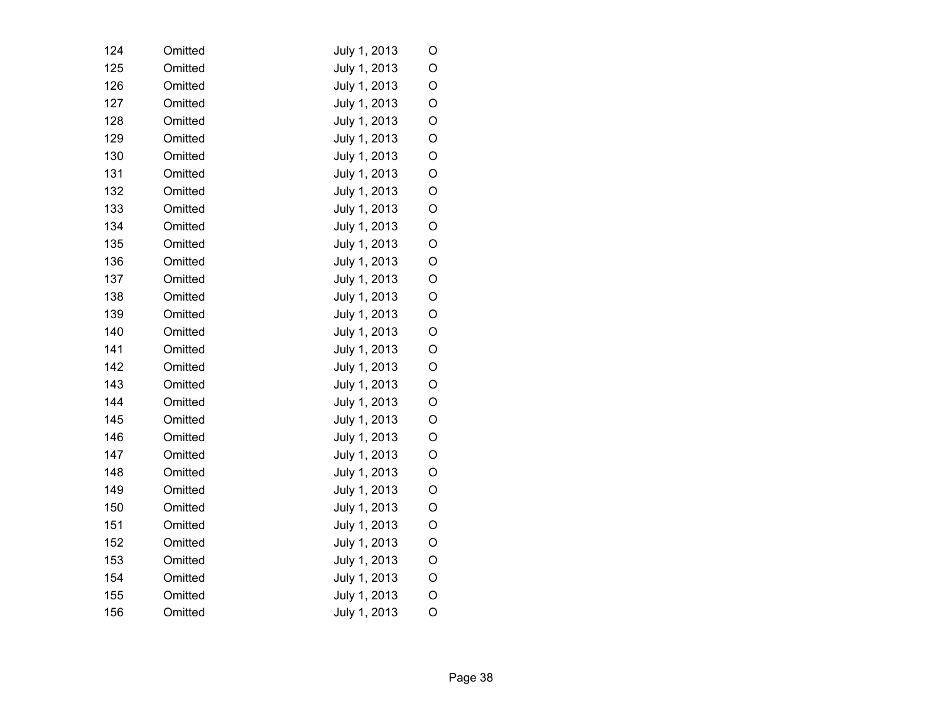| 124 | Omitted | July 1, 2013 | O |
|-----|---------|--------------|---|
| 125 | Omitted | July 1, 2013 | O |
| 126 | Omitted | July 1, 2013 | O |
| 127 | Omitted | July 1, 2013 | O |
| 128 | Omitted | July 1, 2013 | O |
| 129 | Omitted | July 1, 2013 | O |
| 130 | Omitted | July 1, 2013 | O |
| 131 | Omitted | July 1, 2013 | O |
| 132 | Omitted | July 1, 2013 | O |
| 133 | Omitted | July 1, 2013 | O |
| 134 | Omitted | July 1, 2013 | O |
| 135 | Omitted | July 1, 2013 | O |
| 136 | Omitted | July 1, 2013 | O |
| 137 | Omitted | July 1, 2013 | O |
| 138 | Omitted | July 1, 2013 | O |
| 139 | Omitted | July 1, 2013 | O |
| 140 | Omitted | July 1, 2013 | O |
| 141 | Omitted | July 1, 2013 | O |
| 142 | Omitted | July 1, 2013 | O |
| 143 | Omitted | July 1, 2013 | O |
| 144 | Omitted | July 1, 2013 | O |
| 145 | Omitted | July 1, 2013 | O |
| 146 | Omitted | July 1, 2013 | O |
| 147 | Omitted | July 1, 2013 | O |
| 148 | Omitted | July 1, 2013 | O |
| 149 | Omitted | July 1, 2013 | O |
| 150 | Omitted | July 1, 2013 | O |
| 151 | Omitted | July 1, 2013 | O |
| 152 | Omitted | July 1, 2013 | O |
| 153 | Omitted | July 1, 2013 | O |
| 154 | Omitted | July 1, 2013 | O |
| 155 | Omitted | July 1, 2013 | O |
| 156 | Omitted | July 1, 2013 | O |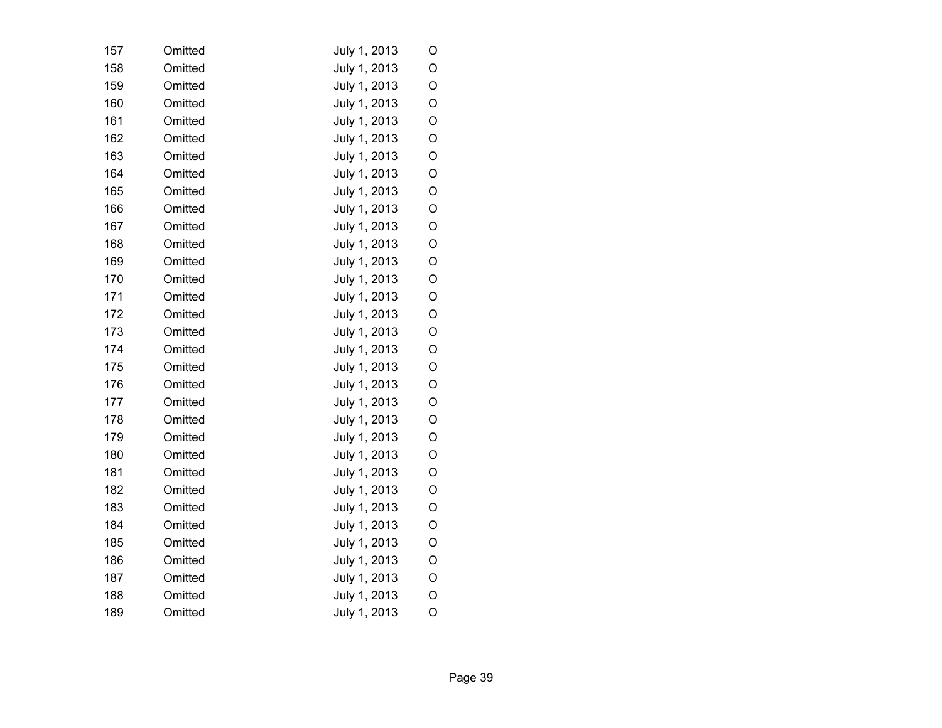| 157 | Omitted | July 1, 2013 | O |
|-----|---------|--------------|---|
| 158 | Omitted | July 1, 2013 | O |
| 159 | Omitted | July 1, 2013 | O |
| 160 | Omitted | July 1, 2013 | O |
| 161 | Omitted | July 1, 2013 | O |
| 162 | Omitted | July 1, 2013 | O |
| 163 | Omitted | July 1, 2013 | O |
| 164 | Omitted | July 1, 2013 | O |
| 165 | Omitted | July 1, 2013 | O |
| 166 | Omitted | July 1, 2013 | O |
| 167 | Omitted | July 1, 2013 | O |
| 168 | Omitted | July 1, 2013 | O |
| 169 | Omitted | July 1, 2013 | O |
| 170 | Omitted | July 1, 2013 | O |
| 171 | Omitted | July 1, 2013 | O |
| 172 | Omitted | July 1, 2013 | O |
| 173 | Omitted | July 1, 2013 | O |
| 174 | Omitted | July 1, 2013 | O |
| 175 | Omitted | July 1, 2013 | O |
| 176 | Omitted | July 1, 2013 | O |
| 177 | Omitted | July 1, 2013 | O |
| 178 | Omitted | July 1, 2013 | O |
| 179 | Omitted | July 1, 2013 | O |
| 180 | Omitted | July 1, 2013 | O |
| 181 | Omitted | July 1, 2013 | O |
| 182 | Omitted | July 1, 2013 | O |
| 183 | Omitted | July 1, 2013 | O |
| 184 | Omitted | July 1, 2013 | O |
| 185 | Omitted | July 1, 2013 | O |
| 186 | Omitted | July 1, 2013 | O |
| 187 | Omitted | July 1, 2013 | O |
| 188 | Omitted | July 1, 2013 | O |
| 189 | Omitted | July 1, 2013 | O |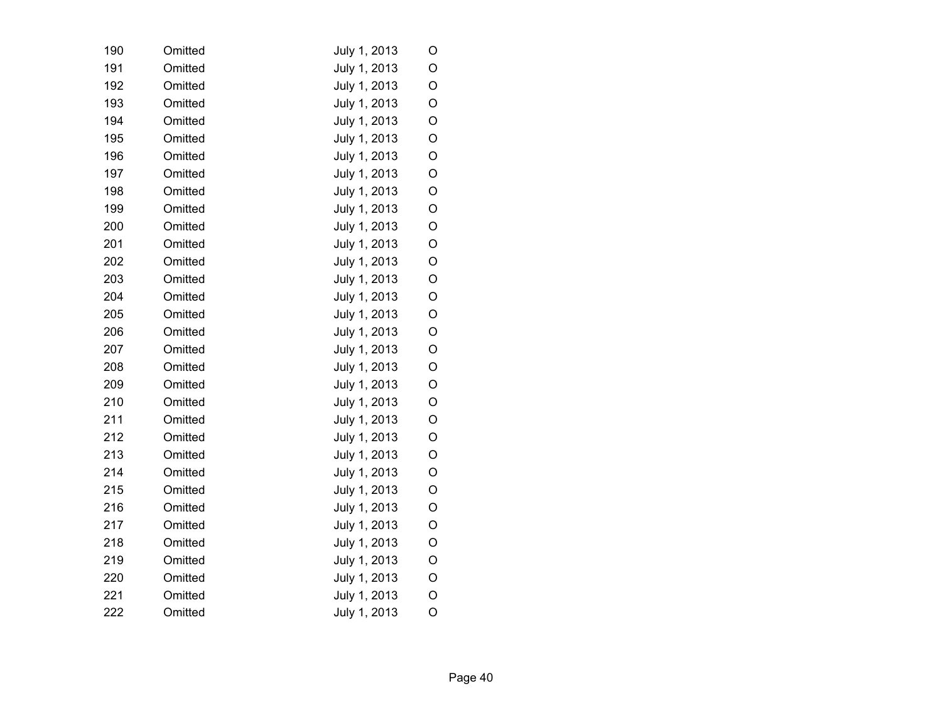| 190 | Omitted | July 1, 2013 | O |
|-----|---------|--------------|---|
| 191 | Omitted | July 1, 2013 | O |
| 192 | Omitted | July 1, 2013 | O |
| 193 | Omitted | July 1, 2013 | O |
| 194 | Omitted | July 1, 2013 | O |
| 195 | Omitted | July 1, 2013 | O |
| 196 | Omitted | July 1, 2013 | O |
| 197 | Omitted | July 1, 2013 | O |
| 198 | Omitted | July 1, 2013 | O |
| 199 | Omitted | July 1, 2013 | O |
| 200 | Omitted | July 1, 2013 | O |
| 201 | Omitted | July 1, 2013 | O |
| 202 | Omitted | July 1, 2013 | O |
| 203 | Omitted | July 1, 2013 | O |
| 204 | Omitted | July 1, 2013 | O |
| 205 | Omitted | July 1, 2013 | O |
| 206 | Omitted | July 1, 2013 | O |
| 207 | Omitted | July 1, 2013 | O |
| 208 | Omitted | July 1, 2013 | O |
| 209 | Omitted | July 1, 2013 | O |
| 210 | Omitted | July 1, 2013 | O |
| 211 | Omitted | July 1, 2013 | O |
| 212 | Omitted | July 1, 2013 | O |
| 213 | Omitted | July 1, 2013 | O |
| 214 | Omitted | July 1, 2013 | O |
| 215 | Omitted | July 1, 2013 | O |
| 216 | Omitted | July 1, 2013 | O |
| 217 | Omitted | July 1, 2013 | O |
| 218 | Omitted | July 1, 2013 | O |
| 219 | Omitted | July 1, 2013 | O |
| 220 | Omitted | July 1, 2013 | O |
| 221 | Omitted | July 1, 2013 | O |
| 222 | Omitted | July 1, 2013 | O |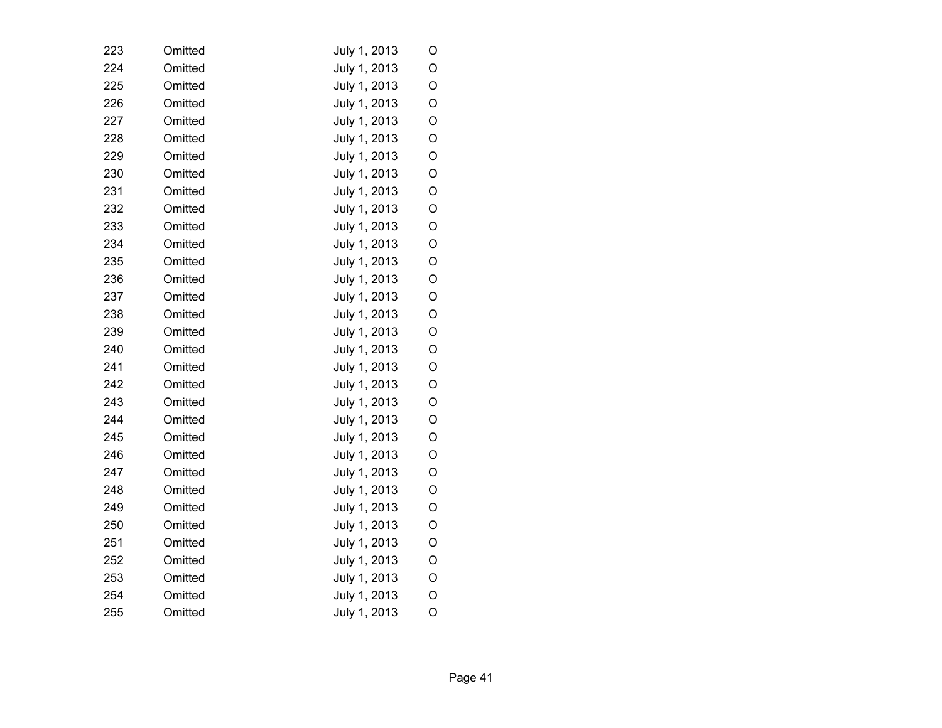| 223 | Omitted | July 1, 2013 | O |
|-----|---------|--------------|---|
| 224 | Omitted | July 1, 2013 | O |
| 225 | Omitted | July 1, 2013 | O |
| 226 | Omitted | July 1, 2013 | O |
| 227 | Omitted | July 1, 2013 | O |
| 228 | Omitted | July 1, 2013 | O |
| 229 | Omitted | July 1, 2013 | O |
| 230 | Omitted | July 1, 2013 | O |
| 231 | Omitted | July 1, 2013 | O |
| 232 | Omitted | July 1, 2013 | O |
| 233 | Omitted | July 1, 2013 | O |
| 234 | Omitted | July 1, 2013 | O |
| 235 | Omitted | July 1, 2013 | O |
| 236 | Omitted | July 1, 2013 | O |
| 237 | Omitted | July 1, 2013 | O |
| 238 | Omitted | July 1, 2013 | O |
| 239 | Omitted | July 1, 2013 | O |
| 240 | Omitted | July 1, 2013 | O |
| 241 | Omitted | July 1, 2013 | O |
| 242 | Omitted | July 1, 2013 | O |
| 243 | Omitted | July 1, 2013 | O |
| 244 | Omitted | July 1, 2013 | O |
| 245 | Omitted | July 1, 2013 | O |
| 246 | Omitted | July 1, 2013 | O |
| 247 | Omitted | July 1, 2013 | O |
| 248 | Omitted | July 1, 2013 | O |
| 249 | Omitted | July 1, 2013 | O |
| 250 | Omitted | July 1, 2013 | O |
| 251 | Omitted | July 1, 2013 | O |
| 252 | Omitted | July 1, 2013 | O |
| 253 | Omitted | July 1, 2013 | O |
| 254 | Omitted | July 1, 2013 | O |
| 255 | Omitted | July 1, 2013 | O |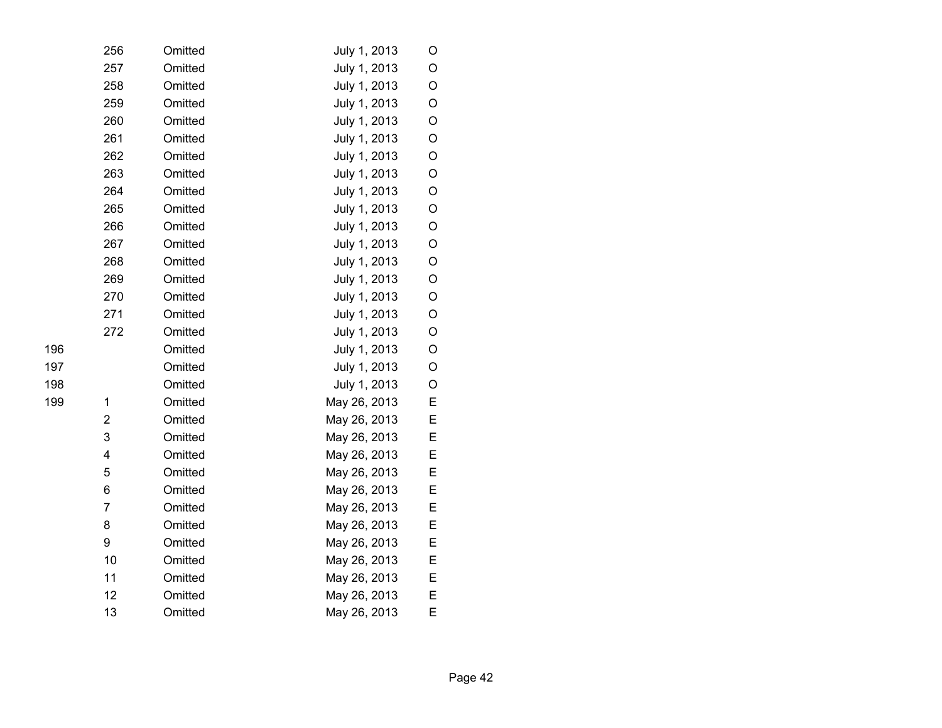|     | 256                     | Omitted | July 1, 2013 | O |
|-----|-------------------------|---------|--------------|---|
|     | 257                     | Omitted | July 1, 2013 | O |
|     | 258                     | Omitted | July 1, 2013 | O |
|     | 259                     | Omitted | July 1, 2013 | O |
|     | 260                     | Omitted | July 1, 2013 | O |
|     | 261                     | Omitted | July 1, 2013 | O |
|     | 262                     | Omitted | July 1, 2013 | O |
|     | 263                     | Omitted | July 1, 2013 | O |
|     | 264                     | Omitted | July 1, 2013 | O |
|     | 265                     | Omitted | July 1, 2013 | O |
|     | 266                     | Omitted | July 1, 2013 | O |
|     | 267                     | Omitted | July 1, 2013 | O |
|     | 268                     | Omitted | July 1, 2013 | O |
|     | 269                     | Omitted | July 1, 2013 | O |
|     | 270                     | Omitted | July 1, 2013 | O |
|     | 271                     | Omitted | July 1, 2013 | O |
|     | 272                     | Omitted | July 1, 2013 | O |
| 196 |                         | Omitted | July 1, 2013 | O |
| 197 |                         | Omitted | July 1, 2013 | O |
| 198 |                         | Omitted | July 1, 2013 | O |
| 199 | 1                       | Omitted | May 26, 2013 | E |
|     | $\overline{2}$          | Omitted | May 26, 2013 | E |
|     | 3                       | Omitted | May 26, 2013 | Ε |
|     | $\overline{\mathbf{4}}$ | Omitted | May 26, 2013 | Ε |
|     | 5                       | Omitted | May 26, 2013 | E |
|     | 6                       | Omitted | May 26, 2013 | E |
|     | $\overline{7}$          | Omitted | May 26, 2013 | E |
|     | 8                       | Omitted | May 26, 2013 | E |
|     | 9                       | Omitted | May 26, 2013 | E |
|     | 10                      | Omitted | May 26, 2013 | E |
|     | 11                      | Omitted | May 26, 2013 | E |
|     | 12                      | Omitted | May 26, 2013 | E |
|     | 13                      | Omitted | May 26, 2013 | E |

| 196 |
|-----|
| 197 |
| 198 |
| 199 |

Page 42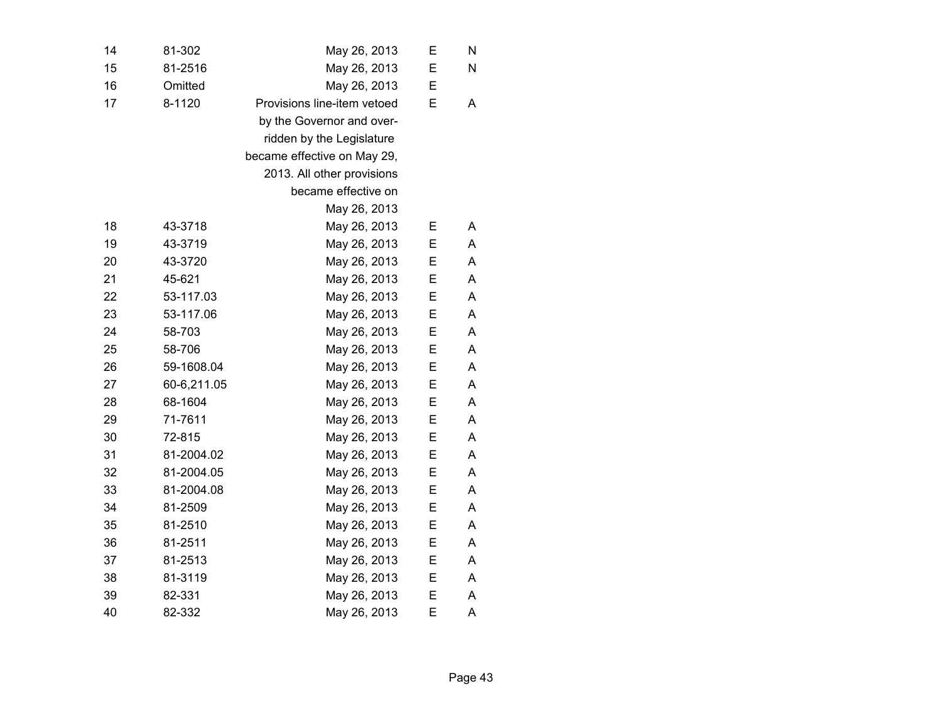| 14 | 81-302      | May 26, 2013                | Е | N |
|----|-------------|-----------------------------|---|---|
| 15 | 81-2516     | May 26, 2013                | E | N |
| 16 | Omitted     | May 26, 2013                | E |   |
| 17 | 8-1120      | Provisions line-item vetoed | E | A |
|    |             | by the Governor and over-   |   |   |
|    |             | ridden by the Legislature   |   |   |
|    |             | became effective on May 29, |   |   |
|    |             | 2013. All other provisions  |   |   |
|    |             | became effective on         |   |   |
|    |             | May 26, 2013                |   |   |
| 18 | 43-3718     | May 26, 2013                | Е | A |
| 19 | 43-3719     | May 26, 2013                | E | A |
| 20 | 43-3720     | May 26, 2013                | Е | A |
| 21 | 45-621      | May 26, 2013                | E | A |
| 22 | 53-117.03   | May 26, 2013                | E | A |
| 23 | 53-117.06   | May 26, 2013                | E | A |
| 24 | 58-703      | May 26, 2013                | Ε | Α |
| 25 | 58-706      | May 26, 2013                | Е | A |
| 26 | 59-1608.04  | May 26, 2013                | E | A |
| 27 | 60-6,211.05 | May 26, 2013                | E | A |
| 28 | 68-1604     | May 26, 2013                | Е | A |
| 29 | 71-7611     | May 26, 2013                | E | A |
| 30 | 72-815      | May 26, 2013                | E | A |
| 31 | 81-2004.02  | May 26, 2013                | Ε | Α |
| 32 | 81-2004.05  | May 26, 2013                | Е | A |
| 33 | 81-2004.08  | May 26, 2013                | E | A |
| 34 | 81-2509     | May 26, 2013                | E | A |
| 35 | 81-2510     | May 26, 2013                | Е | A |
| 36 | 81-2511     | May 26, 2013                | Е | Α |
| 37 | 81-2513     | May 26, 2013                | E | Α |
| 38 | 81-3119     | May 26, 2013                | Ε | A |
| 39 | 82-331      | May 26, 2013                | Е | A |
| 40 | 82-332      | May 26, 2013                | E | A |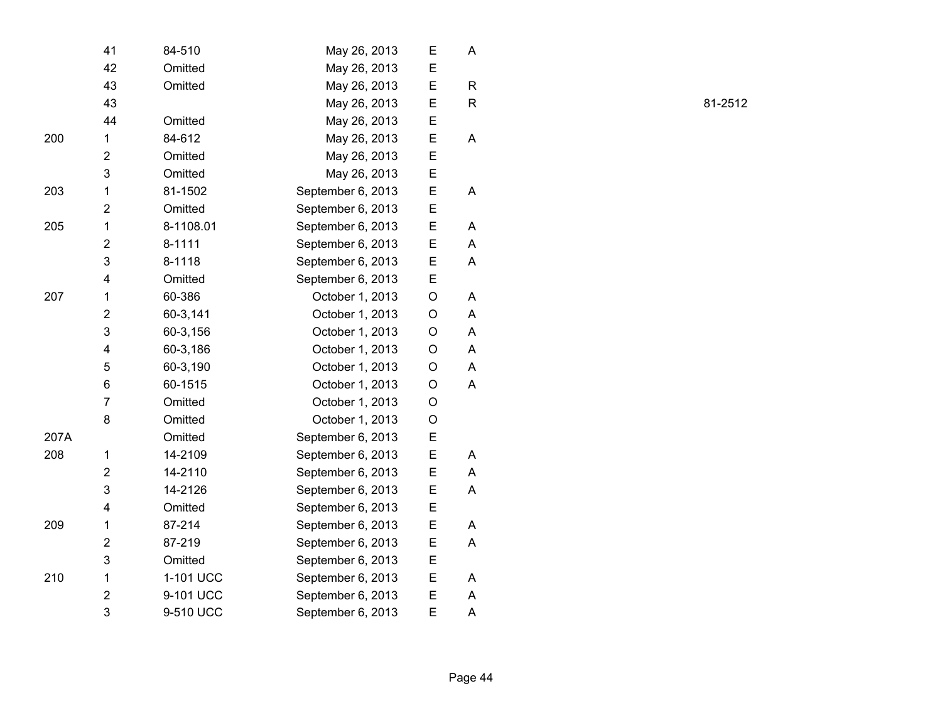|      | 41                      | 84-510    | May 26, 2013      | Е | A            |
|------|-------------------------|-----------|-------------------|---|--------------|
|      | 42                      | Omitted   | May 26, 2013      | E |              |
|      | 43                      | Omitted   | May 26, 2013      | E | $\mathsf{R}$ |
|      | 43                      |           | May 26, 2013      | E | $\mathsf{R}$ |
|      | 44                      | Omitted   | May 26, 2013      | E |              |
| 200  | 1                       | 84-612    | May 26, 2013      | E | A            |
|      | $\overline{2}$          | Omitted   | May 26, 2013      | E |              |
|      | 3                       | Omitted   | May 26, 2013      | E |              |
| 203  | 1                       | 81-1502   | September 6, 2013 | E | A            |
|      | $\overline{2}$          | Omitted   | September 6, 2013 | E |              |
| 205  | 1                       | 8-1108.01 | September 6, 2013 | E | A            |
|      | $\overline{2}$          | 8-1111    | September 6, 2013 | E | A            |
|      | 3                       | 8-1118    | September 6, 2013 | E | A            |
|      | 4                       | Omitted   | September 6, 2013 | E |              |
| 207  | 1                       | 60-386    | October 1, 2013   | O | A            |
|      | $\overline{2}$          | 60-3,141  | October 1, 2013   | O | A            |
|      | 3                       | 60-3,156  | October 1, 2013   | O | A            |
|      | $\overline{\mathbf{4}}$ | 60-3,186  | October 1, 2013   | O | A            |
|      | 5                       | 60-3,190  | October 1, 2013   | O | A            |
|      | 6                       | 60-1515   | October 1, 2013   | O | A            |
|      | $\overline{7}$          | Omitted   | October 1, 2013   | O |              |
|      | 8                       | Omitted   | October 1, 2013   | O |              |
| 207A |                         | Omitted   | September 6, 2013 | E |              |
| 208  | 1                       | 14-2109   | September 6, 2013 | E | A            |
|      | $\overline{\mathbf{c}}$ | 14-2110   | September 6, 2013 | E | A            |
|      | 3                       | 14-2126   | September 6, 2013 | E | A            |
|      | $\overline{\mathbf{4}}$ | Omitted   | September 6, 2013 | E |              |
| 209  | 1                       | 87-214    | September 6, 2013 | E | A            |
|      | $\overline{2}$          | 87-219    | September 6, 2013 | E | Α            |
|      | 3                       | Omitted   | September 6, 2013 | E |              |
| 210  | 1                       | 1-101 UCC | September 6, 2013 | E | Α            |
|      | $\overline{c}$          | 9-101 UCC | September 6, 2013 | E | A            |
|      | 3                       | 9-510 UCC | September 6, 2013 | E | A            |

R 81-2512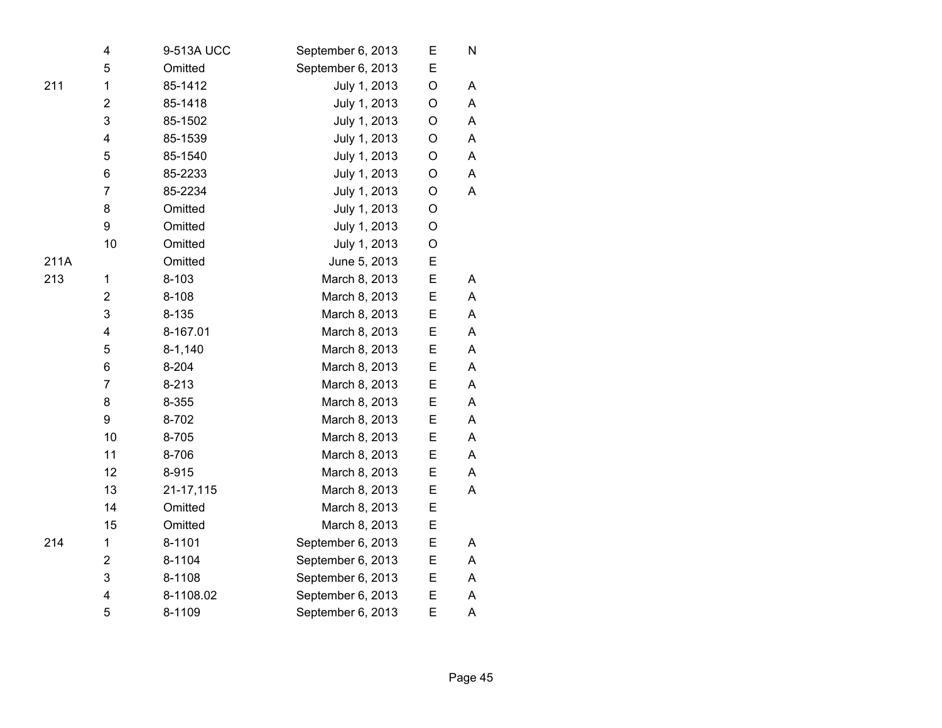|      | 4                       | 9-513A UCC  | September 6, 2013 | E           | N |
|------|-------------------------|-------------|-------------------|-------------|---|
|      | 5                       | Omitted     | September 6, 2013 | E           |   |
| 211  | 1                       | 85-1412     | July 1, 2013      | $\mathsf O$ | A |
|      | $\overline{2}$          | 85-1418     | July 1, 2013      | $\mathsf O$ | A |
|      | 3                       | 85-1502     | July 1, 2013      | O           | A |
|      | $\overline{\mathbf{4}}$ | 85-1539     | July 1, 2013      | O           | A |
|      | 5                       | 85-1540     | July 1, 2013      | O           | A |
|      | 6                       | 85-2233     | July 1, 2013      | $\mathsf O$ | A |
|      | $\overline{7}$          | 85-2234     | July 1, 2013      | O           | A |
|      | 8                       | Omitted     | July 1, 2013      | O           |   |
|      | 9                       | Omitted     | July 1, 2013      | $\mathsf O$ |   |
|      | 10                      | Omitted     | July 1, 2013      | O           |   |
| 211A |                         | Omitted     | June 5, 2013      | E           |   |
| 213  | 1                       | $8 - 103$   | March 8, 2013     | E           | A |
|      | $\overline{2}$          | $8 - 108$   | March 8, 2013     | E           | A |
|      | $\mathsf 3$             | 8-135       | March 8, 2013     | E           | Α |
|      | $\overline{\mathbf{4}}$ | 8-167.01    | March 8, 2013     | E           | A |
|      | 5                       | $8 - 1,140$ | March 8, 2013     | E           | A |
|      | 6                       | 8-204       | March 8, 2013     | E           | A |
|      | $\overline{7}$          | $8 - 213$   | March 8, 2013     | E           | A |
|      | 8                       | 8-355       | March 8, 2013     | E           | A |
|      | 9                       | 8-702       | March 8, 2013     | E           | A |
|      | 10                      | 8-705       | March 8, 2013     | E           | A |
|      | 11                      | 8-706       | March 8, 2013     | E           | A |
|      | 12                      | 8-915       | March 8, 2013     | E           | A |
|      | 13                      | 21-17,115   | March 8, 2013     | E           | A |
|      | 14                      | Omitted     | March 8, 2013     | E           |   |
|      | 15                      | Omitted     | March 8, 2013     | E           |   |
| 214  | $\mathbf 1$             | 8-1101      | September 6, 2013 | E           | A |
|      | $\overline{2}$          | 8-1104      | September 6, 2013 | E           | A |
|      | 3                       | 8-1108      | September 6, 2013 | E           | A |
|      | $\overline{\mathbf{4}}$ | 8-1108.02   | September 6, 2013 | E           | A |
|      | 5                       | 8-1109      | September 6, 2013 | E           | A |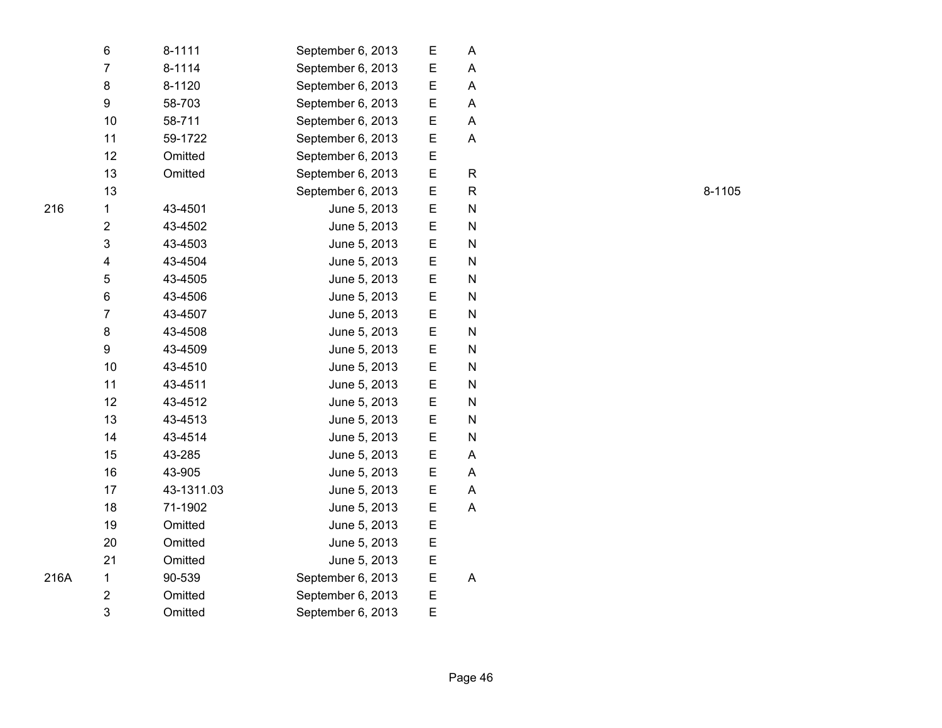| 6                       | 8-1111     | September 6, 2013 | Е | A         |
|-------------------------|------------|-------------------|---|-----------|
| $\overline{7}$          | 8-1114     | September 6, 2013 | E | A         |
| 8                       | 8-1120     | September 6, 2013 | Е | A         |
| 9                       | 58-703     | September 6, 2013 | E | A         |
| 10                      | 58-711     | September 6, 2013 | E | A         |
| 11                      | 59-1722    | September 6, 2013 | E | A         |
| 12                      | Omitted    | September 6, 2013 | E |           |
| 13                      | Omitted    | September 6, 2013 | E | R         |
| 13                      |            | September 6, 2013 | E | R         |
| 1                       | 43-4501    | June 5, 2013      | Е | ${\sf N}$ |
| $\mathbf 2$             | 43-4502    | June 5, 2013      | E | ${\sf N}$ |
| $\mathsf 3$             | 43-4503    | June 5, 2013      | E | N         |
| $\overline{\mathbf{4}}$ | 43-4504    | June 5, 2013      | E | N         |
| 5                       | 43-4505    | June 5, 2013      | E | ${\sf N}$ |
| 6                       | 43-4506    | June 5, 2013      | Е | N         |
| $\overline{7}$          | 43-4507    | June 5, 2013      | E | N         |
| 8                       | 43-4508    | June 5, 2013      | Е | N         |
| 9                       | 43-4509    | June 5, 2013      | E | N         |
| 10                      | 43-4510    | June 5, 2013      | E | N         |
| 11                      | 43-4511    | June 5, 2013      | E | N         |
| 12                      | 43-4512    | June 5, 2013      | E | N         |
| 13                      | 43-4513    | June 5, 2013      | E | ${\sf N}$ |
| 14                      | 43-4514    | June 5, 2013      | E | N         |
| 15                      | 43-285     | June 5, 2013      | Е | A         |
| 16                      | 43-905     | June 5, 2013      | E | A         |
| 17                      | 43-1311.03 | June 5, 2013      | Е | A         |
| 18                      | 71-1902    | June 5, 2013      | E | A         |
| 19                      | Omitted    | June 5, 2013      | E |           |
| 20                      | Omitted    | June 5, 2013      | E |           |
| 21                      | Omitted    | June 5, 2013      | E |           |
| 1                       | 90-539     | September 6, 2013 | Е | Α         |
| $\mathbf 2$             | Omitted    | September 6, 2013 | E |           |
| 3                       | Omitted    | September 6, 2013 | E |           |

8-1105

216

216A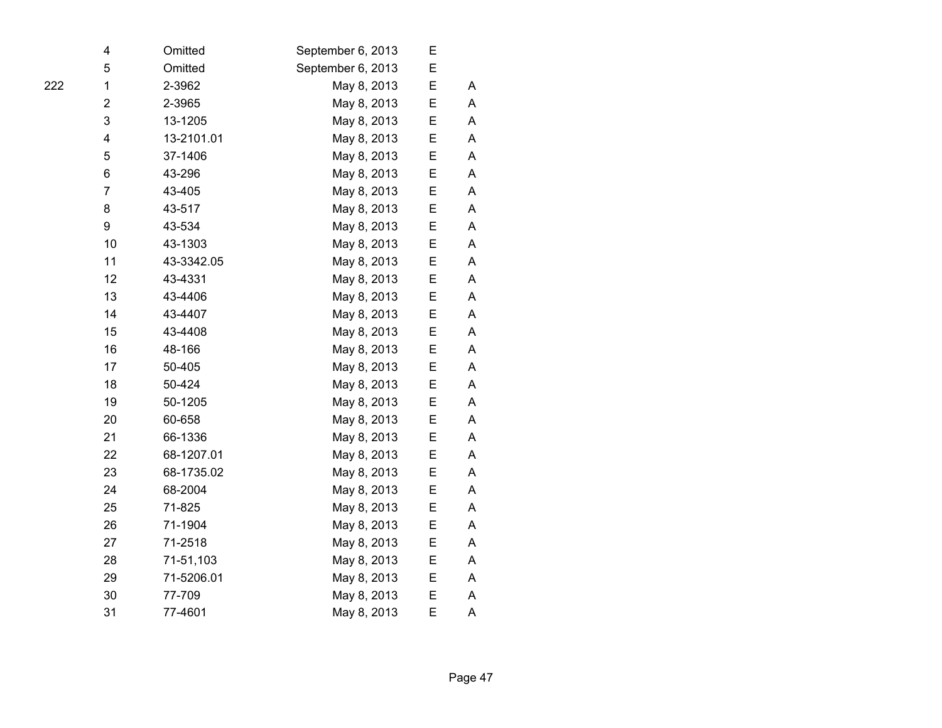| 4                       | Omitted    | September 6, 2013 | Ε |   |
|-------------------------|------------|-------------------|---|---|
| 5                       | Omitted    | September 6, 2013 | Е |   |
| $\mathbf 1$             | 2-3962     | May 8, 2013       | E | A |
| $\overline{\mathbf{c}}$ | 2-3965     | May 8, 2013       | Ε | A |
| 3                       | 13-1205    | May 8, 2013       | E | A |
| 4                       | 13-2101.01 | May 8, 2013       | Е | Α |
| 5                       | 37-1406    | May 8, 2013       | E | A |
| 6                       | 43-296     | May 8, 2013       | Е | A |
| $\overline{7}$          | 43-405     | May 8, 2013       | Е | A |
| 8                       | 43-517     | May 8, 2013       | Е | A |
| 9                       | 43-534     | May 8, 2013       | Е | A |
| 10                      | 43-1303    | May 8, 2013       | E | A |
| 11                      | 43-3342.05 | May 8, 2013       | E | Α |
| 12                      | 43-4331    | May 8, 2013       | Ε | A |
| 13                      | 43-4406    | May 8, 2013       | E | A |
| 14                      | 43-4407    | May 8, 2013       | E | A |
| 15                      | 43-4408    | May 8, 2013       | Е | A |
| 16                      | 48-166     | May 8, 2013       | Е | Α |
| 17                      | 50-405     | May 8, 2013       | Ε | A |
| 18                      | 50-424     | May 8, 2013       | Е | Α |
| 19                      | 50-1205    | May 8, 2013       | E | A |
| 20                      | 60-658     | May 8, 2013       | E | A |
| 21                      | 66-1336    | May 8, 2013       | Е | A |
| 22                      | 68-1207.01 | May 8, 2013       | E | A |
| 23                      | 68-1735.02 | May 8, 2013       | E | A |
| 24                      | 68-2004    | May 8, 2013       | Е | A |
| 25                      | 71-825     | May 8, 2013       | E | A |
| 26                      | 71-1904    | May 8, 2013       | Е | A |
| 27                      | 71-2518    | May 8, 2013       | E | A |
| 28                      | 71-51,103  | May 8, 2013       | Е | A |
| 29                      | 71-5206.01 | May 8, 2013       | Ε | A |
| 30                      | 77-709     | May 8, 2013       | E | A |
| 31                      | 77-4601    | May 8, 2013       | E | A |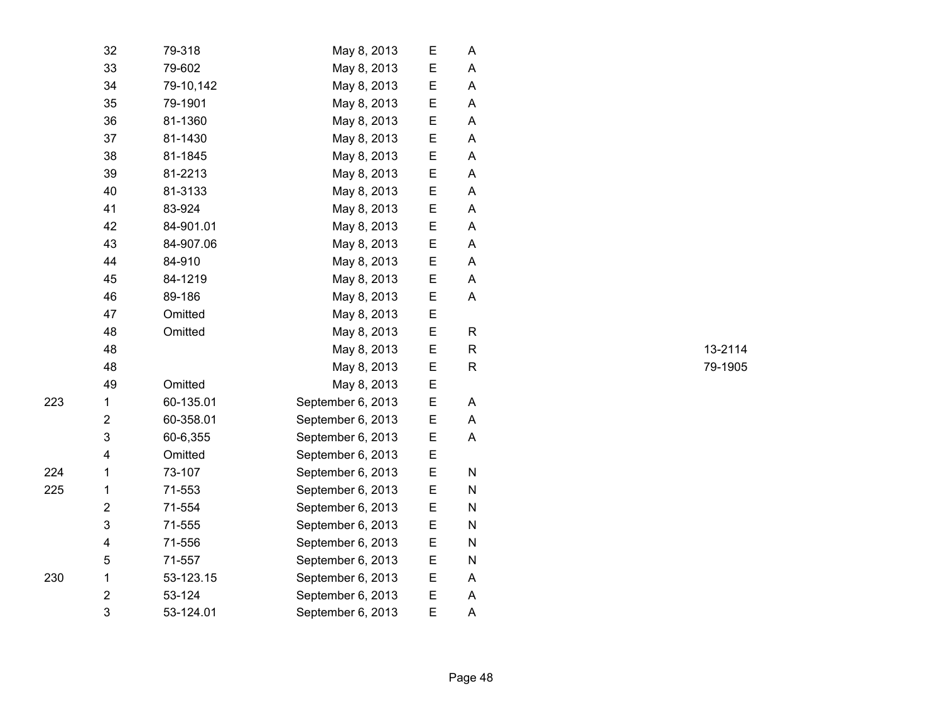| 32                      | 79-318    | May 8, 2013       | Ε | A         |
|-------------------------|-----------|-------------------|---|-----------|
| 33                      | 79-602    | May 8, 2013       | E | A         |
| 34                      | 79-10,142 | May 8, 2013       | E | A         |
| 35                      | 79-1901   | May 8, 2013       | E | A         |
| 36                      | 81-1360   | May 8, 2013       | E | A         |
| 37                      | 81-1430   | May 8, 2013       | E | A         |
| 38                      | 81-1845   | May 8, 2013       | E | A         |
| 39                      | 81-2213   | May 8, 2013       | Е | A         |
| 40                      | 81-3133   | May 8, 2013       | E | A         |
| 41                      | 83-924    | May 8, 2013       | Ε | A         |
| 42                      | 84-901.01 | May 8, 2013       | E | A         |
| 43                      | 84-907.06 | May 8, 2013       | E | A         |
| 44                      | 84-910    | May 8, 2013       | E | A         |
| 45                      | 84-1219   | May 8, 2013       | E | A         |
| 46                      | 89-186    | May 8, 2013       | E | A         |
| 47                      | Omitted   | May 8, 2013       | E |           |
| 48                      | Omitted   | May 8, 2013       | E | R         |
| 48                      |           | May 8, 2013       | E | R         |
| 48                      |           | May 8, 2013       | E | R         |
| 49                      | Omitted   | May 8, 2013       | E |           |
| 1                       | 60-135.01 | September 6, 2013 | E | A         |
| $\overline{\mathbf{c}}$ | 60-358.01 | September 6, 2013 | E | A         |
| $\mathsf 3$             | 60-6,355  | September 6, 2013 | E | A         |
| $\overline{\mathbf{4}}$ | Omitted   | September 6, 2013 | E |           |
| 1                       | 73-107    | September 6, 2013 | E | ${\sf N}$ |
| 1                       | 71-553    | September 6, 2013 | E | N         |
| $\overline{\mathbf{c}}$ | 71-554    | September 6, 2013 | E | N         |
| $\mathsf 3$             | 71-555    | September 6, 2013 | E | N         |
| 4                       | 71-556    | September 6, 2013 | E | N         |
| 5                       | 71-557    | September 6, 2013 | E | N         |
| 1                       | 53-123.15 | September 6, 2013 | E | A         |
| $\overline{\mathbf{c}}$ | 53-124    | September 6, 2013 | Ε | A         |
| 3                       | 53-124.01 | September 6, 2013 | E | A         |

224

225

230

R 13-2114 R 79-1905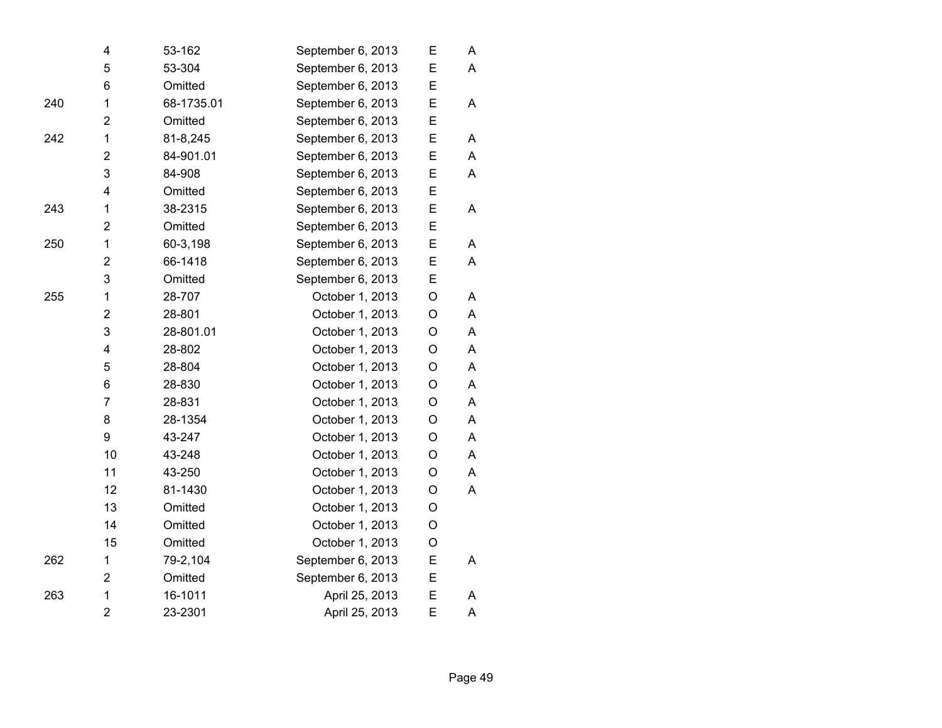|     | 4              | 53-162     | September 6, 2013 | E           | A |
|-----|----------------|------------|-------------------|-------------|---|
|     | 5              | 53-304     | September 6, 2013 | E           | A |
|     | 6              | Omitted    | September 6, 2013 | E           |   |
| 240 | 1              | 68-1735.01 | September 6, 2013 | E           | A |
|     | $\overline{2}$ | Omitted    | September 6, 2013 | E           |   |
| 242 | $\mathbf{1}$   | 81-8,245   | September 6, 2013 | E           | A |
|     | $\overline{2}$ | 84-901.01  | September 6, 2013 | E           | A |
|     | 3              | 84-908     | September 6, 2013 | E           | A |
|     | 4              | Omitted    | September 6, 2013 | E           |   |
| 243 | 1              | 38-2315    | September 6, 2013 | E           | A |
|     | $\overline{2}$ | Omitted    | September 6, 2013 | E           |   |
| 250 | $\mathbf{1}$   | 60-3,198   | September 6, 2013 | E           | A |
|     | $\overline{2}$ | 66-1418    | September 6, 2013 | E           | A |
|     | 3              | Omitted    | September 6, 2013 | E           |   |
| 255 | 1              | 28-707     | October 1, 2013   | $\mathsf O$ | A |
|     | $\overline{2}$ | 28-801     | October 1, 2013   | O           | A |
|     | 3              | 28-801.01  | October 1, 2013   | O           | A |
|     | 4              | 28-802     | October 1, 2013   | $\mathsf O$ | A |
|     | 5              | 28-804     | October 1, 2013   | O           | A |
|     | 6              | 28-830     | October 1, 2013   | O           | A |
|     | $\overline{7}$ | 28-831     | October 1, 2013   | O           | A |
|     | 8              | 28-1354    | October 1, 2013   | $\mathsf O$ | A |
|     | 9              | 43-247     | October 1, 2013   | O           | A |
|     | 10             | 43-248     | October 1, 2013   | O           | A |
|     | 11             | 43-250     | October 1, 2013   | O           | A |
|     | 12             | 81-1430    | October 1, 2013   | O           | A |
|     | 13             | Omitted    | October 1, 2013   | O           |   |
|     | 14             | Omitted    | October 1, 2013   | O           |   |
|     | 15             | Omitted    | October 1, 2013   | O           |   |
| 262 | 1              | 79-2,104   | September 6, 2013 | E           | A |
|     | $\overline{2}$ | Omitted    | September 6, 2013 | E           |   |
| 263 | 1              | 16-1011    | April 25, 2013    | E           | A |
|     | $\overline{2}$ | 23-2301    | April 25, 2013    | E           | A |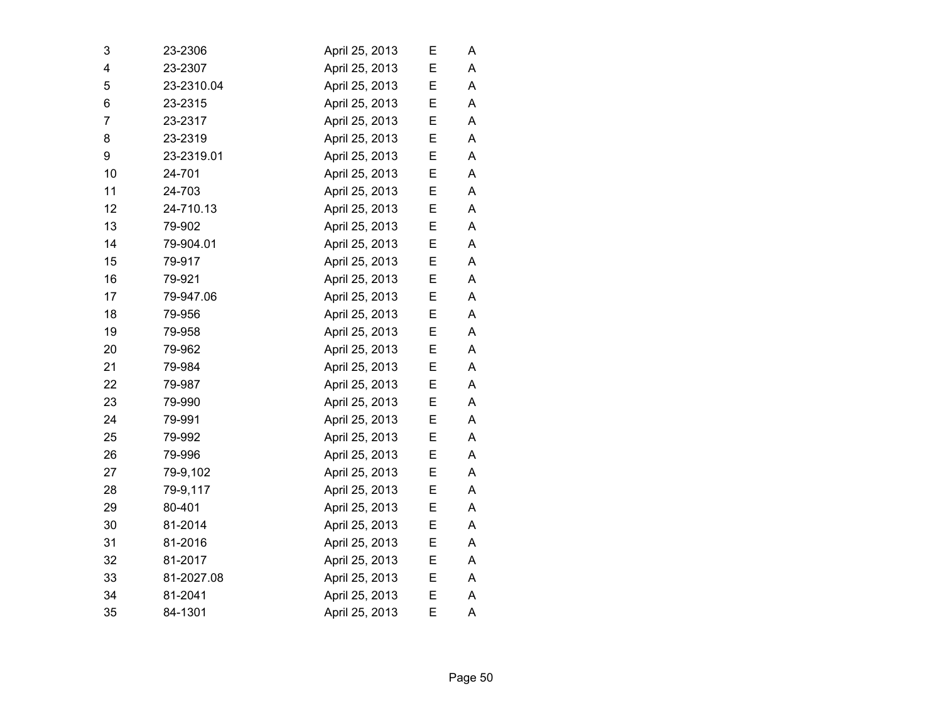| 3              | 23-2306    | April 25, 2013 | Е | A |
|----------------|------------|----------------|---|---|
| 4              | 23-2307    | April 25, 2013 | E | A |
| 5              | 23-2310.04 | April 25, 2013 | Е | A |
| 6              | 23-2315    | April 25, 2013 | E | A |
| $\overline{7}$ | 23-2317    | April 25, 2013 | Е | A |
| 8              | 23-2319    | April 25, 2013 | E | A |
| 9              | 23-2319.01 | April 25, 2013 | E | A |
| 10             | 24-701     | April 25, 2013 | Е | A |
| 11             | 24-703     | April 25, 2013 | E | A |
| 12             | 24-710.13  | April 25, 2013 | Е | A |
| 13             | 79-902     | April 25, 2013 | E | A |
| 14             | 79-904.01  | April 25, 2013 | Е | A |
| 15             | 79-917     | April 25, 2013 | E | A |
| 16             | 79-921     | April 25, 2013 | E | A |
| 17             | 79-947.06  | April 25, 2013 | E | A |
| 18             | 79-956     | April 25, 2013 | E | A |
| 19             | 79-958     | April 25, 2013 | E | A |
| 20             | 79-962     | April 25, 2013 | Е | A |
| 21             | 79-984     | April 25, 2013 | Е | A |
| 22             | 79-987     | April 25, 2013 | E | A |
| 23             | 79-990     | April 25, 2013 | E | A |
| 24             | 79-991     | April 25, 2013 | E | A |
| 25             | 79-992     | April 25, 2013 | E | A |
| 26             | 79-996     | April 25, 2013 | E | A |
| 27             | 79-9,102   | April 25, 2013 | Е | A |
| 28             | 79-9,117   | April 25, 2013 | Е | A |
| 29             | 80-401     | April 25, 2013 | Е | A |
| 30             | 81-2014    | April 25, 2013 | E | A |
| 31             | 81-2016    | April 25, 2013 | Е | A |
| 32             | 81-2017    | April 25, 2013 | Е | A |
| 33             | 81-2027.08 | April 25, 2013 | E | A |
| 34             | 81-2041    | April 25, 2013 | Е | A |
| 35             | 84-1301    | April 25, 2013 | E | A |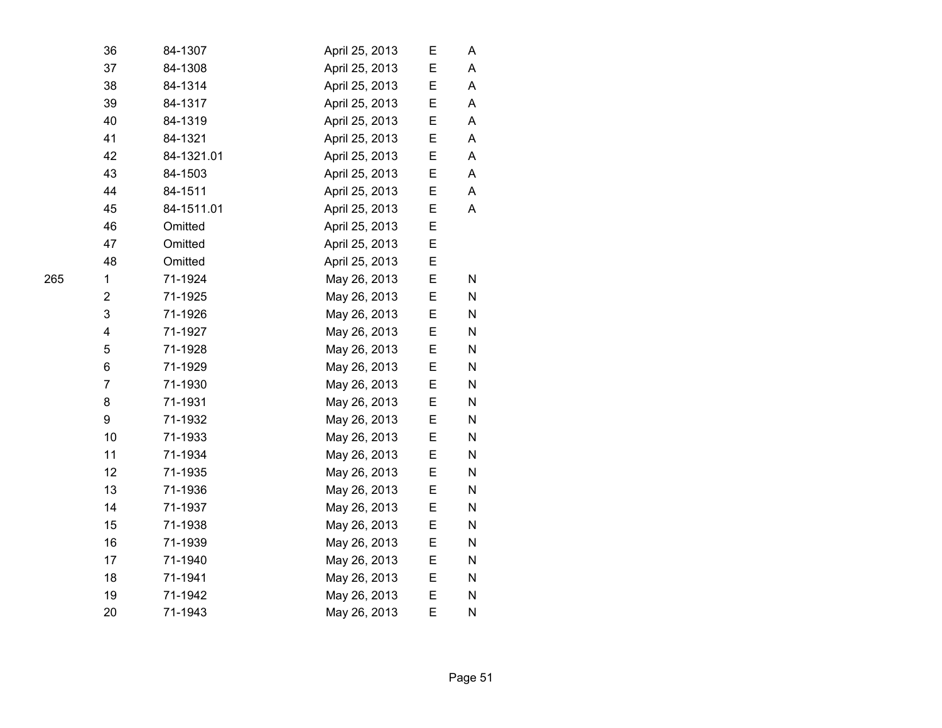| 36                      | 84-1307    | April 25, 2013 | Е | Α         |  |
|-------------------------|------------|----------------|---|-----------|--|
| 37                      | 84-1308    | April 25, 2013 | E | Α         |  |
| 38                      | 84-1314    | April 25, 2013 | E | A         |  |
| 39                      | 84-1317    | April 25, 2013 | E | A         |  |
| 40                      | 84-1319    | April 25, 2013 | E | A         |  |
| 41                      | 84-1321    | April 25, 2013 | Е | A         |  |
| 42                      | 84-1321.01 | April 25, 2013 | E | A         |  |
| 43                      | 84-1503    | April 25, 2013 | E | A         |  |
| 44                      | 84-1511    | April 25, 2013 | E | A         |  |
| 45                      | 84-1511.01 | April 25, 2013 | Е | A         |  |
| 46                      | Omitted    | April 25, 2013 | Е |           |  |
| 47                      | Omitted    | April 25, 2013 | Е |           |  |
| 48                      | Omitted    | April 25, 2013 | Е |           |  |
| $\mathbf 1$             | 71-1924    | May 26, 2013   | Ε | N         |  |
| $\overline{\mathbf{c}}$ | 71-1925    | May 26, 2013   | Ε | N         |  |
| 3                       | 71-1926    | May 26, 2013   | E | N         |  |
| 4                       | 71-1927    | May 26, 2013   | Е | N         |  |
| 5                       | 71-1928    | May 26, 2013   | Е | N         |  |
| 6                       | 71-1929    | May 26, 2013   | E | N         |  |
| $\overline{7}$          | 71-1930    | May 26, 2013   | E | N         |  |
| 8                       | 71-1931    | May 26, 2013   | Ε | N         |  |
| 9                       | 71-1932    | May 26, 2013   | E | ${\sf N}$ |  |
| 10                      | 71-1933    | May 26, 2013   | E | ${\sf N}$ |  |
| 11                      | 71-1934    | May 26, 2013   | E | N         |  |
| 12                      | 71-1935    | May 26, 2013   | Е | N         |  |
| 13                      | 71-1936    | May 26, 2013   | Е | N         |  |
| 14                      | 71-1937    | May 26, 2013   | E | N         |  |
| 15                      | 71-1938    | May 26, 2013   | Е | N         |  |
| 16                      | 71-1939    | May 26, 2013   | Е | N         |  |
| 17                      | 71-1940    | May 26, 2013   | E | N         |  |
| 18                      | 71-1941    | May 26, 2013   | Е | N         |  |
| 19                      | 71-1942    | May 26, 2013   | Е | N         |  |
| 20                      | 71-1943    | May 26, 2013   | E | N         |  |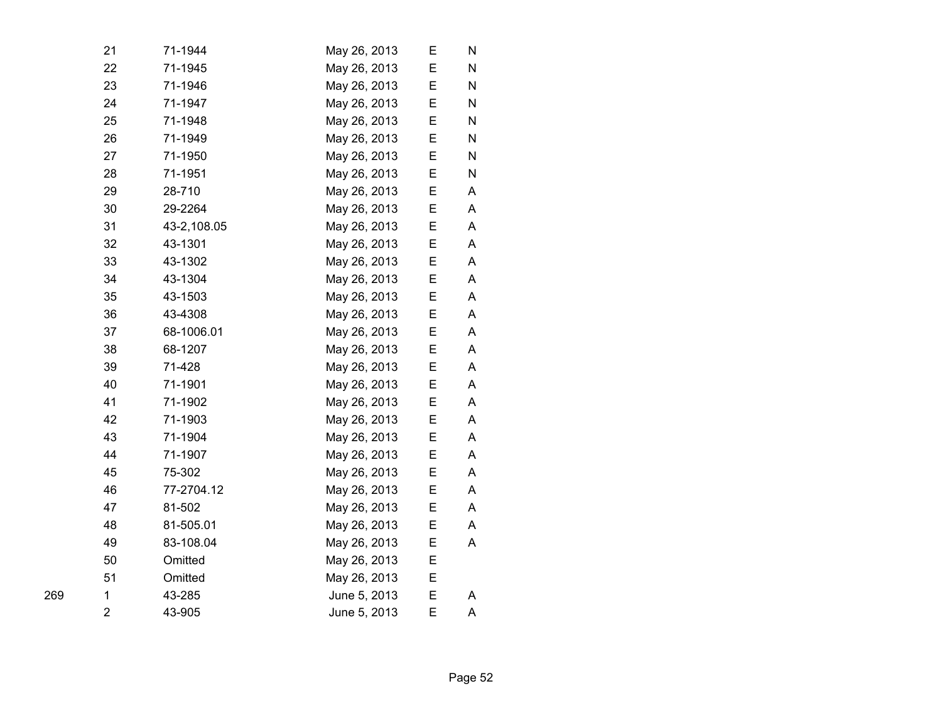| 21 | 71-1944     | May 26, 2013 | Е  | N |  |
|----|-------------|--------------|----|---|--|
| 22 | 71-1945     | May 26, 2013 | E  | N |  |
| 23 | 71-1946     | May 26, 2013 | E  | Ν |  |
| 24 | 71-1947     | May 26, 2013 | E  | N |  |
| 25 | 71-1948     | May 26, 2013 | E  | N |  |
| 26 | 71-1949     | May 26, 2013 | E  | N |  |
| 27 | 71-1950     | May 26, 2013 | E  | N |  |
| 28 | 71-1951     | May 26, 2013 | Е  | Ν |  |
| 29 | 28-710      | May 26, 2013 | E  | A |  |
| 30 | 29-2264     | May 26, 2013 | E. | A |  |
| 31 | 43-2,108.05 | May 26, 2013 | Е  | A |  |
| 32 | 43-1301     | May 26, 2013 | E  | Α |  |
| 33 | 43-1302     | May 26, 2013 | E  | A |  |
| 34 | 43-1304     | May 26, 2013 | E  | A |  |
| 35 | 43-1503     | May 26, 2013 | Е  | A |  |
| 36 | 43-4308     | May 26, 2013 | E  | Α |  |
| 37 | 68-1006.01  | May 26, 2013 | Е  | A |  |
| 38 | 68-1207     | May 26, 2013 | Е  | A |  |
| 39 | 71-428      | May 26, 2013 | Е  | A |  |
| 40 | 71-1901     | May 26, 2013 | E  | A |  |
| 41 | 71-1902     | May 26, 2013 | E  | A |  |
| 42 | 71-1903     | May 26, 2013 | Е  | A |  |
| 43 | 71-1904     | May 26, 2013 | E  | Α |  |
| 44 | 71-1907     | May 26, 2013 | Е  | A |  |
| 45 | 75-302      | May 26, 2013 | Е  | A |  |
| 46 | 77-2704.12  | May 26, 2013 | Е  | A |  |
| 47 | 81-502      | May 26, 2013 | E  | A |  |
| 48 | 81-505.01   | May 26, 2013 | Е  | A |  |
| 49 | 83-108.04   | May 26, 2013 | Е  | Α |  |
| 50 | Omitted     | May 26, 2013 | E  |   |  |
| 51 | Omitted     | May 26, 2013 | Е  |   |  |
| 1  | 43-285      | June 5, 2013 | E  | Α |  |
| 2  | 43-905      | June 5, 2013 | E  | Α |  |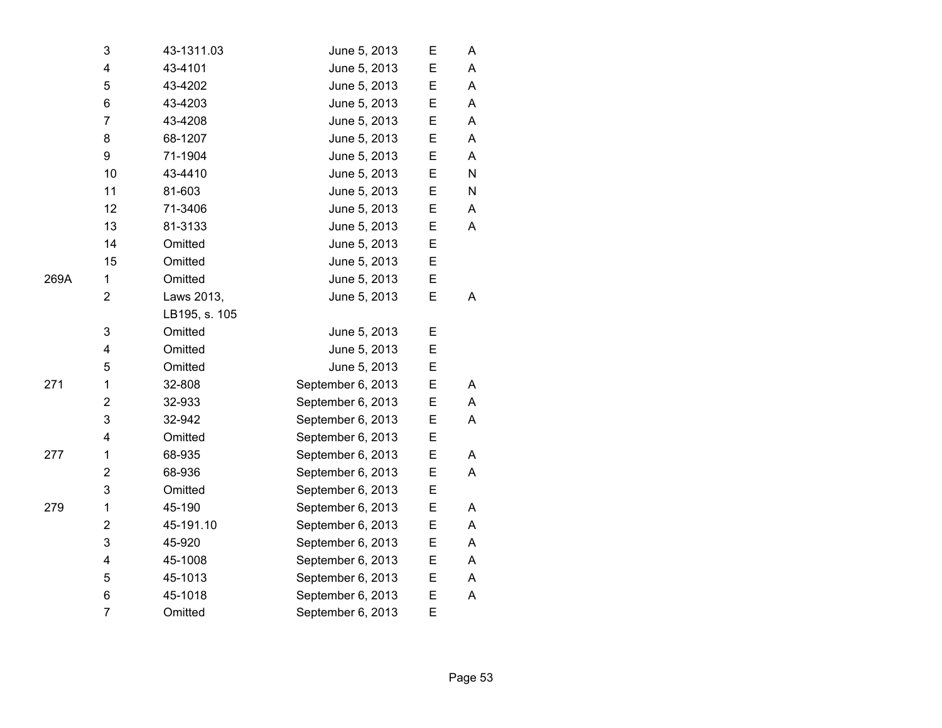|                   | 3                                                                                                                                                                                                                                                                                                                                                                                                                                                                              | 43-1311.03    | June 5, 2013      | Ε | Α |
|-------------------|--------------------------------------------------------------------------------------------------------------------------------------------------------------------------------------------------------------------------------------------------------------------------------------------------------------------------------------------------------------------------------------------------------------------------------------------------------------------------------|---------------|-------------------|---|---|
|                   | $\overline{\mathbf{4}}$                                                                                                                                                                                                                                                                                                                                                                                                                                                        | 43-4101       | June 5, 2013      | E | A |
|                   | 5                                                                                                                                                                                                                                                                                                                                                                                                                                                                              | 43-4202       | June 5, 2013      | Е | A |
|                   | 6                                                                                                                                                                                                                                                                                                                                                                                                                                                                              | 43-4203       | June 5, 2013      | E | A |
|                   | $\overline{7}$                                                                                                                                                                                                                                                                                                                                                                                                                                                                 | 43-4208       | June 5, 2013      | Е | A |
|                   | 8                                                                                                                                                                                                                                                                                                                                                                                                                                                                              | 68-1207       | June 5, 2013      | Е | A |
|                   | 9                                                                                                                                                                                                                                                                                                                                                                                                                                                                              | 71-1904       | June 5, 2013      | E | A |
|                   | 10                                                                                                                                                                                                                                                                                                                                                                                                                                                                             | 43-4410       | June 5, 2013      | E | N |
|                   | 11                                                                                                                                                                                                                                                                                                                                                                                                                                                                             | 81-603        | June 5, 2013      | E | N |
|                   | 12                                                                                                                                                                                                                                                                                                                                                                                                                                                                             | 71-3406       | June 5, 2013      | Е | A |
|                   | 13                                                                                                                                                                                                                                                                                                                                                                                                                                                                             | 81-3133       | June 5, 2013      | E | A |
|                   | 14                                                                                                                                                                                                                                                                                                                                                                                                                                                                             | Omitted       | June 5, 2013      | Е |   |
|                   | 15                                                                                                                                                                                                                                                                                                                                                                                                                                                                             | Omitted       | June 5, 2013      | Е |   |
| 269A              | 1                                                                                                                                                                                                                                                                                                                                                                                                                                                                              | Omitted       | June 5, 2013      | E |   |
|                   | $\overline{2}$                                                                                                                                                                                                                                                                                                                                                                                                                                                                 | Laws 2013,    | June 5, 2013      | E | A |
|                   |                                                                                                                                                                                                                                                                                                                                                                                                                                                                                | LB195, s. 105 |                   |   |   |
|                   | 3                                                                                                                                                                                                                                                                                                                                                                                                                                                                              | Omitted       | June 5, 2013      | Ε |   |
|                   | 4                                                                                                                                                                                                                                                                                                                                                                                                                                                                              | Omitted       | June 5, 2013      | E |   |
|                   | 5                                                                                                                                                                                                                                                                                                                                                                                                                                                                              | Omitted       | June 5, 2013      | Е |   |
| 271<br>277<br>279 | 1                                                                                                                                                                                                                                                                                                                                                                                                                                                                              | 32-808        | September 6, 2013 | Е | A |
|                   | $\overline{\mathbf{c}}$                                                                                                                                                                                                                                                                                                                                                                                                                                                        | 32-933        | September 6, 2013 | Е | A |
|                   | 3                                                                                                                                                                                                                                                                                                                                                                                                                                                                              | 32-942        | September 6, 2013 | E | A |
|                   | 4                                                                                                                                                                                                                                                                                                                                                                                                                                                                              | Omitted       | September 6, 2013 | E |   |
|                   | September 6, 2013<br>1<br>68-935<br>E<br>$\overline{2}$<br>68-936<br>September 6, 2013<br>E<br>3<br>Omitted<br>September 6, 2013<br>Е<br>1<br>45-190<br>September 6, 2013<br>E<br>$\overline{\mathbf{c}}$<br>45-191.10<br>September 6, 2013<br>Е<br>3<br>45-920<br>September 6, 2013<br>Е<br>4<br>September 6, 2013<br>45-1008<br>E<br>5<br>45-1013<br>September 6, 2013<br>E<br>6<br>45-1018<br>September 6, 2013<br>Е<br>E<br>$\overline{7}$<br>Omitted<br>September 6, 2013 | A             |                   |   |   |
|                   |                                                                                                                                                                                                                                                                                                                                                                                                                                                                                |               |                   |   | A |
|                   |                                                                                                                                                                                                                                                                                                                                                                                                                                                                                |               |                   |   |   |
|                   |                                                                                                                                                                                                                                                                                                                                                                                                                                                                                |               |                   |   | Α |
|                   |                                                                                                                                                                                                                                                                                                                                                                                                                                                                                |               |                   |   | A |
|                   |                                                                                                                                                                                                                                                                                                                                                                                                                                                                                |               |                   |   | A |
|                   |                                                                                                                                                                                                                                                                                                                                                                                                                                                                                |               |                   |   | A |
|                   |                                                                                                                                                                                                                                                                                                                                                                                                                                                                                |               |                   |   | A |
|                   |                                                                                                                                                                                                                                                                                                                                                                                                                                                                                |               |                   |   | A |
|                   |                                                                                                                                                                                                                                                                                                                                                                                                                                                                                |               |                   |   |   |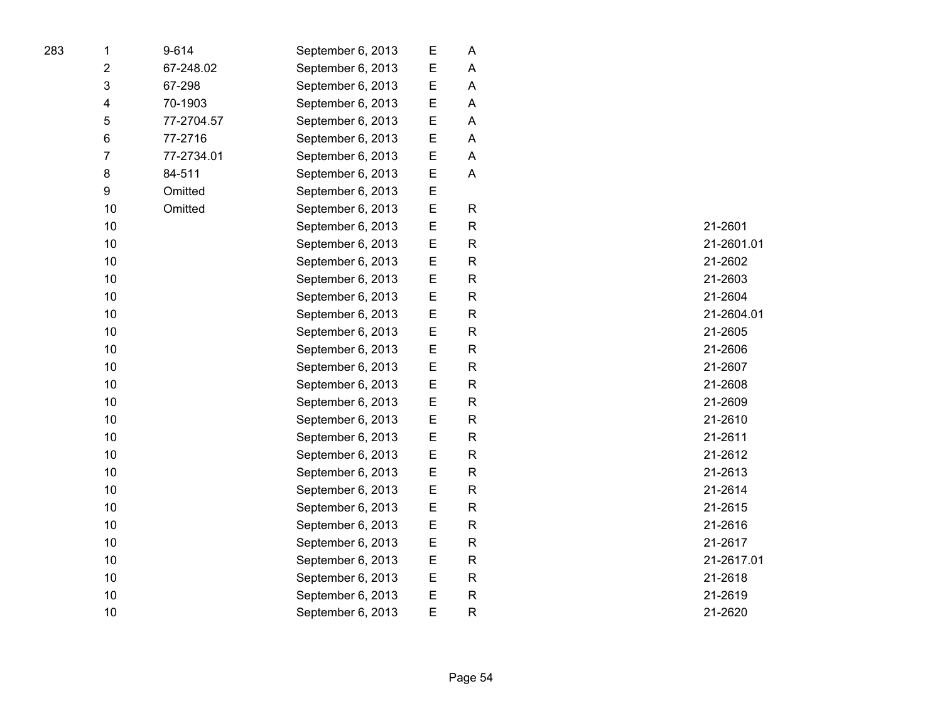| 1              | 9-614      | September 6, 2013 | Ε | Α           |         |
|----------------|------------|-------------------|---|-------------|---------|
| 2              | 67-248.02  | September 6, 2013 | E | A           |         |
| 3              | 67-298     | September 6, 2013 | E | A           |         |
| 4              | 70-1903    | September 6, 2013 | E | A           |         |
| 5              | 77-2704.57 | September 6, 2013 | E | A           |         |
| 6              | 77-2716    | September 6, 2013 | E | A           |         |
| $\overline{7}$ | 77-2734.01 | September 6, 2013 | E | A           |         |
| 8              | 84-511     | September 6, 2013 | E | A           |         |
| 9              | Omitted    | September 6, 2013 | E |             |         |
| 10             | Omitted    | September 6, 2013 | E | $\mathsf R$ |         |
| 10             |            | September 6, 2013 | E | ${\sf R}$   | 21-2601 |
| 10             |            | September 6, 2013 | E | ${\sf R}$   | 21-2601 |
| 10             |            | September 6, 2013 | E | R           | 21-2602 |
| 10             |            | September 6, 2013 | E | R           | 21-2603 |
| 10             |            | September 6, 2013 | E | R           | 21-2604 |
| 10             |            | September 6, 2013 | E | ${\sf R}$   | 21-2604 |
| 10             |            | September 6, 2013 | E | R           | 21-2605 |
| 10             |            | September 6, 2013 | E | ${\sf R}$   | 21-2606 |
| 10             |            | September 6, 2013 | E | ${\sf R}$   | 21-2607 |
| 10             |            | September 6, 2013 | E | ${\sf R}$   | 21-2608 |
| 10             |            | September 6, 2013 | E | R           | 21-2609 |
| 10             |            | September 6, 2013 | E | ${\sf R}$   | 21-2610 |
| 10             |            | September 6, 2013 | E | ${\sf R}$   | 21-2611 |
| 10             |            | September 6, 2013 | E | R           | 21-2612 |
| 10             |            | September 6, 2013 | E | ${\sf R}$   | 21-2613 |
| 10             |            | September 6, 2013 | E | ${\sf R}$   | 21-2614 |
| 10             |            | September 6, 2013 | E | ${\sf R}$   | 21-2615 |
| 10             |            | September 6, 2013 | E | ${\sf R}$   | 21-2616 |
| 10             |            | September 6, 2013 | E | ${\sf R}$   | 21-2617 |
| 10             |            | September 6, 2013 | E | ${\sf R}$   | 21-2617 |
| 10             |            | September 6, 2013 | E | ${\sf R}$   | 21-2618 |
| 10             |            | September 6, 2013 | E | R           | 21-2619 |
| 10             |            | September 6, 2013 | E | R           | 21-2620 |
|                |            |                   |   |             |         |

R 21-2601.01 2604.01 2617.01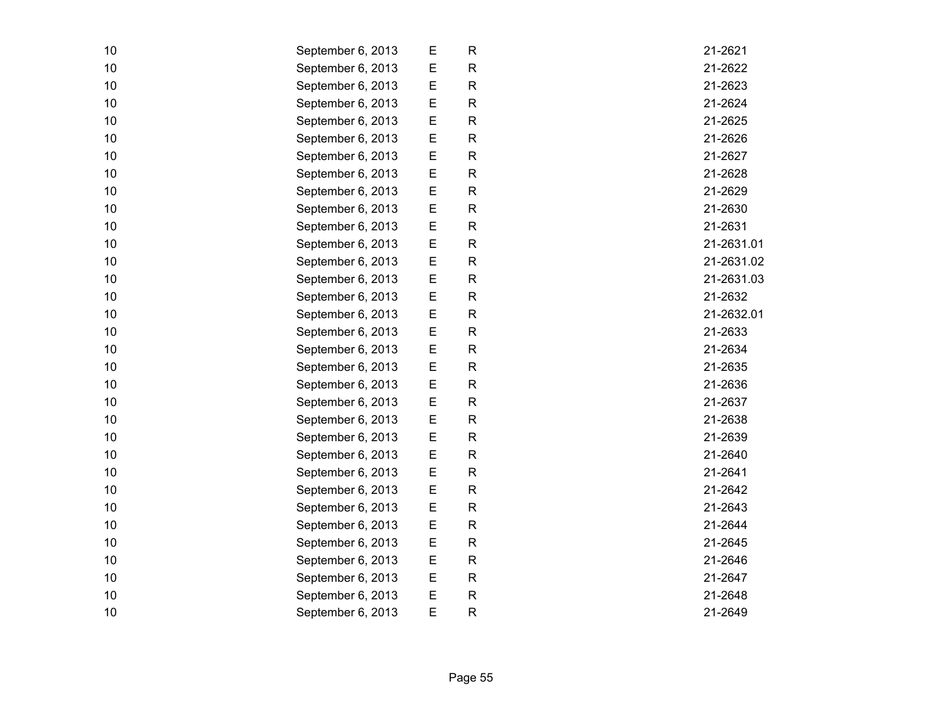| 10 | September 6, 2013 | E | $\mathsf R$ | 21-2621    |
|----|-------------------|---|-------------|------------|
| 10 | September 6, 2013 | E | ${\sf R}$   | 21-2622    |
| 10 | September 6, 2013 | E | ${\sf R}$   | 21-2623    |
| 10 | September 6, 2013 | E | ${\sf R}$   | 21-2624    |
| 10 | September 6, 2013 | E | ${\sf R}$   | 21-2625    |
| 10 | September 6, 2013 | E | R           | 21-2626    |
| 10 | September 6, 2013 | E | ${\sf R}$   | 21-2627    |
| 10 | September 6, 2013 | E | $\mathsf R$ | 21-2628    |
| 10 | September 6, 2013 | E | R           | 21-2629    |
| 10 | September 6, 2013 | E | R           | 21-2630    |
| 10 | September 6, 2013 | E | ${\sf R}$   | 21-2631    |
| 10 | September 6, 2013 | E | ${\sf R}$   | 21-2631.01 |
| 10 | September 6, 2013 | E | R           | 21-2631.02 |
| 10 | September 6, 2013 | E | R           | 21-2631.03 |
| 10 | September 6, 2013 | E | ${\sf R}$   | 21-2632    |
| 10 | September 6, 2013 | E | ${\sf R}$   | 21-2632.01 |
| 10 | September 6, 2013 | E | ${\sf R}$   | 21-2633    |
| 10 | September 6, 2013 | E | ${\sf R}$   | 21-2634    |
| 10 | September 6, 2013 | E | $\mathsf R$ | 21-2635    |
| 10 | September 6, 2013 | E | R           | 21-2636    |
| 10 | September 6, 2013 | E | R           | 21-2637    |
| 10 | September 6, 2013 | E | $\mathsf R$ | 21-2638    |
| 10 | September 6, 2013 | E | R           | 21-2639    |
| 10 | September 6, 2013 | E | R           | 21-2640    |
| 10 | September 6, 2013 | E | R           | 21-2641    |
| 10 | September 6, 2013 | E | ${\sf R}$   | 21-2642    |
| 10 | September 6, 2013 | E | ${\sf R}$   | 21-2643    |
| 10 | September 6, 2013 | E | ${\sf R}$   | 21-2644    |
| 10 | September 6, 2013 | E | R           | 21-2645    |
| 10 | September 6, 2013 | E | ${\sf R}$   | 21-2646    |
| 10 | September 6, 2013 | E | ${\sf R}$   | 21-2647    |
| 10 | September 6, 2013 | E | R           | 21-2648    |
| 10 | September 6, 2013 | E | R           | 21-2649    |
|    |                   |   |             |            |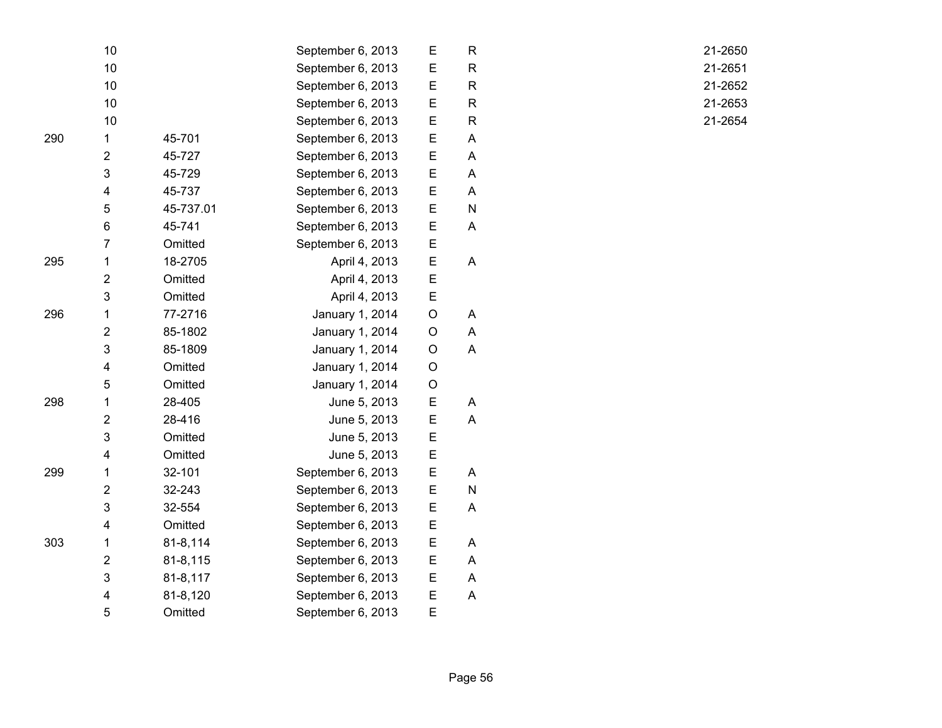|     | 10                      |           | September 6, 2013 | Е | R            |
|-----|-------------------------|-----------|-------------------|---|--------------|
|     | 10                      |           | September 6, 2013 | E | $\mathsf{R}$ |
|     | 10                      |           | September 6, 2013 | E | $\mathsf{R}$ |
|     | 10                      |           | September 6, 2013 | E | $\mathsf R$  |
|     | 10                      |           | September 6, 2013 | E | $\mathsf{R}$ |
| 290 | 1                       | 45-701    | September 6, 2013 | E | A            |
|     | $\overline{2}$          | 45-727    | September 6, 2013 | E | A            |
|     | 3                       | 45-729    | September 6, 2013 | E | A            |
|     | 4                       | 45-737    | September 6, 2013 | E | A            |
|     | 5                       | 45-737.01 | September 6, 2013 | E | N            |
|     | 6                       | 45-741    | September 6, 2013 | E | A            |
|     | $\overline{7}$          | Omitted   | September 6, 2013 | E |              |
| 295 | 1                       | 18-2705   | April 4, 2013     | E | A            |
|     | $\overline{2}$          | Omitted   | April 4, 2013     | E |              |
|     | 3                       | Omitted   | April 4, 2013     | E |              |
| 296 | 1                       | 77-2716   | January 1, 2014   | O | A            |
|     | $\overline{2}$          | 85-1802   | January 1, 2014   | O | A            |
|     | 3                       | 85-1809   | January 1, 2014   | O | A            |
|     | 4                       | Omitted   | January 1, 2014   | O |              |
|     | 5                       | Omitted   | January 1, 2014   | O |              |
| 298 | 1                       | 28-405    | June 5, 2013      | E | A            |
|     | $\overline{2}$          | 28-416    | June 5, 2013      | E | A            |
|     | 3                       | Omitted   | June 5, 2013      | E |              |
|     | 4                       | Omitted   | June 5, 2013      | E |              |
| 299 | 1                       | 32-101    | September 6, 2013 | E | A            |
|     | $\overline{2}$          | 32-243    | September 6, 2013 | E | N            |
|     | 3                       | 32-554    | September 6, 2013 | E | A            |
|     | 4                       | Omitted   | September 6, 2013 | E |              |
| 303 | 1                       | 81-8,114  | September 6, 2013 | E | A            |
|     | $\overline{\mathbf{c}}$ | 81-8,115  | September 6, 2013 | E | A            |
|     | 3                       | 81-8,117  | September 6, 2013 | E | Α            |
|     | 4                       | 81-8,120  | September 6, 2013 | E | A            |
|     | 5                       | Omitted   | September 6, 2013 | E |              |

R 21-2650 R 21-2651 R 21-2652 R 21-2653 R 21-2654

Page 56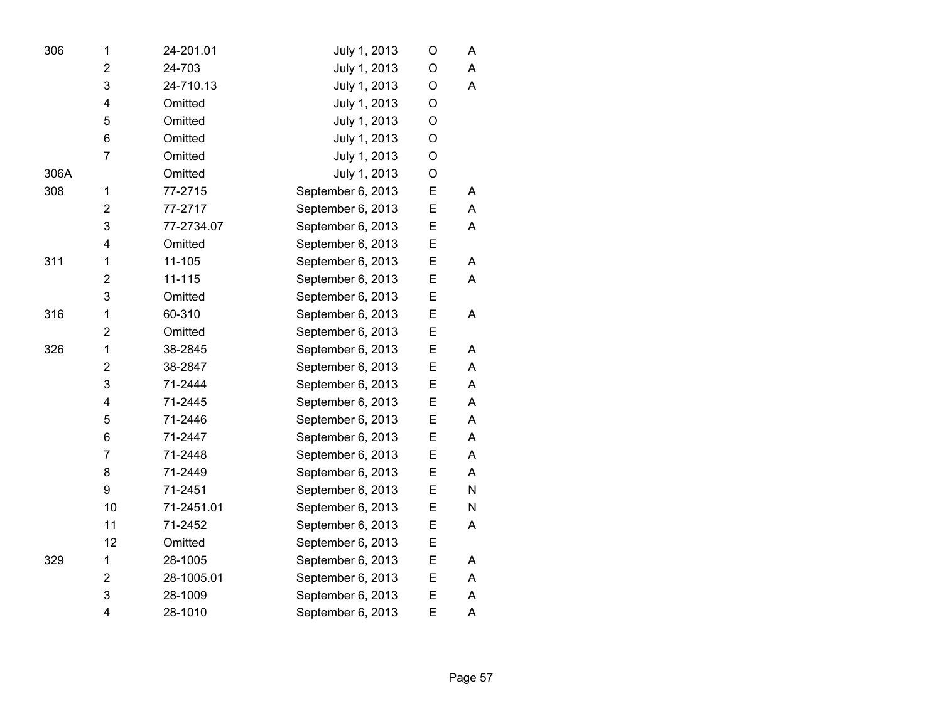| 306  | 1                       | 24-201.01  | July 1, 2013      | O | A |
|------|-------------------------|------------|-------------------|---|---|
|      | $\overline{2}$          | 24-703     | July 1, 2013      | O | A |
|      | 3                       | 24-710.13  | July 1, 2013      | O | A |
|      | 4                       | Omitted    | July 1, 2013      | O |   |
|      | 5                       | Omitted    | July 1, 2013      | O |   |
|      | 6                       | Omitted    | July 1, 2013      | O |   |
|      | $\overline{7}$          | Omitted    | July 1, 2013      | O |   |
| 306A |                         | Omitted    | July 1, 2013      | O |   |
| 308  | 1                       | 77-2715    | September 6, 2013 | E | A |
|      | $\overline{\mathbf{c}}$ | 77-2717    | September 6, 2013 | E | A |
|      | 3                       | 77-2734.07 | September 6, 2013 | E | A |
|      | 4                       | Omitted    | September 6, 2013 | E |   |
| 311  | 1                       | 11-105     | September 6, 2013 | E | Α |
|      | $\overline{2}$          | 11-115     | September 6, 2013 | E | A |
|      | 3                       | Omitted    | September 6, 2013 | E |   |
| 316  | 1                       | 60-310     | September 6, 2013 | E | A |
|      | $\overline{2}$          | Omitted    | September 6, 2013 | E |   |
| 326  | 1                       | 38-2845    | September 6, 2013 | E | A |
|      | $\overline{2}$          | 38-2847    | September 6, 2013 | E | A |
|      | 3                       | 71-2444    | September 6, 2013 | E | A |
|      | 4                       | 71-2445    | September 6, 2013 | E | A |
|      | 5                       | 71-2446    | September 6, 2013 | E | A |
|      | 6                       | 71-2447    | September 6, 2013 | E | A |
|      | $\overline{7}$          | 71-2448    | September 6, 2013 | E | A |
|      | 8                       | 71-2449    | September 6, 2013 | E | A |
|      | 9                       | 71-2451    | September 6, 2013 | E | N |
|      | 10                      | 71-2451.01 | September 6, 2013 | E | N |
|      | 11                      | 71-2452    | September 6, 2013 | E | Α |
|      | 12                      | Omitted    | September 6, 2013 | E |   |
| 329  | 1                       | 28-1005    | September 6, 2013 | E | A |
|      | $\overline{2}$          | 28-1005.01 | September 6, 2013 | E | A |
|      | 3                       | 28-1009    | September 6, 2013 | E | A |
|      | 4                       | 28-1010    | September 6, 2013 | E | A |
|      |                         |            |                   |   |   |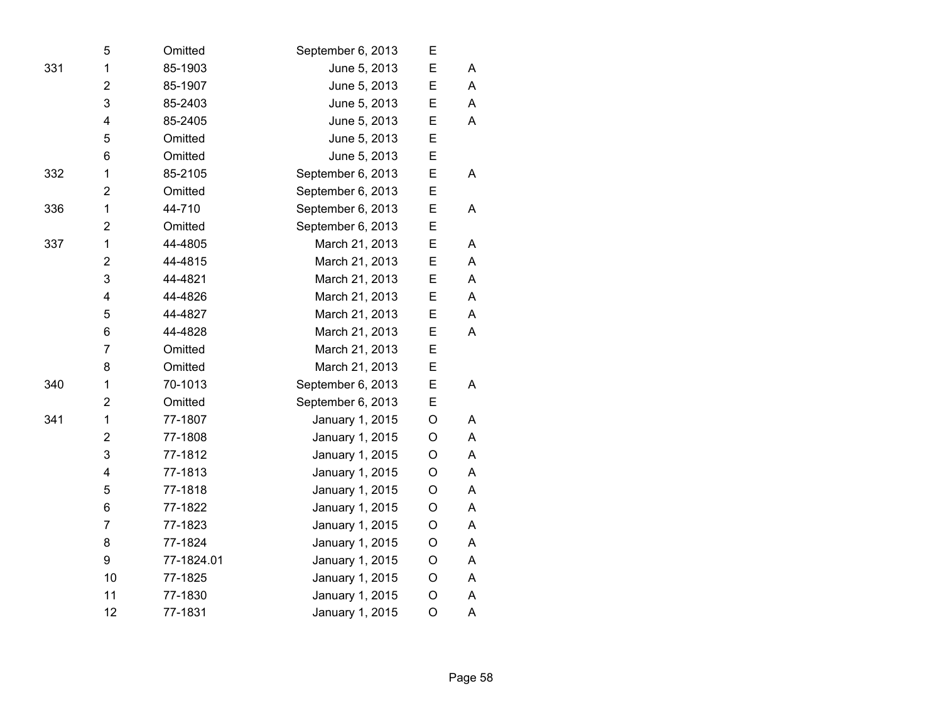|     | 5                       | Omitted    | September 6, 2013 | E |   |
|-----|-------------------------|------------|-------------------|---|---|
| 331 | 1                       | 85-1903    | June 5, 2013      | E | Α |
|     | 2                       | 85-1907    | June 5, 2013      | E | A |
|     | 3                       | 85-2403    | June 5, 2013      | E | A |
|     | $\overline{\mathbf{4}}$ | 85-2405    | June 5, 2013      | E | A |
|     | 5                       | Omitted    | June 5, 2013      | E |   |
|     | 6                       | Omitted    | June 5, 2013      | E |   |
| 332 | $\mathbf{1}$            | 85-2105    | September 6, 2013 | E | A |
|     | $\overline{2}$          | Omitted    | September 6, 2013 | E |   |
| 336 | $\mathbf{1}$            | 44-710     | September 6, 2013 | E | A |
|     | $\overline{2}$          | Omitted    | September 6, 2013 | E |   |
| 337 | $\mathbf{1}$            | 44-4805    | March 21, 2013    | E | A |
|     | $\overline{2}$          | 44-4815    | March 21, 2013    | E | A |
|     | 3                       | 44-4821    | March 21, 2013    | E | A |
|     | 4                       | 44-4826    | March 21, 2013    | E | A |
|     | 5                       | 44-4827    | March 21, 2013    | E | A |
|     | 6                       | 44-4828    | March 21, 2013    | E | A |
|     | 7                       | Omitted    | March 21, 2013    | E |   |
|     | 8                       | Omitted    | March 21, 2013    | E |   |
| 340 | 1                       | 70-1013    | September 6, 2013 | E | Α |
|     | $\overline{c}$          | Omitted    | September 6, 2013 | E |   |
| 341 | 1                       | 77-1807    | January 1, 2015   | O | A |
|     | $\overline{c}$          | 77-1808    | January 1, 2015   | O | A |
|     | 3                       | 77-1812    | January 1, 2015   | O | A |
|     | 4                       | 77-1813    | January 1, 2015   | O | A |
|     | 5                       | 77-1818    | January 1, 2015   | O | A |
|     | 6                       | 77-1822    | January 1, 2015   | O | A |
|     | $\overline{7}$          | 77-1823    | January 1, 2015   | O | A |
|     | 8                       | 77-1824    | January 1, 2015   | O | A |
|     | 9                       | 77-1824.01 | January 1, 2015   | O | A |
|     | 10                      | 77-1825    | January 1, 2015   | O | A |
|     | 11                      | 77-1830    | January 1, 2015   | O | A |
|     | 12                      | 77-1831    | January 1, 2015   | O | A |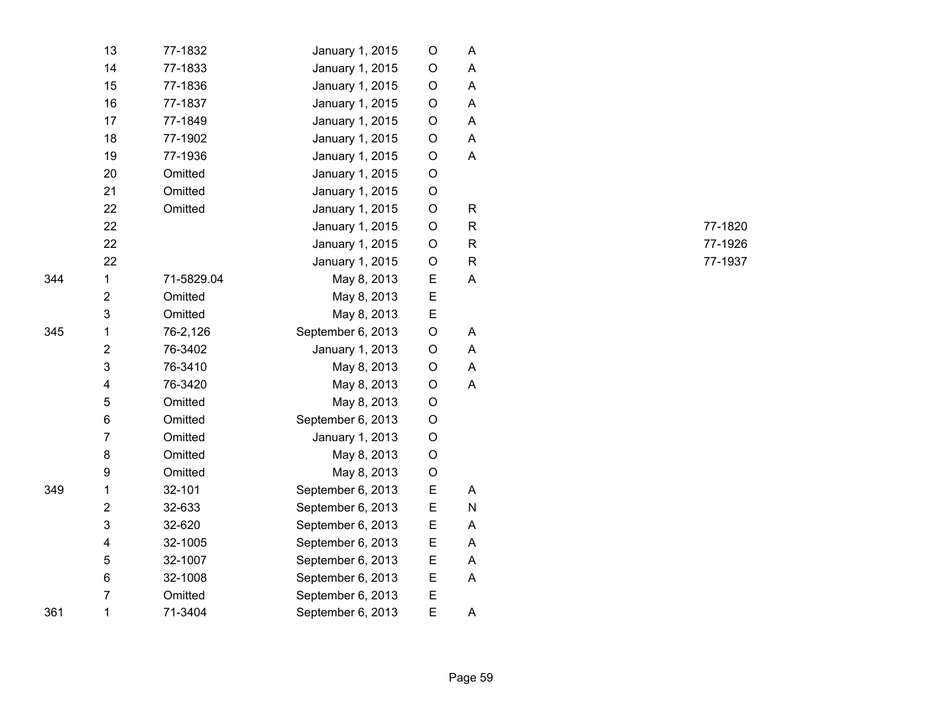|     | 13                      | 77-1832    | January 1, 2015   | O           | A            |
|-----|-------------------------|------------|-------------------|-------------|--------------|
|     | 14                      | 77-1833    | January 1, 2015   | O           | A            |
|     | 15                      | 77-1836    | January 1, 2015   | O           | A            |
|     | 16                      | 77-1837    | January 1, 2015   | O           | A            |
|     | 17                      | 77-1849    | January 1, 2015   | $\mathsf O$ | A            |
|     | 18                      | 77-1902    | January 1, 2015   | O           | A            |
|     | 19                      | 77-1936    | January 1, 2015   | O           | A            |
|     | 20                      | Omitted    | January 1, 2015   | O           |              |
|     | 21                      | Omitted    | January 1, 2015   | O           |              |
|     | 22                      | Omitted    | January 1, 2015   | O           | R            |
|     | 22                      |            | January 1, 2015   | O           | $\mathsf{R}$ |
|     | 22                      |            | January 1, 2015   | $\mathsf O$ | $\mathsf{R}$ |
|     | 22                      |            | January 1, 2015   | O           | $\mathsf{R}$ |
| 344 | 1                       | 71-5829.04 | May 8, 2013       | E           | A            |
|     | $\overline{2}$          | Omitted    | May 8, 2013       | E           |              |
|     | 3                       | Omitted    | May 8, 2013       | E           |              |
| 345 | 1                       | 76-2,126   | September 6, 2013 | $\mathsf O$ | A            |
|     | $\overline{2}$          | 76-3402    | January 1, 2013   | O           | A            |
|     | 3                       | 76-3410    | May 8, 2013       | O           | A            |
|     | 4                       | 76-3420    | May 8, 2013       | O           | Α            |
|     | 5                       | Omitted    | May 8, 2013       | O           |              |
|     | 6                       | Omitted    | September 6, 2013 | $\mathsf O$ |              |
|     | $\overline{7}$          | Omitted    | January 1, 2013   | O           |              |
|     | 8                       | Omitted    | May 8, 2013       | $\mathsf O$ |              |
|     | 9                       | Omitted    | May 8, 2013       | O           |              |
| 349 | 1                       | 32-101     | September 6, 2013 | E           | Α            |
|     | $\overline{2}$          | 32-633     | September 6, 2013 | E           | N            |
|     | 3                       | 32-620     | September 6, 2013 | E           | A            |
|     | $\overline{\mathbf{4}}$ | 32-1005    | September 6, 2013 | E           | A            |
|     | 5                       | 32-1007    | September 6, 2013 | E           | Α            |
|     | 6                       | 32-1008    | September 6, 2013 | E           | A            |
|     | $\overline{7}$          | Omitted    | September 6, 2013 | E           |              |
| 361 | 1                       | 71-3404    | September 6, 2013 | E           | A            |

R 77-1820 R 77-1926 R 77-1937

Page 59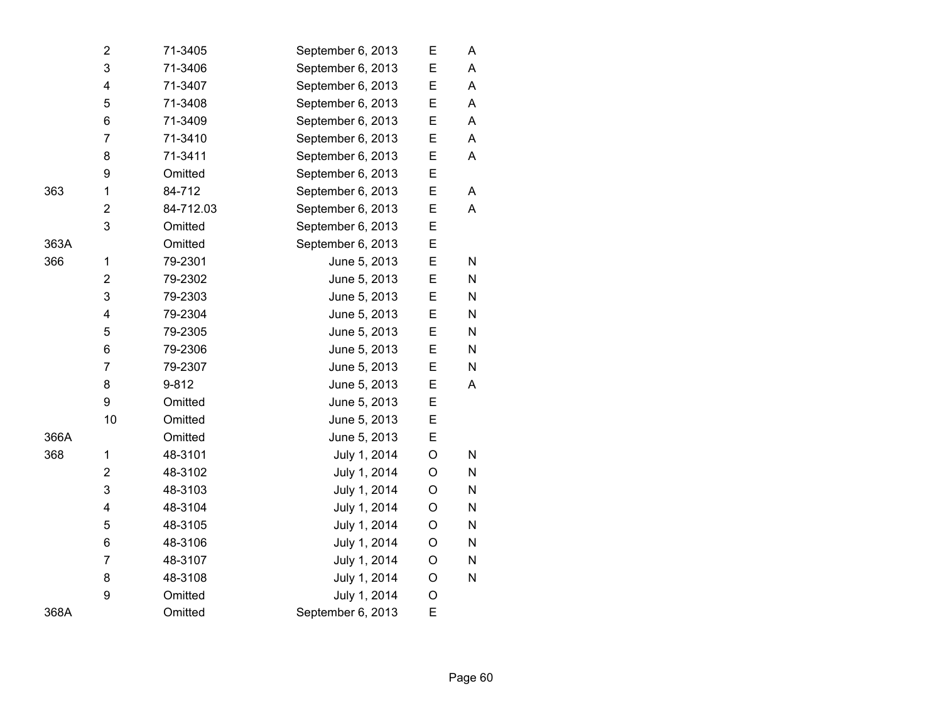|      | $\overline{2}$          | 71-3405   | September 6, 2013 | E           | Α |
|------|-------------------------|-----------|-------------------|-------------|---|
|      | 3                       | 71-3406   | September 6, 2013 | E           | A |
|      | 4                       | 71-3407   | September 6, 2013 | E           | A |
|      | 5                       | 71-3408   | September 6, 2013 | E           | A |
|      | 6                       | 71-3409   | September 6, 2013 | E           | A |
|      | $\overline{7}$          | 71-3410   | September 6, 2013 | E           | A |
|      | 8                       | 71-3411   | September 6, 2013 | E           | A |
|      | 9                       | Omitted   | September 6, 2013 | E           |   |
| 363  | 1                       | 84-712    | September 6, 2013 | E           | A |
|      | $\overline{2}$          | 84-712.03 | September 6, 2013 | E           | A |
|      | 3                       | Omitted   | September 6, 2013 | E           |   |
| 363A |                         | Omitted   | September 6, 2013 | E           |   |
| 366  | 1                       | 79-2301   | June 5, 2013      | E           | N |
|      | $\overline{2}$          | 79-2302   | June 5, 2013      | E           | N |
|      | 3                       | 79-2303   | June 5, 2013      | E           | N |
|      | $\overline{\mathbf{4}}$ | 79-2304   | June 5, 2013      | E           | N |
|      | 5                       | 79-2305   | June 5, 2013      | E           | N |
|      | 6                       | 79-2306   | June 5, 2013      | E           | N |
|      | $\overline{7}$          | 79-2307   | June 5, 2013      | E           | N |
|      | 8                       | $9 - 812$ | June 5, 2013      | E           | A |
|      | 9                       | Omitted   | June 5, 2013      | E           |   |
|      | 10                      | Omitted   | June 5, 2013      | E           |   |
| 366A |                         | Omitted   | June 5, 2013      | E           |   |
| 368  | 1                       | 48-3101   | July 1, 2014      | O           | N |
|      | $\overline{2}$          | 48-3102   | July 1, 2014      | O           | N |
|      | 3                       | 48-3103   | July 1, 2014      | O           | N |
|      | 4                       | 48-3104   | July 1, 2014      | O           | N |
|      | 5                       | 48-3105   | July 1, 2014      | $\mathsf O$ | N |
|      | 6                       | 48-3106   | July 1, 2014      | O           | N |
|      | $\overline{7}$          | 48-3107   | July 1, 2014      | O           | N |
|      | 8                       | 48-3108   | July 1, 2014      | O           | N |
|      | 9                       | Omitted   | July 1, 2014      | O           |   |
| 368A |                         | Omitted   | September 6, 2013 | E           |   |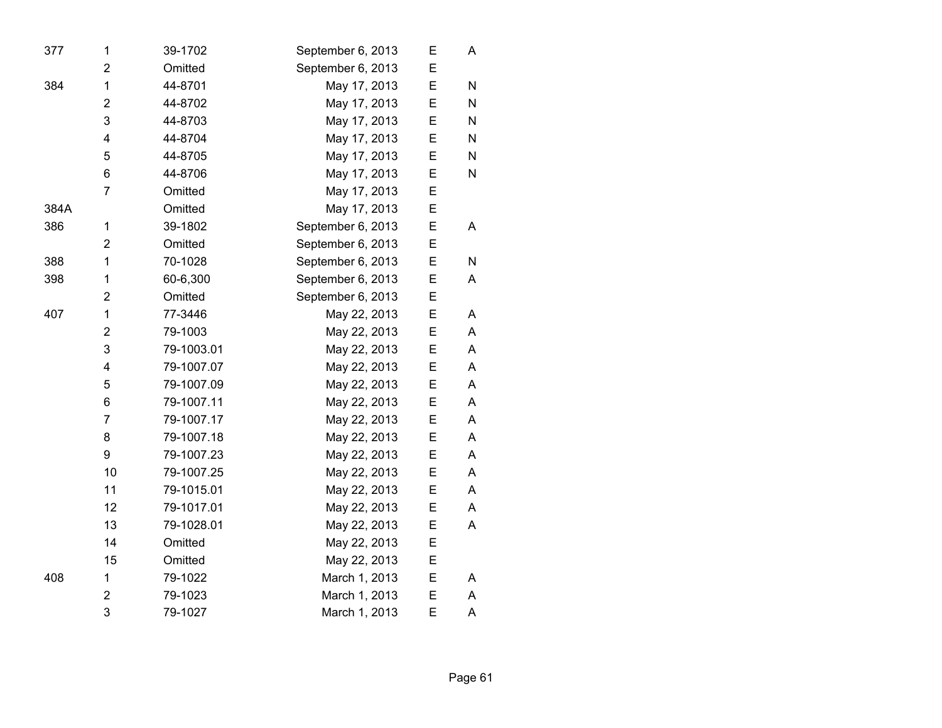| 377  | 1                       | 39-1702    | September 6, 2013 | E | A |
|------|-------------------------|------------|-------------------|---|---|
|      | $\overline{2}$          | Omitted    | September 6, 2013 | E |   |
| 384  | 1                       | 44-8701    | May 17, 2013      | E | N |
|      | $\overline{\mathbf{c}}$ | 44-8702    | May 17, 2013      | E | N |
|      | 3                       | 44-8703    | May 17, 2013      | E | N |
|      | 4                       | 44-8704    | May 17, 2013      | E | N |
|      | 5                       | 44-8705    | May 17, 2013      | E | N |
|      | 6                       | 44-8706    | May 17, 2013      | E | N |
|      | $\overline{7}$          | Omitted    | May 17, 2013      | E |   |
| 384A |                         | Omitted    | May 17, 2013      | Е |   |
| 386  | 1                       | 39-1802    | September 6, 2013 | E | A |
|      | $\overline{2}$          | Omitted    | September 6, 2013 | E |   |
| 388  | 1                       | 70-1028    | September 6, 2013 | E | N |
| 398  | 1                       | 60-6,300   | September 6, 2013 | E | Α |
|      | 2                       | Omitted    | September 6, 2013 | E |   |
| 407  | 1                       | 77-3446    | May 22, 2013      | E | A |
|      | $\overline{2}$          | 79-1003    | May 22, 2013      | E | A |
|      | 3                       | 79-1003.01 | May 22, 2013      | E | A |
|      | 4                       | 79-1007.07 | May 22, 2013      | Е | A |
|      | 5                       | 79-1007.09 | May 22, 2013      | E | A |
|      | 6                       | 79-1007.11 | May 22, 2013      | E | A |
|      | $\overline{7}$          | 79-1007.17 | May 22, 2013      | E | A |
|      | 8                       | 79-1007.18 | May 22, 2013      | E | A |
|      | 9                       | 79-1007.23 | May 22, 2013      | E | A |
|      | 10                      | 79-1007.25 | May 22, 2013      | E | A |
|      | 11                      | 79-1015.01 | May 22, 2013      | E | A |
|      | 12                      | 79-1017.01 | May 22, 2013      | Ε | A |
|      | 13                      | 79-1028.01 | May 22, 2013      | E | A |
|      | 14                      | Omitted    | May 22, 2013      | E |   |
|      | 15                      | Omitted    | May 22, 2013      | E |   |
| 408  | 1                       | 79-1022    | March 1, 2013     | E | A |
|      | $\overline{2}$          | 79-1023    | March 1, 2013     | E | Α |
|      | 3                       | 79-1027    | March 1, 2013     | E | Α |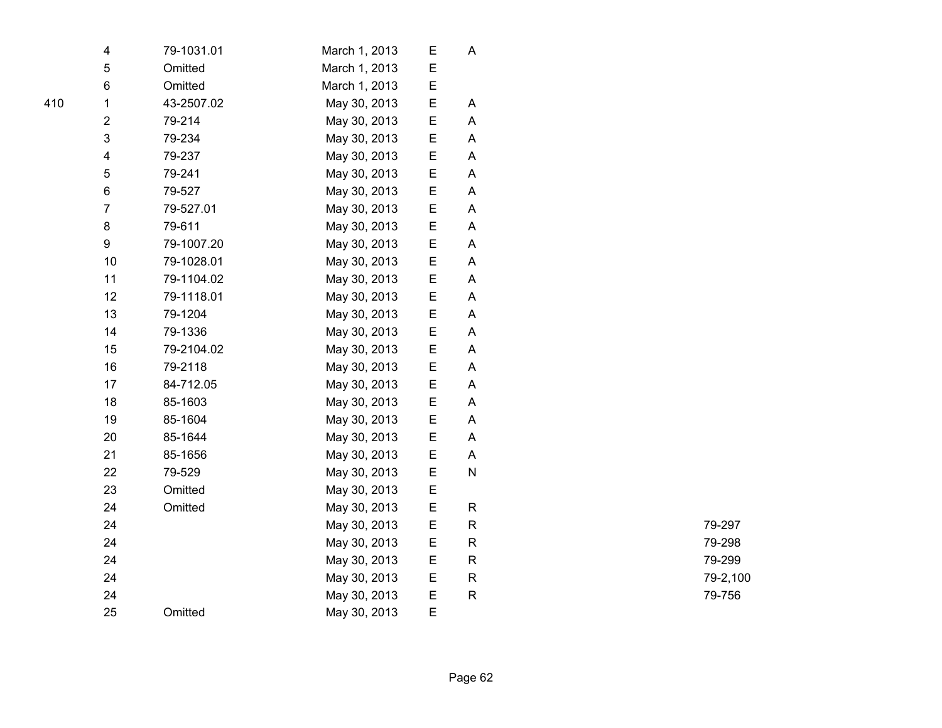| 4              | 79-1031.01 | March 1, 2013 | Е | A            |
|----------------|------------|---------------|---|--------------|
| 5              | Omitted    | March 1, 2013 | E |              |
| 6              | Omitted    | March 1, 2013 | E |              |
| $\mathbf{1}$   | 43-2507.02 | May 30, 2013  | E | A            |
| $\overline{2}$ | 79-214     | May 30, 2013  | Е | A            |
| 3              | 79-234     | May 30, 2013  | Ε | A            |
| 4              | 79-237     | May 30, 2013  | Е | A            |
| 5              | 79-241     | May 30, 2013  | E | A            |
| 6              | 79-527     | May 30, 2013  | E | A            |
| $\overline{7}$ | 79-527.01  | May 30, 2013  | Е | A            |
| 8              | 79-611     | May 30, 2013  | E | A            |
| 9              | 79-1007.20 | May 30, 2013  | Е | A            |
| 10             | 79-1028.01 | May 30, 2013  | Е | A            |
| 11             | 79-1104.02 | May 30, 2013  | E | A            |
| 12             | 79-1118.01 | May 30, 2013  | Е | A            |
| 13             | 79-1204    | May 30, 2013  | Е | A            |
| 14             | 79-1336    | May 30, 2013  | Е | A            |
| 15             | 79-2104.02 | May 30, 2013  | Е | A            |
| 16             | 79-2118    | May 30, 2013  | Е | A            |
| 17             | 84-712.05  | May 30, 2013  | E | Α            |
| 18             | 85-1603    | May 30, 2013  | Е | A            |
| 19             | 85-1604    | May 30, 2013  | E | A            |
| 20             | 85-1644    | May 30, 2013  | E | A            |
| 21             | 85-1656    | May 30, 2013  | Е | A            |
| 22             | 79-529     | May 30, 2013  | E | N            |
| 23             | Omitted    | May 30, 2013  | E |              |
| 24             | Omitted    | May 30, 2013  | E | $\mathsf{R}$ |
| 24             |            | May 30, 2013  | Е | R            |
| 24             |            | May 30, 2013  | E | R            |
| 24             |            | May 30, 2013  | E | R            |
| 24             |            | May 30, 2013  | Е | R            |
| 24             |            | May 30, 2013  | E | $\mathsf{R}$ |
| 25             | Omitted    | May 30, 2013  | E |              |

R 79-297 R 79-298 R 79-299 R 79-2,100 R 79-756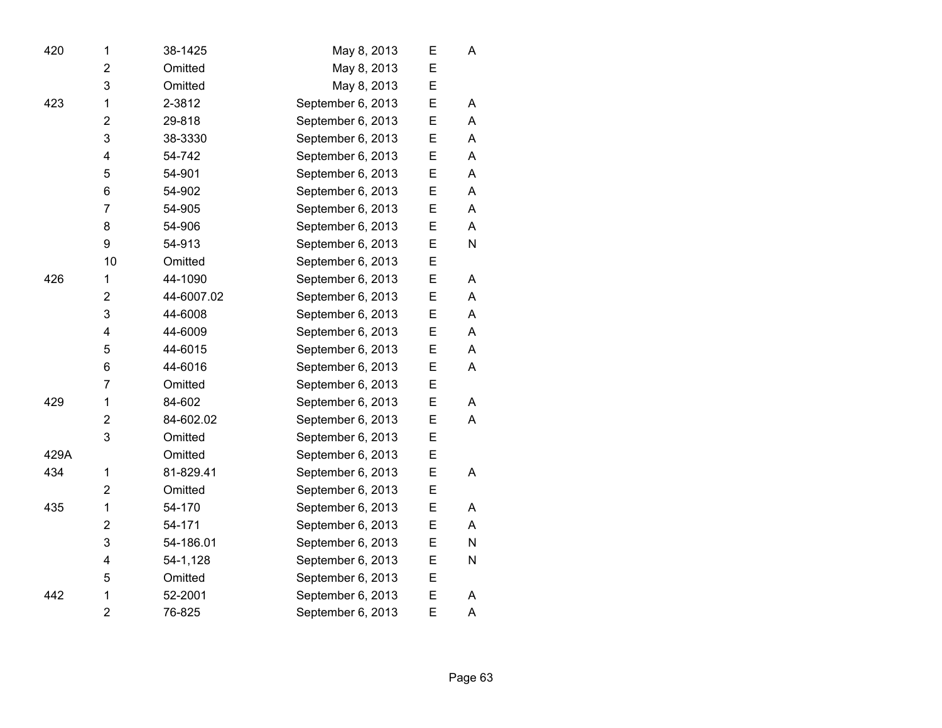| 420  | 1              | 38-1425    | May 8, 2013       | E | A |
|------|----------------|------------|-------------------|---|---|
|      | $\overline{2}$ | Omitted    | May 8, 2013       | E |   |
|      | 3              | Omitted    | May 8, 2013       | E |   |
| 423  | 1              | 2-3812     | September 6, 2013 | E | A |
|      | $\overline{2}$ | 29-818     | September 6, 2013 | E | A |
|      | 3              | 38-3330    | September 6, 2013 | E | A |
|      | 4              | 54-742     | September 6, 2013 | E | Α |
|      | 5              | 54-901     | September 6, 2013 | E | A |
|      | 6              | 54-902     | September 6, 2013 | E | A |
|      | $\overline{7}$ | 54-905     | September 6, 2013 | E | A |
|      | 8              | 54-906     | September 6, 2013 | E | A |
|      | 9              | 54-913     | September 6, 2013 | E | N |
|      | 10             | Omitted    | September 6, 2013 | E |   |
| 426  | 1              | 44-1090    | September 6, 2013 | E | A |
|      | $\overline{2}$ | 44-6007.02 | September 6, 2013 | E | A |
|      | 3              | 44-6008    | September 6, 2013 | E | A |
|      | 4              | 44-6009    | September 6, 2013 | E | A |
|      | 5              | 44-6015    | September 6, 2013 | E | A |
|      | 6              | 44-6016    | September 6, 2013 | E | A |
|      | $\overline{7}$ | Omitted    | September 6, 2013 | E |   |
| 429  | 1              | 84-602     | September 6, 2013 | E | A |
|      | $\overline{2}$ | 84-602.02  | September 6, 2013 | E | A |
|      | 3              | Omitted    | September 6, 2013 | E |   |
| 429A |                | Omitted    | September 6, 2013 | E |   |
| 434  | 1              | 81-829.41  | September 6, 2013 | E | A |
|      | $\overline{2}$ | Omitted    | September 6, 2013 | E |   |
| 435  | 1              | 54-170     | September 6, 2013 | E | Α |
|      | $\overline{2}$ | 54-171     | September 6, 2013 | E | A |
|      | 3              | 54-186.01  | September 6, 2013 | E | N |
|      | 4              | 54-1,128   | September 6, 2013 | E | N |
|      | 5              | Omitted    | September 6, 2013 | Е |   |
| 442  | 1              | 52-2001    | September 6, 2013 | E | A |
|      | $\overline{2}$ | 76-825     | September 6, 2013 | E | Α |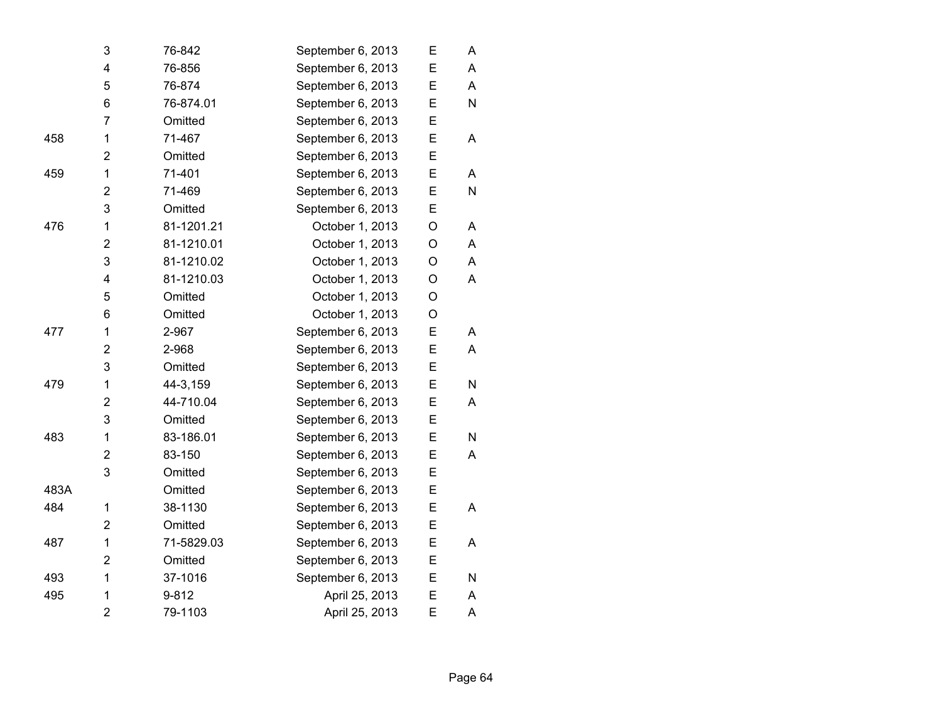|      | 3                       | 76-842     | September 6, 2013 | E           | Α |
|------|-------------------------|------------|-------------------|-------------|---|
|      | 4                       | 76-856     | September 6, 2013 | E           | A |
|      | 5                       | 76-874     | September 6, 2013 | E           | A |
|      | 6                       | 76-874.01  | September 6, 2013 | E           | N |
|      | $\overline{7}$          | Omitted    | September 6, 2013 | E           |   |
| 458  | 1                       | 71-467     | September 6, 2013 | E           | Α |
|      | $\overline{2}$          | Omitted    | September 6, 2013 | E           |   |
| 459  | $\mathbf{1}$            | 71-401     | September 6, 2013 | E           | A |
|      | $\overline{2}$          | 71-469     | September 6, 2013 | E           | N |
|      | 3                       | Omitted    | September 6, 2013 | E           |   |
| 476  | 1                       | 81-1201.21 | October 1, 2013   | $\circ$     | A |
|      | $\overline{2}$          | 81-1210.01 | October 1, 2013   | O           | Α |
|      | 3                       | 81-1210.02 | October 1, 2013   | O           | Α |
|      | 4                       | 81-1210.03 | October 1, 2013   | $\mathsf O$ | A |
|      | 5                       | Omitted    | October 1, 2013   | O           |   |
|      | 6                       | Omitted    | October 1, 2013   | O           |   |
| 477  | 1                       | 2-967      | September 6, 2013 | E           | A |
|      | $\overline{\mathbf{c}}$ | 2-968      | September 6, 2013 | E           | Α |
|      | 3                       | Omitted    | September 6, 2013 | E           |   |
| 479  | 1                       | 44-3,159   | September 6, 2013 | E           | N |
|      | $\overline{2}$          | 44-710.04  | September 6, 2013 | E           | Α |
|      | 3                       | Omitted    | September 6, 2013 | E           |   |
| 483  | 1                       | 83-186.01  | September 6, 2013 | E           | N |
|      | $\overline{2}$          | 83-150     | September 6, 2013 | E           | A |
|      | 3                       | Omitted    | September 6, 2013 | E           |   |
| 483A |                         | Omitted    | September 6, 2013 | E           |   |
| 484  | 1                       | 38-1130    | September 6, 2013 | E           | A |
|      | 2                       | Omitted    | September 6, 2013 | E           |   |
| 487  | $\mathbf{1}$            | 71-5829.03 | September 6, 2013 | E           | A |
|      | $\overline{2}$          | Omitted    | September 6, 2013 | E           |   |
| 493  | 1                       | 37-1016    | September 6, 2013 | E           | N |
| 495  | $\mathbf{1}$            | 9-812      | April 25, 2013    | E           | A |
|      | $\overline{2}$          | 79-1103    | April 25, 2013    | E           | A |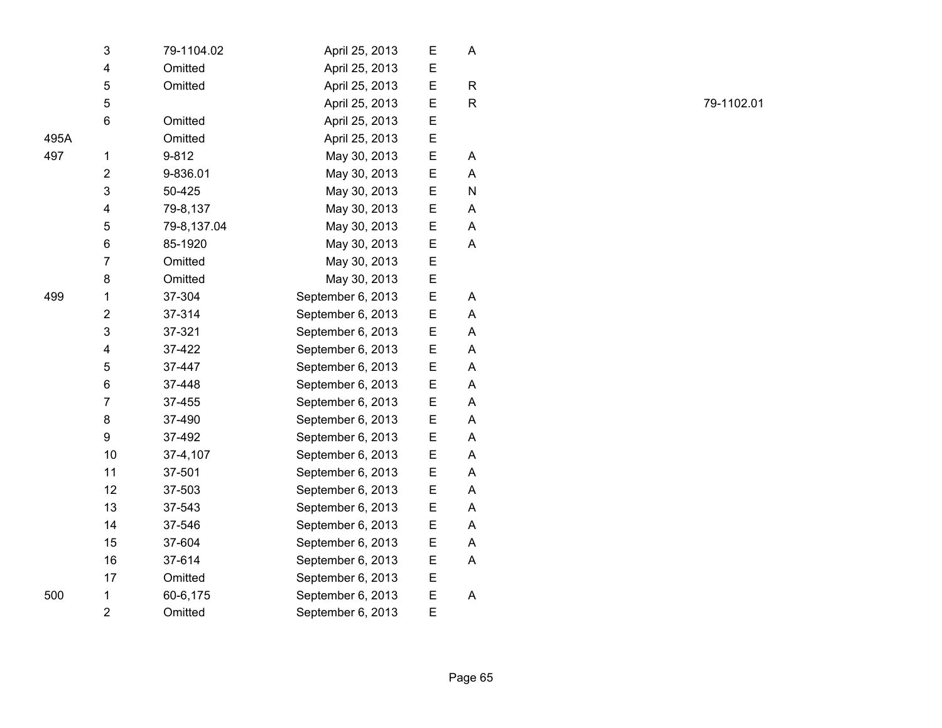|      | $\ensuremath{\mathsf{3}}$ | 79-1104.02  | April 25, 2013    | Е | A         |
|------|---------------------------|-------------|-------------------|---|-----------|
|      | 4                         | Omitted     | April 25, 2013    | E |           |
|      | 5                         | Omitted     | April 25, 2013    | E | R         |
|      | 5                         |             | April 25, 2013    | E | R         |
|      | 6                         | Omitted     | April 25, 2013    | E |           |
| 495A |                           | Omitted     | April 25, 2013    | E |           |
| 497  | 1                         | 9-812       | May 30, 2013      | Е | Α         |
|      | $\overline{2}$            | 9-836.01    | May 30, 2013      | Е | A         |
|      | $\ensuremath{\mathsf{3}}$ | 50-425      | May 30, 2013      | Е | ${\sf N}$ |
|      | 4                         | 79-8,137    | May 30, 2013      | Е | A         |
|      | 5                         | 79-8,137.04 | May 30, 2013      | E | A         |
|      | 6                         | 85-1920     | May 30, 2013      | E | A         |
|      | $\overline{7}$            | Omitted     | May 30, 2013      | E |           |
|      | 8                         | Omitted     | May 30, 2013      | E |           |
| 499  | 1                         | 37-304      | September 6, 2013 | E | Α         |
|      | $\overline{\mathbf{c}}$   | 37-314      | September 6, 2013 | E | A         |
|      | 3                         | 37-321      | September 6, 2013 | E | A         |
|      | 4                         | 37-422      | September 6, 2013 | E | A         |
|      | 5                         | 37-447      | September 6, 2013 | E | A         |
|      | 6                         | 37-448      | September 6, 2013 | E | Α         |
|      | $\overline{7}$            | 37-455      | September 6, 2013 | E | A         |
|      | 8                         | 37-490      | September 6, 2013 | E | A         |
|      | 9                         | 37-492      | September 6, 2013 | E | A         |
|      | 10                        | 37-4,107    | September 6, 2013 | E | Α         |
|      | 11                        | 37-501      | September 6, 2013 | E | A         |
|      | 12                        | 37-503      | September 6, 2013 | E | A         |
|      | 13                        | 37-543      | September 6, 2013 | E | A         |
|      | 14                        | 37-546      | September 6, 2013 | E | A         |
|      | 15                        | 37-604      | September 6, 2013 | E | A         |
|      | 16                        | 37-614      | September 6, 2013 | E | A         |
|      | 17                        | Omitted     | September 6, 2013 | E |           |
| 500  | 1                         | 60-6,175    | September 6, 2013 | E | A         |
|      | $\overline{2}$            | Omitted     | September 6, 2013 | E |           |

R 79-1102.01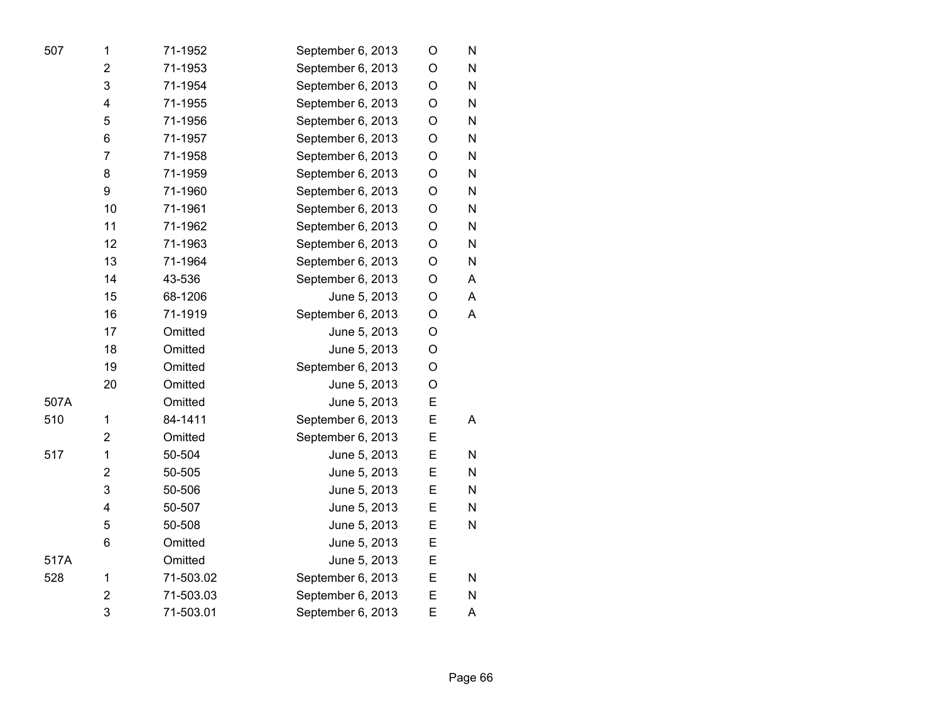| 507  | 1                       | 71-1952   | September 6, 2013 | O           | N |
|------|-------------------------|-----------|-------------------|-------------|---|
|      | $\overline{2}$          | 71-1953   | September 6, 2013 | O           | N |
|      | 3                       | 71-1954   | September 6, 2013 | O           | N |
|      | $\overline{\mathbf{4}}$ | 71-1955   | September 6, 2013 | O           | N |
|      | 5                       | 71-1956   | September 6, 2013 | O           | N |
|      | 6                       | 71-1957   | September 6, 2013 | O           | N |
|      | $\overline{7}$          | 71-1958   | September 6, 2013 | $\mathsf O$ | N |
|      | 8                       | 71-1959   | September 6, 2013 | O           | N |
|      | 9                       | 71-1960   | September 6, 2013 | O           | N |
|      | 10                      | 71-1961   | September 6, 2013 | O           | N |
|      | 11                      | 71-1962   | September 6, 2013 | O           | N |
|      | 12                      | 71-1963   | September 6, 2013 | O           | N |
|      | 13                      | 71-1964   | September 6, 2013 | O           | N |
|      | 14                      | 43-536    | September 6, 2013 | O           | A |
|      | 15                      | 68-1206   | June 5, 2013      | O           | A |
|      | 16                      | 71-1919   | September 6, 2013 | O           | A |
|      | 17                      | Omitted   | June 5, 2013      | O           |   |
|      | 18                      | Omitted   | June 5, 2013      | O           |   |
|      | 19                      | Omitted   | September 6, 2013 | O           |   |
|      | 20                      | Omitted   | June 5, 2013      | O           |   |
| 507A |                         | Omitted   | June 5, 2013      | E           |   |
| 510  | 1                       | 84-1411   | September 6, 2013 | E           | A |
|      | $\overline{2}$          | Omitted   | September 6, 2013 | E           |   |
| 517  | $\mathbf 1$             | 50-504    | June 5, 2013      | E           | N |
|      | $\overline{\mathbf{c}}$ | 50-505    | June 5, 2013      | E           | N |
|      | 3                       | 50-506    | June 5, 2013      | E           | N |
|      | $\overline{\mathbf{4}}$ | 50-507    | June 5, 2013      | E           | N |
|      | 5                       | 50-508    | June 5, 2013      | Е           | N |
|      | 6                       | Omitted   | June 5, 2013      | E           |   |
| 517A |                         | Omitted   | June 5, 2013      | E           |   |
| 528  | 1                       | 71-503.02 | September 6, 2013 | E           | N |
|      | 2                       | 71-503.03 | September 6, 2013 | E           | N |
|      | 3                       | 71-503.01 | September 6, 2013 | E           | A |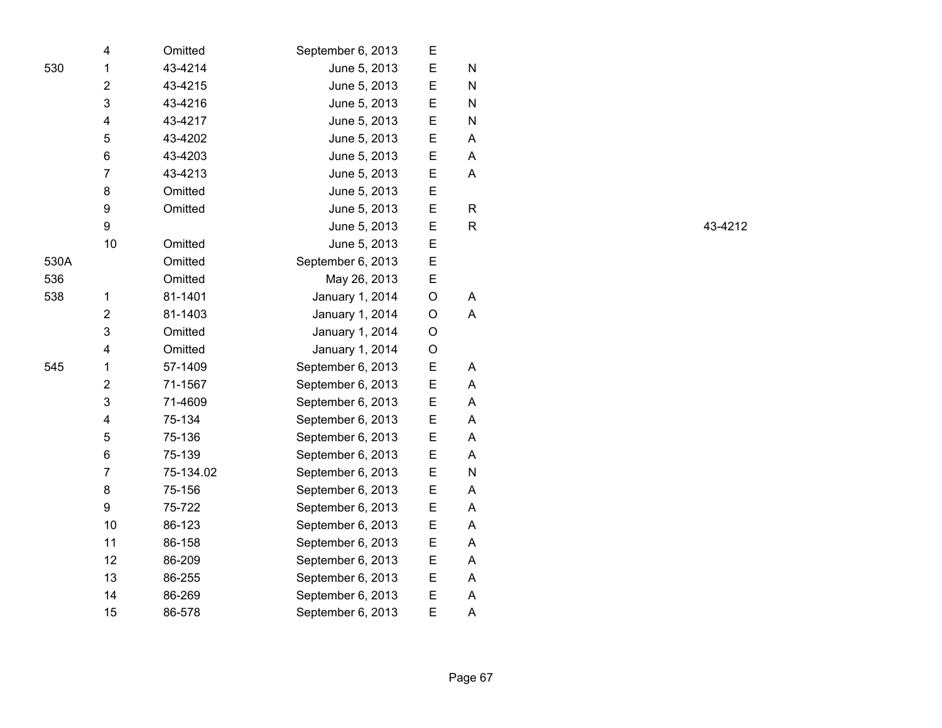|      | 4                       | Omitted   | September 6, 2013 | Е |              |
|------|-------------------------|-----------|-------------------|---|--------------|
| 530  | 1                       | 43-4214   | June 5, 2013      | E | N            |
|      | $\overline{2}$          | 43-4215   | June 5, 2013      | E | N            |
|      | 3                       | 43-4216   | June 5, 2013      | E | N            |
|      | $\overline{\mathbf{4}}$ | 43-4217   | June 5, 2013      | E | N            |
|      | 5                       | 43-4202   | June 5, 2013      | E | A            |
|      | 6                       | 43-4203   | June 5, 2013      | E | A            |
|      | $\overline{7}$          | 43-4213   | June 5, 2013      | E | A            |
|      | 8                       | Omitted   | June 5, 2013      | E |              |
|      | 9                       | Omitted   | June 5, 2013      | E | R            |
|      | 9                       |           | June 5, 2013      | E | $\mathsf{R}$ |
|      | 10                      | Omitted   | June 5, 2013      | E |              |
| 530A |                         | Omitted   | September 6, 2013 | E |              |
| 536  |                         | Omitted   | May 26, 2013      | E |              |
| 538  | 1                       | 81-1401   | January 1, 2014   | O | A            |
|      | $\overline{\mathbf{c}}$ | 81-1403   | January 1, 2014   | O | A            |
|      | 3                       | Omitted   | January 1, 2014   | O |              |
|      | 4                       | Omitted   | January 1, 2014   | O |              |
| 545  | $\mathbf 1$             | 57-1409   | September 6, 2013 | E | A            |
|      | $\overline{2}$          | 71-1567   | September 6, 2013 | E | A            |
|      | 3                       | 71-4609   | September 6, 2013 | E | A            |
|      | $\overline{\mathbf{4}}$ | 75-134    | September 6, 2013 | E | A            |
|      | 5                       | 75-136    | September 6, 2013 | E | A            |
|      | 6                       | 75-139    | September 6, 2013 | E | A            |
|      | $\overline{7}$          | 75-134.02 | September 6, 2013 | E | ${\sf N}$    |
|      | 8                       | 75-156    | September 6, 2013 | E | A            |
|      | 9                       | 75-722    | September 6, 2013 | E | A            |
|      | 10                      | 86-123    | September 6, 2013 | E | A            |
|      | 11                      | 86-158    | September 6, 2013 | E | A            |
|      | 12                      | 86-209    | September 6, 2013 | E | A            |
|      | 13                      | 86-255    | September 6, 2013 | E | A            |
|      | 14                      | 86-269    | September 6, 2013 | E | A            |
|      | 15                      | 86-578    | September 6, 2013 | E | A            |

R 43-4212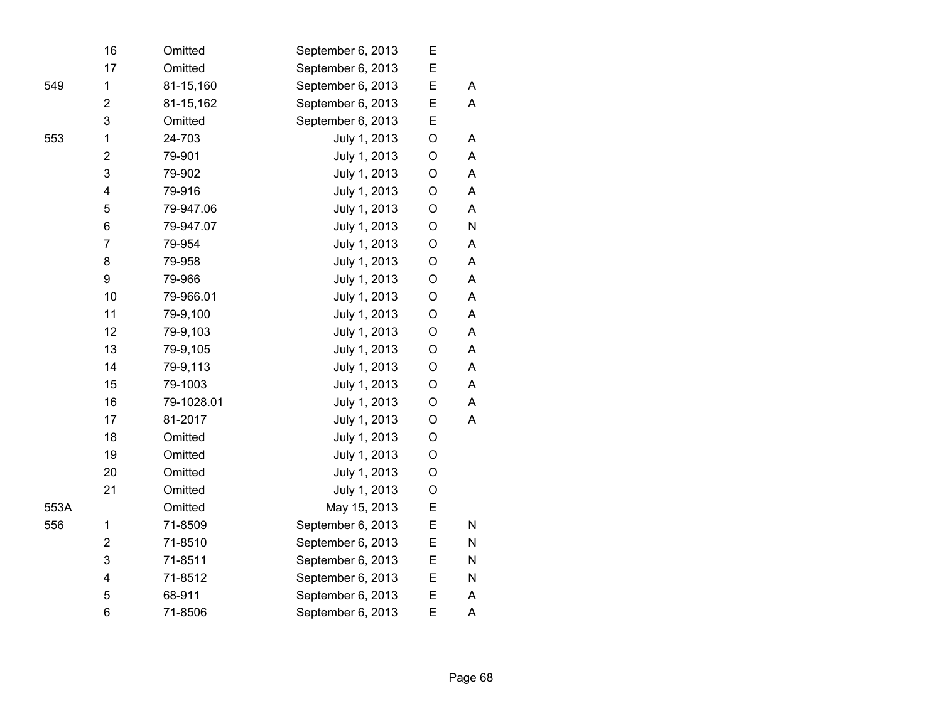|      | 16                      | Omitted    | September 6, 2013 | Ε       |   |
|------|-------------------------|------------|-------------------|---------|---|
|      | 17                      | Omitted    | September 6, 2013 | E       |   |
| 549  | $\mathbf 1$             | 81-15,160  | September 6, 2013 | E       | Α |
|      | $\overline{c}$          | 81-15,162  | September 6, 2013 | E       | A |
|      | 3                       | Omitted    | September 6, 2013 | E       |   |
| 553  | 1                       | 24-703     | July 1, 2013      | O       | Α |
|      | $\overline{\mathbf{c}}$ | 79-901     | July 1, 2013      | O       | A |
|      | 3                       | 79-902     | July 1, 2013      | O       | A |
|      | 4                       | 79-916     | July 1, 2013      | O       | A |
|      | 5                       | 79-947.06  | July 1, 2013      | O       | A |
|      | 6                       | 79-947.07  | July 1, 2013      | O       | N |
|      | $\overline{7}$          | 79-954     | July 1, 2013      | O       | Α |
|      | 8                       | 79-958     | July 1, 2013      | O       | Α |
|      | 9                       | 79-966     | July 1, 2013      | O       | A |
|      | 10                      | 79-966.01  | July 1, 2013      | O       | A |
|      | 11                      | 79-9,100   | July 1, 2013      | O       | A |
|      | 12                      | 79-9,103   | July 1, 2013      | O       | A |
|      | 13                      | 79-9,105   | July 1, 2013      | O       | A |
|      | 14                      | 79-9,113   | July 1, 2013      | O       | A |
|      | 15                      | 79-1003    | July 1, 2013      | O       | A |
|      | 16                      | 79-1028.01 | July 1, 2013      | O       | A |
|      | 17                      | 81-2017    | July 1, 2013      | O       | A |
|      | 18                      | Omitted    | July 1, 2013      | O       |   |
|      | 19                      | Omitted    | July 1, 2013      | O       |   |
|      | 20                      | Omitted    | July 1, 2013      | $\circ$ |   |
|      | 21                      | Omitted    | July 1, 2013      | O       |   |
| 553A |                         | Omitted    | May 15, 2013      | Е       |   |
| 556  | $\mathbf 1$             | 71-8509    | September 6, 2013 | E       | N |
|      | $\overline{\mathbf{c}}$ | 71-8510    | September 6, 2013 | E       | N |
|      | 3                       | 71-8511    | September 6, 2013 | E       | N |
|      | 4                       | 71-8512    | September 6, 2013 | Ε       | N |
|      | 5                       | 68-911     | September 6, 2013 | E       | A |
|      | 6                       | 71-8506    | September 6, 2013 | E       | A |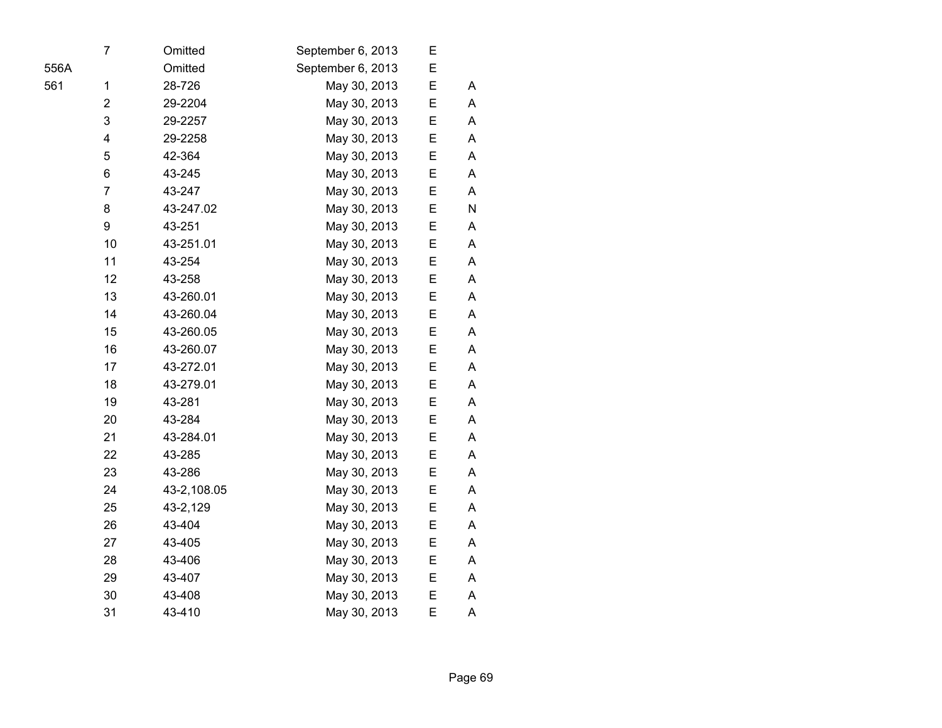|      | $\overline{7}$          | Omitted     | September 6, 2013 | Е |   |  |
|------|-------------------------|-------------|-------------------|---|---|--|
| 556A |                         | Omitted     | September 6, 2013 | E |   |  |
| 561  | 1                       | 28-726      | May 30, 2013      | Ε | Α |  |
|      | 2                       | 29-2204     | May 30, 2013      | E | A |  |
|      | 3                       | 29-2257     | May 30, 2013      | Ε | A |  |
|      | $\overline{\mathbf{4}}$ | 29-2258     | May 30, 2013      | Ε | Α |  |
|      | 5                       | 42-364      | May 30, 2013      | E | A |  |
|      | 6                       | 43-245      | May 30, 2013      | E | A |  |
|      | $\overline{7}$          | 43-247      | May 30, 2013      | Е | Α |  |
|      | 8                       | 43-247.02   | May 30, 2013      | E | N |  |
|      | 9                       | 43-251      | May 30, 2013      | E | A |  |
|      | 10                      | 43-251.01   | May 30, 2013      | Ε | A |  |
|      | 11                      | 43-254      | May 30, 2013      | Ε | Α |  |
|      | 12                      | 43-258      | May 30, 2013      | E | A |  |
|      | 13                      | 43-260.01   | May 30, 2013      | E | A |  |
|      | 14                      | 43-260.04   | May 30, 2013      | E | Α |  |
|      | 15                      | 43-260.05   | May 30, 2013      | E | Α |  |
|      | 16                      | 43-260.07   | May 30, 2013      | Е | A |  |
|      | 17                      | 43-272.01   | May 30, 2013      | Е | Α |  |
|      | 18                      | 43-279.01   | May 30, 2013      | Е | A |  |
|      | 19                      | 43-281      | May 30, 2013      | Ε | A |  |
|      | 20                      | 43-284      | May 30, 2013      | E | A |  |
|      | 21                      | 43-284.01   | May 30, 2013      | E | Α |  |
|      | 22                      | 43-285      | May 30, 2013      | E | Α |  |
|      | 23                      | 43-286      | May 30, 2013      | E | A |  |
|      | 24                      | 43-2,108.05 | May 30, 2013      | E | Α |  |
|      | 25                      | 43-2,129    | May 30, 2013      | E | Α |  |
|      | 26                      | 43-404      | May 30, 2013      | Е | Α |  |
|      | 27                      | 43-405      | May 30, 2013      | E | A |  |
|      | 28                      | 43-406      | May 30, 2013      | Е | A |  |
|      | 29                      | 43-407      | May 30, 2013      | Ε | Α |  |
|      | 30                      | 43-408      | May 30, 2013      | E | Α |  |
|      | 31                      | 43-410      | May 30, 2013      | E | A |  |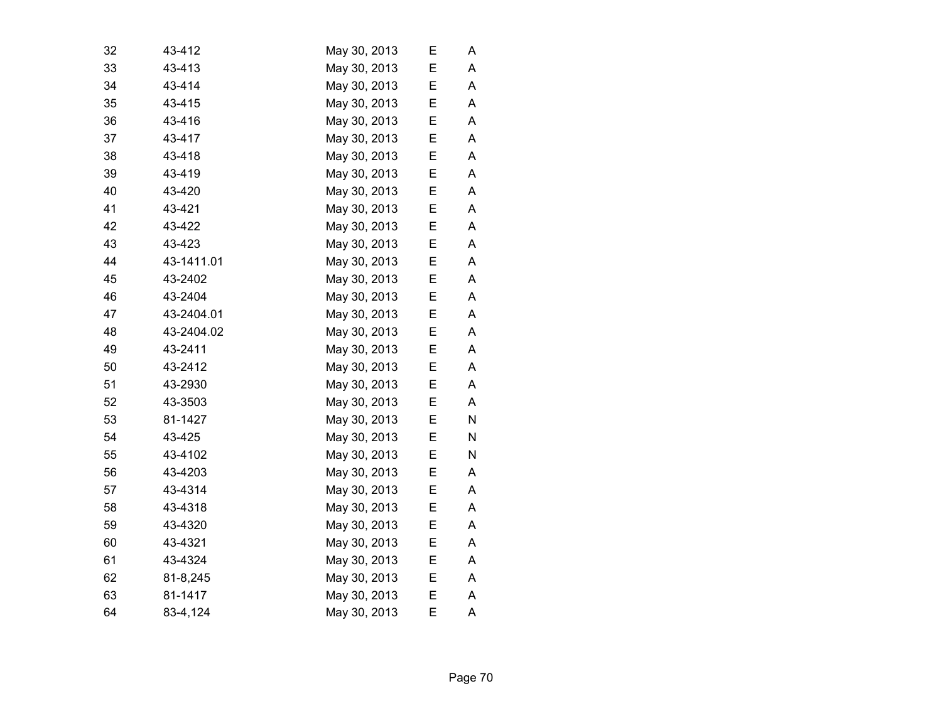| 32 | 43-412     | May 30, 2013 | Е | A |
|----|------------|--------------|---|---|
| 33 | 43-413     | May 30, 2013 | E | Α |
| 34 | 43-414     | May 30, 2013 | Е | A |
| 35 | 43-415     | May 30, 2013 | E | A |
| 36 | 43-416     | May 30, 2013 | E | A |
| 37 | 43-417     | May 30, 2013 | E | A |
| 38 | 43-418     | May 30, 2013 | E | A |
| 39 | 43-419     | May 30, 2013 | E | A |
| 40 | 43-420     | May 30, 2013 | Е | Α |
| 41 | 43-421     | May 30, 2013 | E | A |
| 42 | 43-422     | May 30, 2013 | E | A |
| 43 | 43-423     | May 30, 2013 | E | A |
| 44 | 43-1411.01 | May 30, 2013 | E | A |
| 45 | 43-2402    | May 30, 2013 | E | A |
| 46 | 43-2404    | May 30, 2013 | E | A |
| 47 | 43-2404.01 | May 30, 2013 | E | Α |
| 48 | 43-2404.02 | May 30, 2013 | E | A |
| 49 | 43-2411    | May 30, 2013 | Е | A |
| 50 | 43-2412    | May 30, 2013 | E | Α |
| 51 | 43-2930    | May 30, 2013 | Е | Α |
| 52 | 43-3503    | May 30, 2013 | E | A |
| 53 | 81-1427    | May 30, 2013 | E | N |
| 54 | 43-425     | May 30, 2013 | E | N |
| 55 | 43-4102    | May 30, 2013 | E | N |
| 56 | 43-4203    | May 30, 2013 | Е | A |
| 57 | 43-4314    | May 30, 2013 | E | A |
| 58 | 43-4318    | May 30, 2013 | E | A |
| 59 | 43-4320    | May 30, 2013 | E | A |
| 60 | 43-4321    | May 30, 2013 | E | A |
| 61 | 43-4324    | May 30, 2013 | E | A |
| 62 | 81-8,245   | May 30, 2013 | E | A |
| 63 | 81-1417    | May 30, 2013 | Е | Α |
| 64 | 83-4,124   | May 30, 2013 | E | A |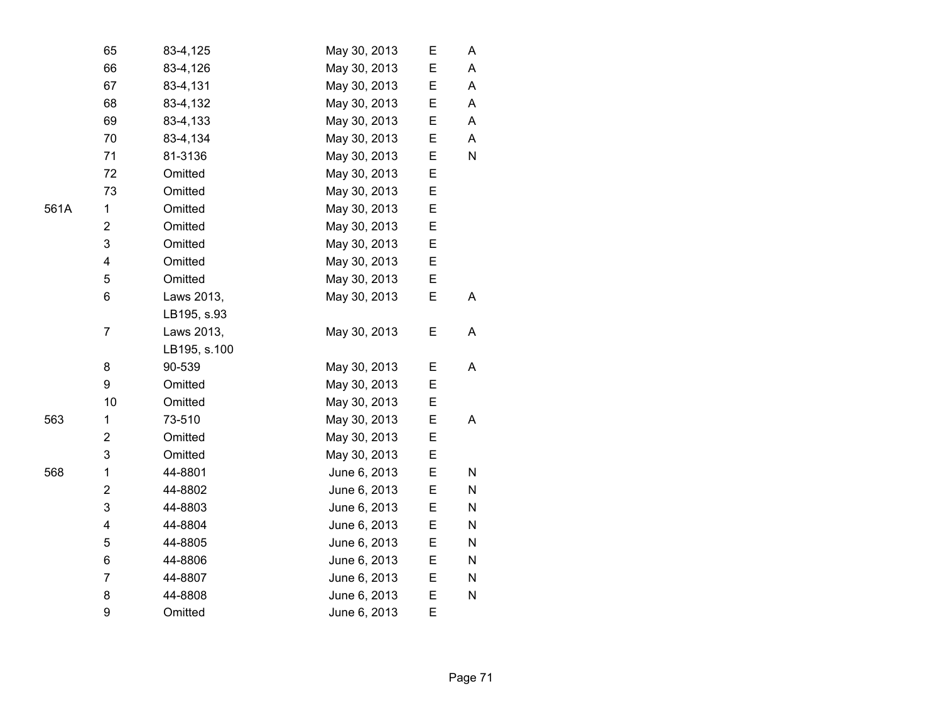|     | 65                      | 83-4,125     | May 30, 2013 | Ε | Α |  |
|-----|-------------------------|--------------|--------------|---|---|--|
|     | 66                      | 83-4,126     | May 30, 2013 | E | Α |  |
|     | 67                      | 83-4,131     | May 30, 2013 | E | A |  |
|     | 68                      | 83-4,132     | May 30, 2013 | E | A |  |
|     | 69                      | 83-4,133     | May 30, 2013 | E | A |  |
|     | 70                      | 83-4,134     | May 30, 2013 | E | A |  |
|     | 71                      | 81-3136      | May 30, 2013 | E | N |  |
|     | 72                      | Omitted      | May 30, 2013 | E |   |  |
|     | 73                      | Omitted      | May 30, 2013 | Е |   |  |
| 61A | 1                       | Omitted      | May 30, 2013 | E |   |  |
|     | $\overline{\mathbf{c}}$ | Omitted      | May 30, 2013 | E |   |  |
|     | 3                       | Omitted      | May 30, 2013 | E |   |  |
|     | 4                       | Omitted      | May 30, 2013 | E |   |  |
|     | 5                       | Omitted      | May 30, 2013 | E |   |  |
|     | 6                       | Laws 2013,   | May 30, 2013 | E | Α |  |
|     |                         | LB195, s.93  |              |   |   |  |
|     | $\overline{7}$          | Laws 2013,   | May 30, 2013 | E | A |  |
|     |                         | LB195, s.100 |              |   |   |  |
|     | 8                       | 90-539       | May 30, 2013 | Е | A |  |
|     | 9                       | Omitted      | May 30, 2013 | Е |   |  |
|     | 10                      | Omitted      | May 30, 2013 | E |   |  |
| 63  | 1                       | 73-510       | May 30, 2013 | E | А |  |
|     | $\overline{\mathbf{c}}$ | Omitted      | May 30, 2013 | E |   |  |
|     | 3                       | Omitted      | May 30, 2013 | Ε |   |  |
| 68  | 1                       | 44-8801      | June 6, 2013 | E | N |  |
|     | $\mathbf 2$             | 44-8802      | June 6, 2013 | E | N |  |
|     | $\mathsf 3$             | 44-8803      | June 6, 2013 | Ε | N |  |
|     | $\overline{\mathbf{4}}$ | 44-8804      | June 6, 2013 | Е | Ν |  |
|     | 5                       | 44-8805      | June 6, 2013 | E | N |  |
|     | 6                       | 44-8806      | June 6, 2013 | Е | N |  |
|     | $\overline{7}$          | 44-8807      | June 6, 2013 | Ε | N |  |
|     | 8                       | 44-8808      | June 6, 2013 | E | N |  |
|     | 9                       | Omitted      | June 6, 2013 | E |   |  |

561A

563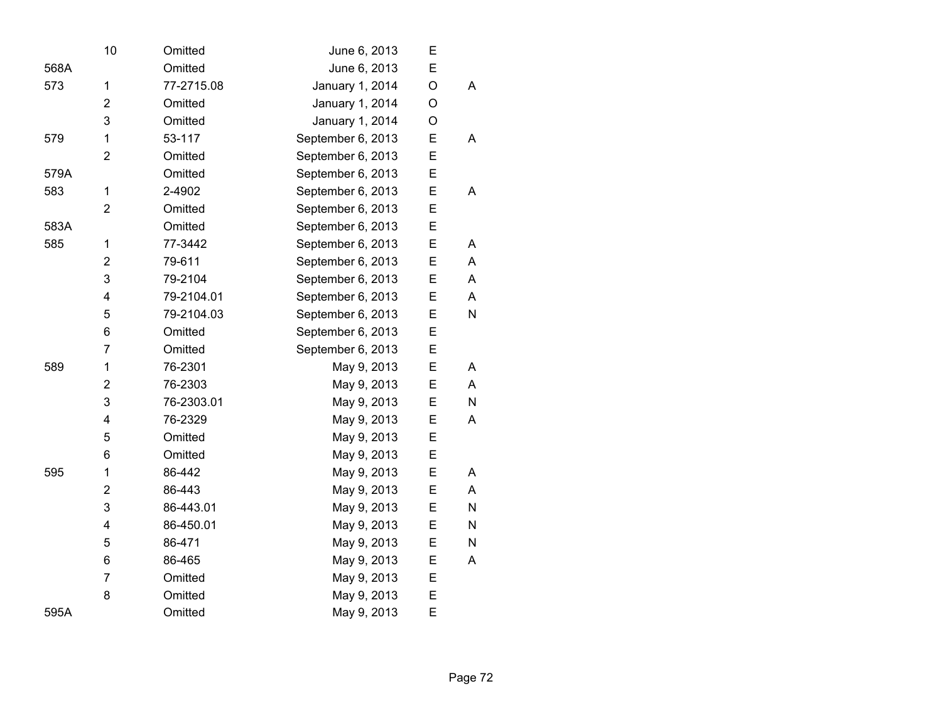| 10                      | Omitted    | June 6, 2013      | E |   |
|-------------------------|------------|-------------------|---|---|
|                         | Omitted    | June 6, 2013      | E |   |
| 1                       | 77-2715.08 | January 1, 2014   | O | A |
| 2                       | Omitted    | January 1, 2014   | O |   |
| 3                       | Omitted    | January 1, 2014   | O |   |
| 1                       | 53-117     | September 6, 2013 | E | A |
| $\overline{2}$          | Omitted    | September 6, 2013 | E |   |
|                         | Omitted    | September 6, 2013 | E |   |
| $\mathbf 1$             | 2-4902     | September 6, 2013 | E | A |
| $\overline{2}$          | Omitted    | September 6, 2013 | E |   |
|                         | Omitted    | September 6, 2013 | E |   |
| 1                       | 77-3442    | September 6, 2013 | E | A |
| $\overline{2}$          | 79-611     | September 6, 2013 | E | A |
| 3                       | 79-2104    | September 6, 2013 | E | A |
| 4                       | 79-2104.01 | September 6, 2013 | E | Α |
| 5                       | 79-2104.03 | September 6, 2013 | E | N |
| 6                       | Omitted    | September 6, 2013 | E |   |
| $\overline{7}$          | Omitted    | September 6, 2013 | E |   |
| 1                       | 76-2301    | May 9, 2013       | E | A |
| 2                       | 76-2303    | May 9, 2013       | E | A |
| 3                       | 76-2303.01 | May 9, 2013       | E | N |
| 4                       | 76-2329    | May 9, 2013       | E | A |
| 5                       | Omitted    | May 9, 2013       | E |   |
| 6                       | Omitted    | May 9, 2013       | E |   |
| 1                       | 86-442     | May 9, 2013       | E | A |
| 2                       | 86-443     | May 9, 2013       | E | A |
| 3                       | 86-443.01  | May 9, 2013       | E | N |
| $\overline{\mathbf{4}}$ | 86-450.01  | May 9, 2013       | E | N |
| 5                       | 86-471     | May 9, 2013       | E | N |
| 6                       | 86-465     | May 9, 2013       | E | A |
| $\overline{7}$          | Omitted    | May 9, 2013       | E |   |
| 8                       | Omitted    | May 9, 2013       | E |   |
|                         | Omitted    | May 9, 2013       | E |   |
|                         |            |                   |   |   |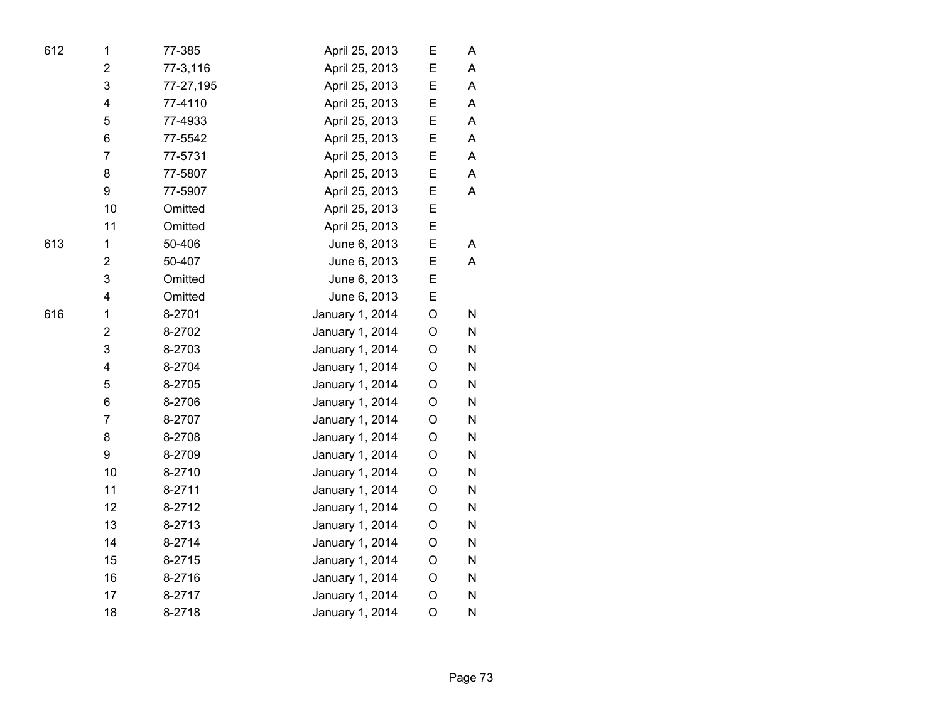| 612 | 1                       | 77-385    | April 25, 2013  | E           | Α         |  |
|-----|-------------------------|-----------|-----------------|-------------|-----------|--|
|     | $\overline{2}$          | 77-3,116  | April 25, 2013  | E           | A         |  |
|     | 3                       | 77-27,195 | April 25, 2013  | E           | A         |  |
|     | 4                       | 77-4110   | April 25, 2013  | E           | A         |  |
|     | 5                       | 77-4933   | April 25, 2013  | E           | Α         |  |
|     | 6                       | 77-5542   | April 25, 2013  | E           | A         |  |
|     | $\overline{7}$          | 77-5731   | April 25, 2013  | E           | A         |  |
|     | 8                       | 77-5807   | April 25, 2013  | E           | A         |  |
|     | 9                       | 77-5907   | April 25, 2013  | E           | A         |  |
|     | 10                      | Omitted   | April 25, 2013  | E           |           |  |
|     | 11                      | Omitted   | April 25, 2013  | E           |           |  |
| 613 | 1                       | 50-406    | June 6, 2013    | E           | A         |  |
|     | $\overline{\mathbf{c}}$ | 50-407    | June 6, 2013    | E           | A         |  |
|     | 3                       | Omitted   | June 6, 2013    | E           |           |  |
|     | 4                       | Omitted   | June 6, 2013    | E           |           |  |
| 616 | 1                       | 8-2701    | January 1, 2014 | O           | N         |  |
|     | 2                       | 8-2702    | January 1, 2014 | O           | N         |  |
|     | 3                       | 8-2703    | January 1, 2014 | O           | N         |  |
|     | 4                       | 8-2704    | January 1, 2014 | O           | N         |  |
|     | 5                       | 8-2705    | January 1, 2014 | O           | N         |  |
|     | 6                       | 8-2706    | January 1, 2014 | $\mathsf O$ | N         |  |
|     | $\overline{7}$          | 8-2707    | January 1, 2014 | O           | N         |  |
|     | 8                       | 8-2708    | January 1, 2014 | O           | N         |  |
|     | 9                       | 8-2709    | January 1, 2014 | O           | N         |  |
|     | 10                      | 8-2710    | January 1, 2014 | $\mathsf O$ | ${\sf N}$ |  |
|     | 11                      | 8-2711    | January 1, 2014 | $\mathsf O$ | N         |  |
|     | 12                      | 8-2712    | January 1, 2014 | $\mathsf O$ | ${\sf N}$ |  |
|     | 13                      | 8-2713    | January 1, 2014 | $\mathsf O$ | N         |  |
|     | 14                      | 8-2714    | January 1, 2014 | O           | N         |  |
|     | 15                      | 8-2715    | January 1, 2014 | O           | N         |  |
|     | 16                      | 8-2716    | January 1, 2014 | $\mathsf O$ | N         |  |
|     | 17                      | 8-2717    | January 1, 2014 | O           | N         |  |
|     | 18                      | 8-2718    | January 1, 2014 | $\circ$     | N         |  |
|     |                         |           |                 |             |           |  |

Page 73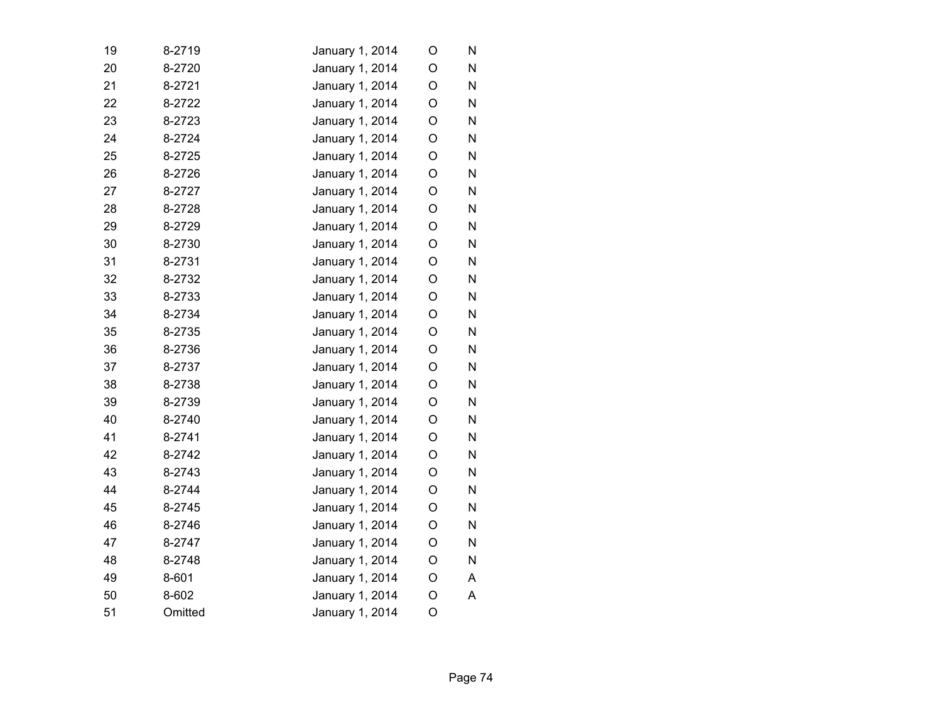| 19 | 8-2719  | January 1, 2014 | O           | N         |
|----|---------|-----------------|-------------|-----------|
| 20 | 8-2720  | January 1, 2014 | O           | N         |
| 21 | 8-2721  | January 1, 2014 | O           | N         |
| 22 | 8-2722  | January 1, 2014 | O           | N         |
| 23 | 8-2723  | January 1, 2014 | O           | N         |
| 24 | 8-2724  | January 1, 2014 | O           | N         |
| 25 | 8-2725  | January 1, 2014 | O           | N         |
| 26 | 8-2726  | January 1, 2014 | O           | N         |
| 27 | 8-2727  | January 1, 2014 | O           | N         |
| 28 | 8-2728  | January 1, 2014 | $\mathsf O$ | N         |
| 29 | 8-2729  | January 1, 2014 | O           | N         |
| 30 | 8-2730  | January 1, 2014 | O           | N         |
| 31 | 8-2731  | January 1, 2014 | O           | N         |
| 32 | 8-2732  | January 1, 2014 | $\mathsf O$ | N         |
| 33 | 8-2733  | January 1, 2014 | O           | N         |
| 34 | 8-2734  | January 1, 2014 | O           | N         |
| 35 | 8-2735  | January 1, 2014 | $\mathsf O$ | ${\sf N}$ |
| 36 | 8-2736  | January 1, 2014 | $\mathsf O$ | N         |
| 37 | 8-2737  | January 1, 2014 | O           | N         |
| 38 | 8-2738  | January 1, 2014 | O           | N         |
| 39 | 8-2739  | January 1, 2014 | $\mathsf O$ | N         |
| 40 | 8-2740  | January 1, 2014 | $\mathsf O$ | N         |
| 41 | 8-2741  | January 1, 2014 | O           | N         |
| 42 | 8-2742  | January 1, 2014 | $\mathsf O$ | N         |
| 43 | 8-2743  | January 1, 2014 | $\mathsf O$ | N         |
| 44 | 8-2744  | January 1, 2014 | O           | N         |
| 45 | 8-2745  | January 1, 2014 | O           | N         |
| 46 | 8-2746  | January 1, 2014 | $\mathsf O$ | N         |
| 47 | 8-2747  | January 1, 2014 | $\mathsf O$ | N         |
| 48 | 8-2748  | January 1, 2014 | O           | N         |
| 49 | 8-601   | January 1, 2014 | O           | A         |
| 50 | 8-602   | January 1, 2014 | O           | A         |
| 51 | Omitted | January 1, 2014 | $\circ$     |           |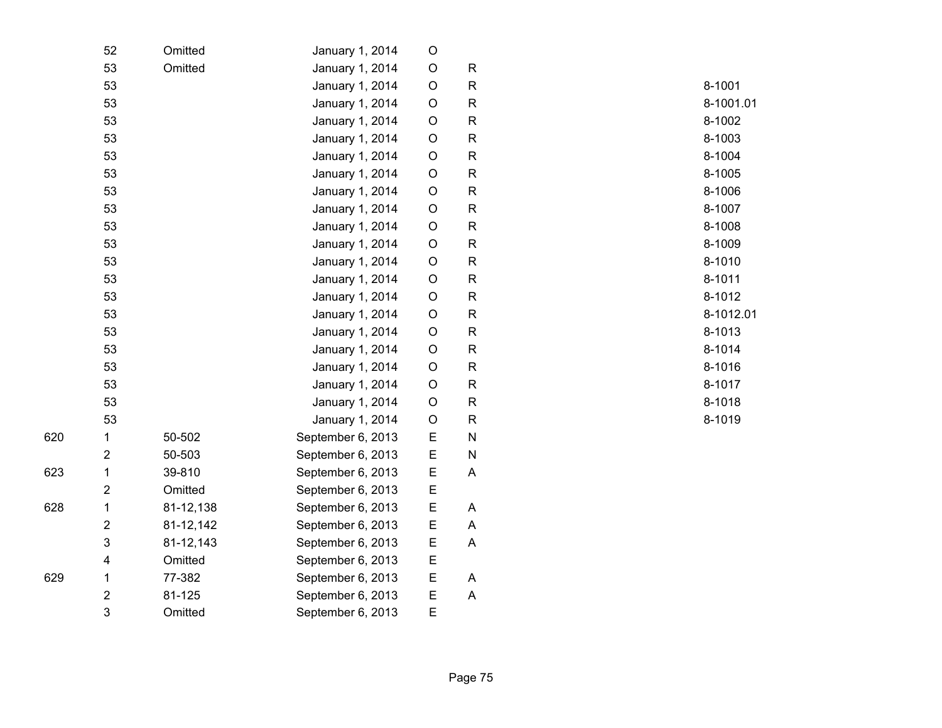| 52 | Omitted   | January 1, 2014   | $\circ$     |              |           |
|----|-----------|-------------------|-------------|--------------|-----------|
| 53 | Omitted   | January 1, 2014   | $\circ$     | ${\sf R}$    |           |
| 53 |           | January 1, 2014   | $\circ$     | $\mathsf{R}$ | 8-1001    |
| 53 |           | January 1, 2014   | $\circ$     | ${\sf R}$    | 8-1001.01 |
| 53 |           | January 1, 2014   | $\circ$     | ${\sf R}$    | 8-1002    |
| 53 |           | January 1, 2014   | $\circ$     | ${\sf R}$    | 8-1003    |
| 53 |           | January 1, 2014   | $\circ$     | ${\sf R}$    | 8-1004    |
| 53 |           | January 1, 2014   | $\bigcirc$  | ${\sf R}$    | 8-1005    |
| 53 |           | January 1, 2014   | $\circ$     | ${\sf R}$    | 8-1006    |
| 53 |           | January 1, 2014   | $\circ$     | $\mathsf{R}$ | 8-1007    |
| 53 |           | January 1, 2014   | $\circ$     | ${\sf R}$    | 8-1008    |
| 53 |           | January 1, 2014   | $\circ$     | ${\sf R}$    | 8-1009    |
| 53 |           | January 1, 2014   | $\circ$     | ${\sf R}$    | 8-1010    |
| 53 |           | January 1, 2014   | $\circ$     | ${\sf R}$    | 8-1011    |
| 53 |           | January 1, 2014   | $\circ$     | ${\sf R}$    | 8-1012    |
| 53 |           | January 1, 2014   | $\circ$     | ${\sf R}$    | 8-1012.01 |
| 53 |           | January 1, 2014   | $\circ$     | $\mathsf{R}$ | 8-1013    |
| 53 |           | January 1, 2014   | $\circ$     | ${\sf R}$    | 8-1014    |
| 53 |           | January 1, 2014   | $\circ$     | ${\sf R}$    | 8-1016    |
| 53 |           | January 1, 2014   | $\bigcirc$  | ${\sf R}$    | 8-1017    |
| 53 |           | January 1, 2014   | $\circ$     | ${\sf R}$    | 8-1018    |
| 53 |           | January 1, 2014   | $\mathsf O$ | $\mathsf{R}$ | 8-1019    |
| 1  | 50-502    | September 6, 2013 | $\mathsf E$ | $\mathsf{N}$ |           |
| 2  | 50-503    | September 6, 2013 | $\mathsf E$ | ${\sf N}$    |           |
| 1  | 39-810    | September 6, 2013 | $\mathsf E$ | A            |           |
| 2  | Omitted   | September 6, 2013 | E           |              |           |
| 1  | 81-12,138 | September 6, 2013 | E           | A            |           |
| 2  | 81-12,142 | September 6, 2013 | E           | $\mathsf A$  |           |
| 3  | 81-12,143 | September 6, 2013 | E           | A            |           |
| 4  | Omitted   | September 6, 2013 | E           |              |           |
| 1  | 77-382    | September 6, 2013 | E           | A            |           |
| 2  | 81-125    | September 6, 2013 | E           | A            |           |
| 3  | Omitted   | September 6, 2013 | E           |              |           |

620

623

628

629